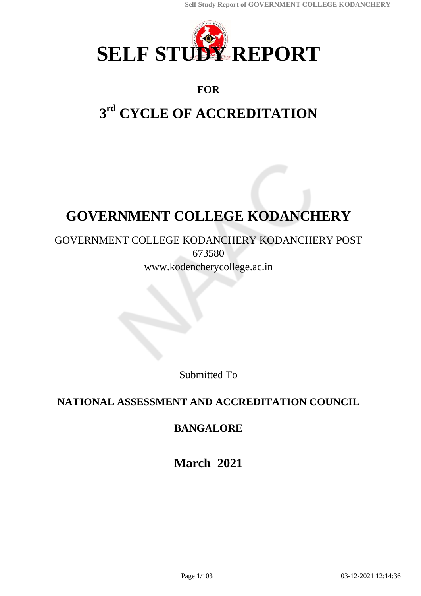

## **FOR**

# **3 rd CYCLE OF ACCREDITATION**

# **GOVERNMENT COLLEGE KODANCHERY**

### GOVERNMENT COLLEGE KODANCHERY KODANCHERY POST 673580 www.kodencherycollege.ac.in

Submitted To

## **NATIONAL ASSESSMENT AND ACCREDITATION COUNCIL**

## **BANGALORE**

**March 2021**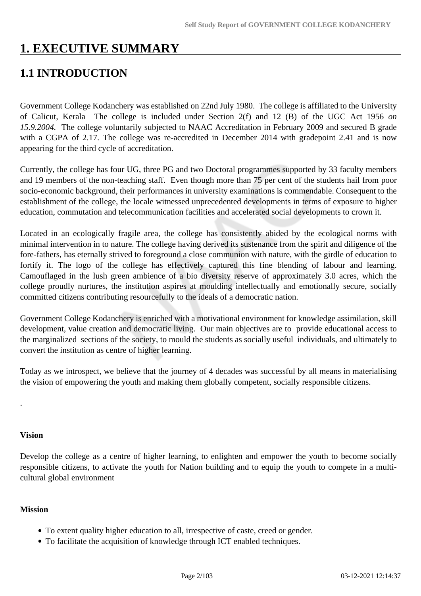## **1. EXECUTIVE SUMMARY**

## **1.1 INTRODUCTION**

Government College Kodanchery was established on 22nd July 1980. The college is affiliated to the University of Calicut, Kerala The college is included under Section 2(f) and 12 (B) of the UGC Act 1956 *on 15.9.2004.* The college voluntarily subjected to NAAC Accreditation in February 2009 and secured B grade with a CGPA of 2.17. The college was re-accredited in December 2014 with gradepoint 2.41 and is now appearing for the third cycle of accreditation.

Currently, the college has four UG, three PG and two Doctoral programmes supported by 33 faculty members and 19 members of the non-teaching staff. Even though more than 75 per cent of the students hail from poor socio-economic background, their performances in university examinations is commendable. Consequent to the establishment of the college, the locale witnessed unprecedented developments in terms of exposure to higher education, commutation and telecommunication facilities and accelerated social developments to crown it.

Located in an ecologically fragile area, the college has consistently abided by the ecological norms with minimal intervention in to nature. The college having derived its sustenance from the spirit and diligence of the fore-fathers, has eternally strived to foreground a close communion with nature, with the girdle of education to fortify it. The logo of the college has effectively captured this fine blending of labour and learning. Camouflaged in the lush green ambience of a bio diversity reserve of approximately 3.0 acres, which the college proudly nurtures, the institution aspires at moulding intellectually and emotionally secure, socially committed citizens contributing resourcefully to the ideals of a democratic nation.

Government College Kodanchery is enriched with a motivational environment for knowledge assimilation, skill development, value creation and democratic living. Our main objectives are to provide educational access to the marginalized sections of the society, to mould the students as socially useful individuals, and ultimately to convert the institution as centre of higher learning.

Today as we introspect, we believe that the journey of 4 decades was successful by all means in materialising the vision of empowering the youth and making them globally competent, socially responsible citizens.

### **Vision**

.

Develop the college as a centre of higher learning, to enlighten and empower the youth to become socially responsible citizens, to activate the youth for Nation building and to equip the youth to compete in a multicultural global environment

### **Mission**

- To extent quality higher education to all, irrespective of caste, creed or gender.
- To facilitate the acquisition of knowledge through ICT enabled techniques.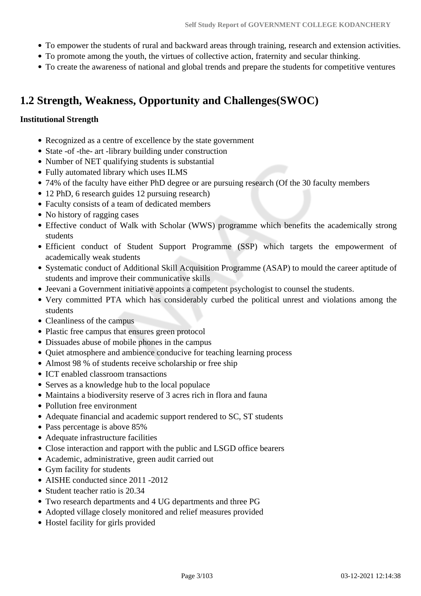- To empower the students of rural and backward areas through training, research and extension activities.
- To promote among the youth, the virtues of collective action, fraternity and secular thinking.
- To create the awareness of national and global trends and prepare the students for competitive ventures

## **1.2 Strength, Weakness, Opportunity and Challenges(SWOC)**

### **Institutional Strength**

- Recognized as a centre of excellence by the state government
- State -of -the- art -library building under construction
- Number of NET qualifying students is substantial
- Fully automated library which uses ILMS
- 74% of the faculty have either PhD degree or are pursuing research (Of the 30 faculty members
- 12 PhD, 6 research guides 12 pursuing research)
- Faculty consists of a team of dedicated members
- No history of ragging cases
- Effective conduct of Walk with Scholar (WWS) programme which benefits the academically strong students
- Efficient conduct of Student Support Programme (SSP) which targets the empowerment of academically weak students
- Systematic conduct of Additional Skill Acquisition Programme (ASAP) to mould the career aptitude of students and improve their communicative skills
- Jeevani a Government initiative appoints a competent psychologist to counsel the students.
- Very committed PTA which has considerably curbed the political unrest and violations among the students
- Cleanliness of the campus
- Plastic free campus that ensures green protocol
- Dissuades abuse of mobile phones in the campus
- Ouiet atmosphere and ambience conducive for teaching learning process
- Almost 98 % of students receive scholarship or free ship
- ICT enabled classroom transactions
- Serves as a knowledge hub to the local populace
- Maintains a biodiversity reserve of 3 acres rich in flora and fauna
- Pollution free environment
- Adequate financial and academic support rendered to SC, ST students
- Pass percentage is above 85%
- Adequate infrastructure facilities
- Close interaction and rapport with the public and LSGD office bearers
- Academic, administrative, green audit carried out
- Gym facility for students
- AISHE conducted since 2011 -2012
- Student teacher ratio is 20.34
- Two research departments and 4 UG departments and three PG
- Adopted village closely monitored and relief measures provided
- Hostel facility for girls provided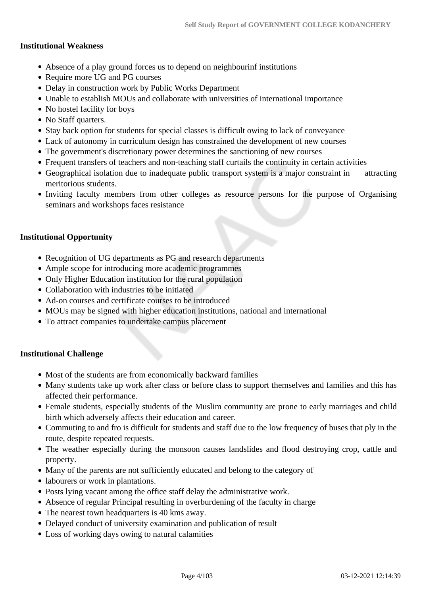### **Institutional Weakness**

- Absence of a play ground forces us to depend on neighbourinf institutions
- Require more UG and PG courses
- Delay in construction work by Public Works Department
- Unable to establish MOUs and collaborate with universities of international importance
- No hostel facility for boys
- No Staff quarters.
- Stay back option for students for special classes is difficult owing to lack of conveyance
- Lack of autonomy in curriculum design has constrained the development of new courses
- The government's discretionary power determines the sanctioning of new courses
- Frequent transfers of teachers and non-teaching staff curtails the continuity in certain activities
- Geographical isolation due to inadequate public transport system is a major constraint in attracting meritorious students.
- Inviting faculty members from other colleges as resource persons for the purpose of Organising seminars and workshops faces resistance

### **Institutional Opportunity**

- Recognition of UG departments as PG and research departments
- Ample scope for introducing more academic programmes
- Only Higher Education institution for the rural population
- Collaboration with industries to be initiated
- Ad-on courses and certificate courses to be introduced
- MOUs may be signed with higher education institutions, national and international
- To attract companies to undertake campus placement

### **Institutional Challenge**

- Most of the students are from economically backward families
- Many students take up work after class or before class to support themselves and families and this has affected their performance.
- Female students, especially students of the Muslim community are prone to early marriages and child birth which adversely affects their education and career.
- Commuting to and fro is difficult for students and staff due to the low frequency of buses that ply in the route, despite repeated requests.
- The weather especially during the monsoon causes landslides and flood destroying crop, cattle and property.
- Many of the parents are not sufficiently educated and belong to the category of
- labourers or work in plantations.
- Posts lying vacant among the office staff delay the administrative work.
- Absence of regular Principal resulting in overburdening of the faculty in charge
- The nearest town headquarters is 40 kms away.
- Delayed conduct of university examination and publication of result
- Loss of working days owing to natural calamities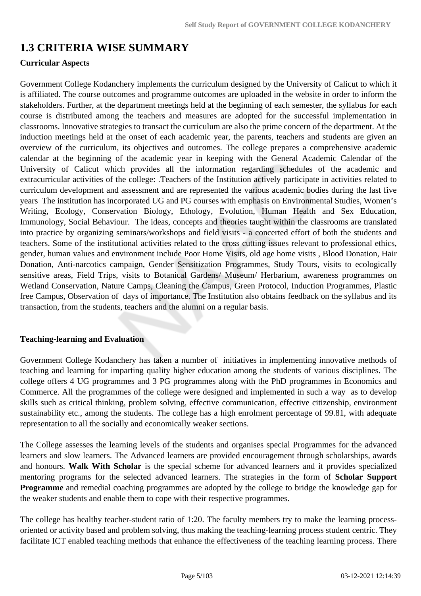## **1.3 CRITERIA WISE SUMMARY**

### **Curricular Aspects**

Government College Kodanchery implements the curriculum designed by the University of Calicut to which it is affiliated. The course outcomes and programme outcomes are uploaded in the website in order to inform the stakeholders. Further, at the department meetings held at the beginning of each semester, the syllabus for each course is distributed among the teachers and measures are adopted for the successful implementation in classrooms. Innovative strategies to transact the curriculum are also the prime concern of the department. At the induction meetings held at the onset of each academic year, the parents, teachers and students are given an overview of the curriculum, its objectives and outcomes. The college prepares a comprehensive academic calendar at the beginning of the academic year in keeping with the General Academic Calendar of the University of Calicut which provides all the information regarding schedules of the academic and extracurricular activities of the college: .Teachers of the Institution actively participate in activities related to curriculum development and assessment and are represented the various academic bodies during the last five years The institution has incorporated UG and PG courses with emphasis on Environmental Studies, Women's Writing, Ecology, Conservation Biology, Ethology, Evolution, Human Health and Sex Education, Immunology, Social Behaviour. The ideas, concepts and theories taught within the classrooms are translated into practice by organizing seminars/workshops and field visits - a concerted effort of both the students and teachers. Some of the institutional activities related to the cross cutting issues relevant to professional ethics, gender, human values and environment include Poor Home Visits, old age home visits , Blood Donation, Hair Donation, Anti-narcotics campaign, Gender Sensitization Programmes, Study Tours, visits to ecologically sensitive areas, Field Trips, visits to Botanical Gardens/ Museum/ Herbarium, awareness programmes on Wetland Conservation, Nature Camps, Cleaning the Campus, Green Protocol, Induction Programmes, Plastic free Campus, Observation of days of importance. The Institution also obtains feedback on the syllabus and its transaction, from the students, teachers and the alumni on a regular basis.

### **Teaching-learning and Evaluation**

Government College Kodanchery has taken a number of initiatives in implementing innovative methods of teaching and learning for imparting quality higher education among the students of various disciplines. The college offers 4 UG programmes and 3 PG programmes along with the PhD programmes in Economics and Commerce. All the programmes of the college were designed and implemented in such a way as to develop skills such as critical thinking, problem solving, effective communication, effective citizenship, environment sustainability etc., among the students. The college has a high enrolment percentage of 99.81, with adequate representation to all the socially and economically weaker sections.

The College assesses the learning levels of the students and organises special Programmes for the advanced learners and slow learners. The Advanced learners are provided encouragement through scholarships, awards and honours. **Walk With Scholar** is the special scheme for advanced learners and it provides specialized mentoring programs for the selected advanced learners. The strategies in the form of **Scholar Support Programme** and remedial coaching programmes are adopted by the college to bridge the knowledge gap for the weaker students and enable them to cope with their respective programmes.

The college has healthy teacher-student ratio of 1:20. The faculty members try to make the learning processoriented or activity based and problem solving, thus making the teaching-learning process student centric. They facilitate ICT enabled teaching methods that enhance the effectiveness of the teaching learning process. There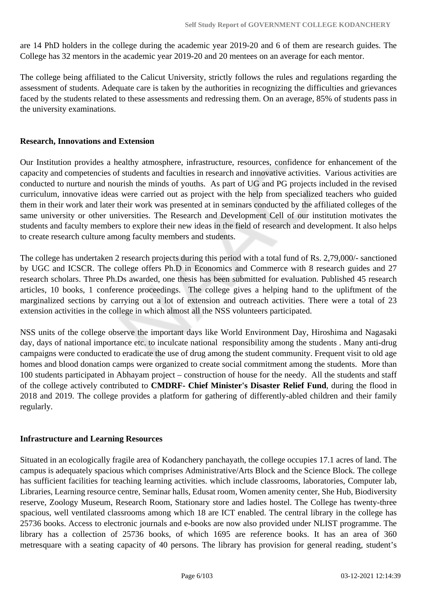are 14 PhD holders in the college during the academic year 2019-20 and 6 of them are research guides. The College has 32 mentors in the academic year 2019-20 and 20 mentees on an average for each mentor.

The college being affiliated to the Calicut University, strictly follows the rules and regulations regarding the assessment of students. Adequate care is taken by the authorities in recognizing the difficulties and grievances faced by the students related to these assessments and redressing them. On an average, 85% of students pass in the university examinations.

### **Research, Innovations and Extension**

Our Institution provides a healthy atmosphere, infrastructure, resources, confidence for enhancement of the capacity and competencies of students and faculties in research and innovative activities. Various activities are conducted to nurture and nourish the minds of youths. As part of UG and PG projects included in the revised curriculum, innovative ideas were carried out as project with the help from specialized teachers who guided them in their work and later their work was presented at in seminars conducted by the affiliated colleges of the same university or other universities. The Research and Development Cell of our institution motivates the students and faculty members to explore their new ideas in the field of research and development. It also helps to create research culture among faculty members and students.

The college has undertaken 2 research projects during this period with a total fund of Rs. 2,79,000/- sanctioned by UGC and ICSCR. The college offers Ph.D in Economics and Commerce with 8 research guides and 27 research scholars. Three Ph.Ds awarded, one thesis has been submitted for evaluation. Published 45 research articles, 10 books, 1 conference proceedings. The college gives a helping hand to the upliftment of the marginalized sections by carrying out a lot of extension and outreach activities. There were a total of 23 extension activities in the college in which almost all the NSS volunteers participated.

NSS units of the college observe the important days like World Environment Day, Hiroshima and Nagasaki day, days of national importance etc. to inculcate national responsibility among the students . Many anti-drug campaigns were conducted to eradicate the use of drug among the student community. Frequent visit to old age homes and blood donation camps were organized to create social commitment among the students. More than 100 students participated in Abhayam project – construction of house for the needy. All the students and staff of the college actively contributed to **CMDRF- Chief Minister's Disaster Relief Fund**, during the flood in 2018 and 2019. The college provides a platform for gathering of differently-abled children and their family regularly.

### **Infrastructure and Learning Resources**

Situated in an ecologically fragile area of Kodanchery panchayath, the college occupies 17.1 acres of land. The campus is adequately spacious which comprises Administrative/Arts Block and the Science Block. The college has sufficient facilities for teaching learning activities. which include classrooms, laboratories, Computer lab, Libraries, Learning resource centre, Seminar halls, Edusat room, Women amenity center, She Hub, Biodiversity reserve, Zoology Museum, Research Room, Stationary store and ladies hostel. The College has twenty-three spacious, well ventilated classrooms among which 18 are ICT enabled. The central library in the college has 25736 books. Access to electronic journals and e-books are now also provided under NLIST programme. The library has a collection of 25736 books, of which 1695 are reference books. It has an area of 360 metresquare with a seating capacity of 40 persons. The library has provision for general reading, student's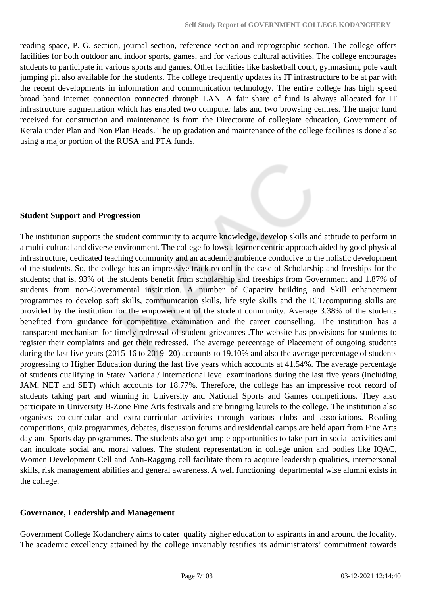reading space, P. G. section, journal section, reference section and reprographic section. The college offers facilities for both outdoor and indoor sports, games, and for various cultural activities. The college encourages students to participate in various sports and games. Other facilities like basketball court, gymnasium, pole vault jumping pit also available for the students. The college frequently updates its IT infrastructure to be at par with the recent developments in information and communication technology. The entire college has high speed broad band internet connection connected through LAN. A fair share of fund is always allocated for IT infrastructure augmentation which has enabled two computer labs and two browsing centres. The major fund received for construction and maintenance is from the Directorate of collegiate education, Government of Kerala under Plan and Non Plan Heads. The up gradation and maintenance of the college facilities is done also using a major portion of the RUSA and PTA funds.

### **Student Support and Progression**

The institution supports the student community to acquire knowledge, develop skills and attitude to perform in a multi-cultural and diverse environment. The college follows a learner centric approach aided by good physical infrastructure, dedicated teaching community and an academic ambience conducive to the holistic development of the students. So, the college has an impressive track record in the case of Scholarship and freeships for the students; that is, 93% of the students benefit from scholarship and freeships from Government and 1.87% of students from non-Governmental institution. A number of Capacity building and Skill enhancement programmes to develop soft skills, communication skills, life style skills and the ICT/computing skills are provided by the institution for the empowerment of the student community. Average 3.38% of the students benefited from guidance for competitive examination and the career counselling. The institution has a transparent mechanism for timely redressal of student grievances .The website has provisions for students to register their complaints and get their redressed. The average percentage of Placement of outgoing students during the last five years (2015-16 to 2019- 20) accounts to 19.10% and also the average percentage of students progressing to Higher Education during the last five years which accounts at 41.54%. The average percentage of students qualifying in State/ National/ International level examinations during the last five years (including JAM, NET and SET) which accounts for 18.77%. Therefore, the college has an impressive root record of students taking part and winning in University and National Sports and Games competitions. They also participate in University B-Zone Fine Arts festivals and are bringing laurels to the college. The institution also organises co-curricular and extra-curricular activities through various clubs and associations. Reading competitions, quiz programmes, debates, discussion forums and residential camps are held apart from Fine Arts day and Sports day programmes. The students also get ample opportunities to take part in social activities and can inculcate social and moral values. The student representation in college union and bodies like IQAC, Women Development Cell and Anti-Ragging cell facilitate them to acquire leadership qualities, interpersonal skills, risk management abilities and general awareness. A well functioning departmental wise alumni exists in the college.

### **Governance, Leadership and Management**

Government College Kodanchery aims to cater quality higher education to aspirants in and around the locality. The academic excellency attained by the college invariably testifies its administrators' commitment towards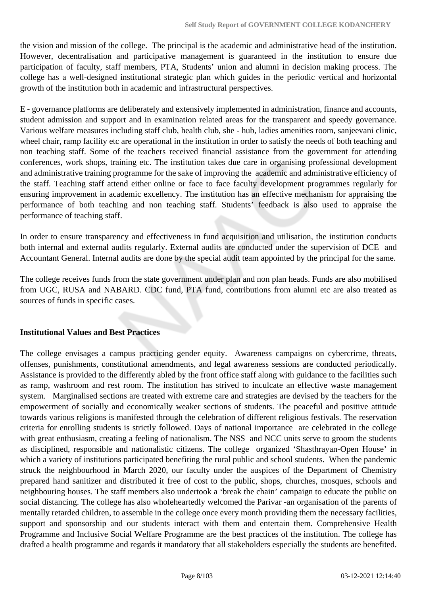the vision and mission of the college. The principal is the academic and administrative head of the institution. However, decentralisation and participative management is guaranteed in the institution to ensure due participation of faculty, staff members, PTA, Students' union and alumni in decision making process. The college has a well-designed institutional strategic plan which guides in the periodic vertical and horizontal growth of the institution both in academic and infrastructural perspectives.

E - governance platforms are deliberately and extensively implemented in administration, finance and accounts, student admission and support and in examination related areas for the transparent and speedy governance. Various welfare measures including staff club, health club, she - hub, ladies amenities room, sanjeevani clinic, wheel chair, ramp facility etc are operational in the institution in order to satisfy the needs of both teaching and non teaching staff. Some of the teachers received financial assistance from the government for attending conferences, work shops, training etc. The institution takes due care in organising professional development and administrative training programme for the sake of improving the academic and administrative efficiency of the staff. Teaching staff attend either online or face to face faculty development programmes regularly for ensuring improvement in academic excellency. The institution has an effective mechanism for appraising the performance of both teaching and non teaching staff. Students' feedback is also used to appraise the performance of teaching staff.

In order to ensure transparency and effectiveness in fund acquisition and utilisation, the institution conducts both internal and external audits regularly. External audits are conducted under the supervision of DCE and Accountant General. Internal audits are done by the special audit team appointed by the principal for the same.

The college receives funds from the state government under plan and non plan heads. Funds are also mobilised from UGC, RUSA and NABARD. CDC fund, PTA fund, contributions from alumni etc are also treated as sources of funds in specific cases.

### **Institutional Values and Best Practices**

The college envisages a campus practicing gender equity. Awareness campaigns on cybercrime, threats, offenses, punishments, constitutional amendments, and legal awareness sessions are conducted periodically. Assistance is provided to the differently abled by the front office staff along with guidance to the facilities such as ramp, washroom and rest room. The institution has strived to inculcate an effective waste management system. Marginalised sections are treated with extreme care and strategies are devised by the teachers for the empowerment of socially and economically weaker sections of students. The peaceful and positive attitude towards various religions is manifested through the celebration of different religious festivals. The reservation criteria for enrolling students is strictly followed. Days of national importance are celebrated in the college with great enthusiasm, creating a feeling of nationalism. The NSS and NCC units serve to groom the students as disciplined, responsible and nationalistic citizens. The college organized 'Shasthrayan-Open House' in which a variety of institutions participated benefiting the rural public and school students. When the pandemic struck the neighbourhood in March 2020, our faculty under the auspices of the Department of Chemistry prepared hand sanitizer and distributed it free of cost to the public, shops, churches, mosques, schools and neighbouring houses. The staff members also undertook a 'break the chain' campaign to educate the public on social distancing. The college has also wholeheartedly welcomed the Parivar -an organisation of the parents of mentally retarded children, to assemble in the college once every month providing them the necessary facilities, support and sponsorship and our students interact with them and entertain them. Comprehensive Health Programme and Inclusive Social Welfare Programme are the best practices of the institution. The college has drafted a health programme and regards it mandatory that all stakeholders especially the students are benefited.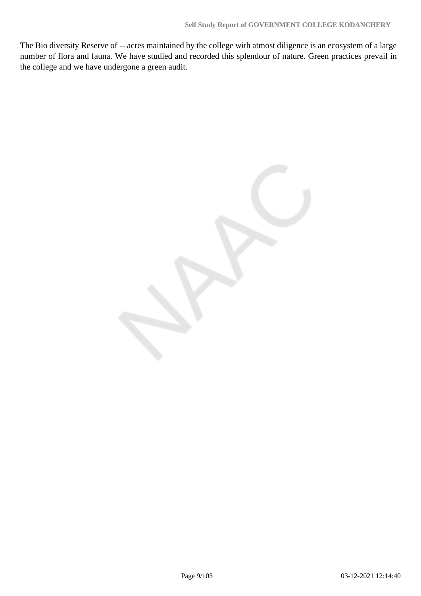The Bio diversity Reserve of -- acres maintained by the college with atmost diligence is an ecosystem of a large number of flora and fauna. We have studied and recorded this splendour of nature. Green practices prevail in the college and we have undergone a green audit.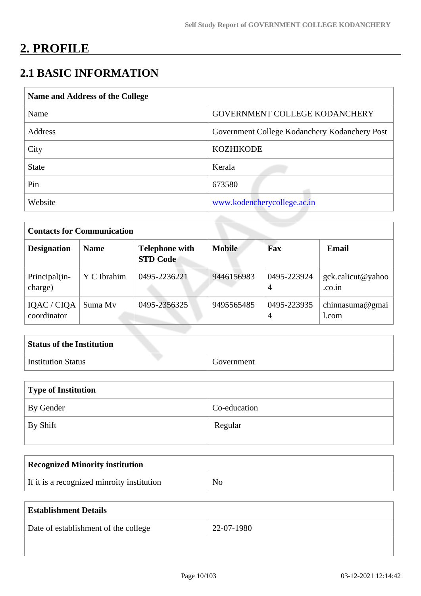# **2. PROFILE**

## **2.1 BASIC INFORMATION**

| Name and Address of the College |                                               |  |  |  |  |
|---------------------------------|-----------------------------------------------|--|--|--|--|
| Name                            | GOVERNMENT COLLEGE KODANCHERY                 |  |  |  |  |
| Address                         | Government College Kodanchery Kodanchery Post |  |  |  |  |
| City                            | <b>KOZHIKODE</b>                              |  |  |  |  |
| <b>State</b>                    | Kerala                                        |  |  |  |  |
| Pin                             | 673580                                        |  |  |  |  |
| Website                         | www.kodencherycollege.ac.in                   |  |  |  |  |

| <b>Contacts for Communication</b> |             |                                          |               |                  |                             |  |  |  |
|-----------------------------------|-------------|------------------------------------------|---------------|------------------|-----------------------------|--|--|--|
| <b>Designation</b>                | <b>Name</b> | <b>Telephone with</b><br><b>STD Code</b> | <b>Mobile</b> | Fax              | <b>Email</b>                |  |  |  |
| Principal(in-<br>charge)          | Y C Ibrahim | 0495-2236221                             | 9446156983    | 0495-223924<br>4 | gck.calicut@yahoo<br>.co.in |  |  |  |
| IQAC / CIQA<br>coordinator        | Suma My     | 0495-2356325                             | 9495565485    | 0495-223935<br>4 | chinnasuma@gmai<br>1.com    |  |  |  |

| <b>Status of the Institution</b> |            |
|----------------------------------|------------|
| <b>Institution Status</b>        | Government |

| Type of Institution |              |  |  |  |
|---------------------|--------------|--|--|--|
| By Gender           | Co-education |  |  |  |
| By Shift            | Regular      |  |  |  |

| Recognized Minority institution            |    |
|--------------------------------------------|----|
| If it is a recognized minroity institution | No |

| <b>Establishment Details</b>         |            |
|--------------------------------------|------------|
| Date of establishment of the college | 22-07-1980 |
|                                      |            |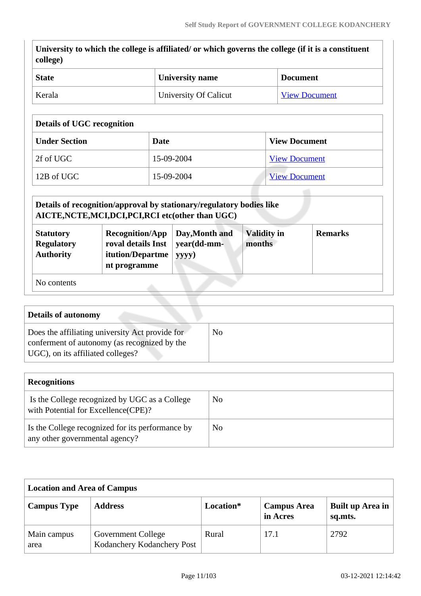| <b>State</b><br>Kerala                                          |                                                                                                 | <b>University name</b> |                |                    | <b>Document</b>      |
|-----------------------------------------------------------------|-------------------------------------------------------------------------------------------------|------------------------|----------------|--------------------|----------------------|
|                                                                 |                                                                                                 | University Of Calicut  |                |                    | <b>View Document</b> |
| <b>Details of UGC recognition</b>                               |                                                                                                 |                        |                |                    |                      |
| <b>Under Section</b>                                            |                                                                                                 | <b>Date</b>            |                |                    | <b>View Document</b> |
| 2f of UGC                                                       |                                                                                                 | 15-09-2004             |                |                    | <b>View Document</b> |
| 12B of UGC                                                      |                                                                                                 | 15-09-2004             |                |                    | <b>View Document</b> |
| <b>Statutory</b>                                                | <b>Recognition/App</b>                                                                          | Day, Month and         |                | <b>Validity in</b> | <b>Remarks</b>       |
| <b>Regulatory</b><br><b>Authority</b>                           | roval details Inst<br>itution/Departme<br>nt programme                                          | yyyy)                  | year(dd-mm-    | months             |                      |
| No contents                                                     |                                                                                                 |                        |                |                    |                      |
|                                                                 |                                                                                                 |                        |                |                    |                      |
| <b>Details of autonomy</b><br>UGC), on its affiliated colleges? | Does the affiliating university Act provide for<br>conferment of autonomy (as recognized by the |                        | N <sub>o</sub> |                    |                      |
| <b>Recognitions</b>                                             |                                                                                                 |                        |                |                    |                      |

| with Potential for Excellence (CPE)?                                               |                |
|------------------------------------------------------------------------------------|----------------|
| Is the College recognized for its performance by<br>any other governmental agency? | N <sub>0</sub> |

| <b>Location and Area of Campus</b> |                                                         |           |                                |                             |  |  |  |
|------------------------------------|---------------------------------------------------------|-----------|--------------------------------|-----------------------------|--|--|--|
| <b>Campus Type</b>                 | <b>Address</b>                                          | Location* | <b>Campus Area</b><br>in Acres | Built up Area in<br>sq.mts. |  |  |  |
| Main campus<br>area                | <b>Government College</b><br>Kodanchery Kodanchery Post | Rural     | 17.1                           | 2792                        |  |  |  |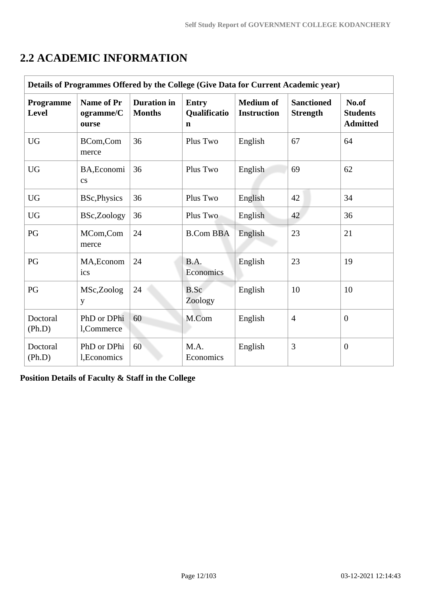| Details of Programmes Offered by the College (Give Data for Current Academic year) |                                         |                                     |                                             |                                        |                                      |                                             |  |  |  |
|------------------------------------------------------------------------------------|-----------------------------------------|-------------------------------------|---------------------------------------------|----------------------------------------|--------------------------------------|---------------------------------------------|--|--|--|
| Programme<br>Level                                                                 | <b>Name of Pr</b><br>ogramme/C<br>ourse | <b>Duration</b> in<br><b>Months</b> | <b>Entry</b><br>Qualificatio<br>$\mathbf n$ | <b>Medium of</b><br><b>Instruction</b> | <b>Sanctioned</b><br><b>Strength</b> | No.of<br><b>Students</b><br><b>Admitted</b> |  |  |  |
| <b>UG</b>                                                                          | BCom,Com<br>merce                       | 36                                  | Plus Two                                    | English                                | 67                                   | 64                                          |  |  |  |
| <b>UG</b>                                                                          | BA, Economi<br>$\mathbf{c}\mathbf{s}$   | 36                                  | Plus Two                                    | English                                | 69                                   | 62                                          |  |  |  |
| <b>UG</b>                                                                          | <b>BSc, Physics</b>                     | 36                                  | Plus Two                                    | English                                | 42                                   | 34                                          |  |  |  |
| <b>UG</b>                                                                          | BSc,Zoology                             | 36                                  | Plus Two                                    | English                                | 42                                   | 36                                          |  |  |  |
| PG                                                                                 | MCom,Com<br>merce                       | 24                                  | <b>B.Com BBA</b>                            | English                                | 23                                   | 21                                          |  |  |  |
| PG                                                                                 | MA, Econom<br>ics                       | 24                                  | B.A.<br>Economics                           | English                                | 23                                   | 19                                          |  |  |  |
| PG                                                                                 | MSc,Zoolog<br>y                         | 24                                  | B.Sc<br>Zoology                             | English                                | 10                                   | 10                                          |  |  |  |
| Doctoral<br>(Ph.D)                                                                 | PhD or DPhi<br>l,Commerce               | 60                                  | M.Com                                       | English                                | $\overline{4}$                       | $\overline{0}$                              |  |  |  |
| Doctoral<br>(Ph.D)                                                                 | PhD or DPhi<br>l, Economics             | 60                                  | M.A.<br>Economics                           | English                                | 3                                    | $\overline{0}$                              |  |  |  |

## **2.2 ACADEMIC INFORMATION**

**Position Details of Faculty & Staff in the College**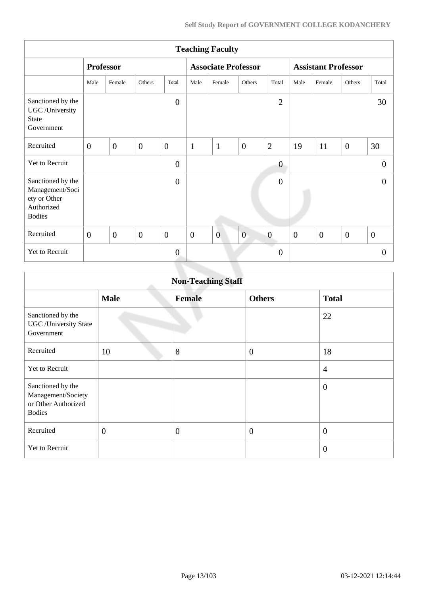| <b>Teaching Faculty</b>                                                             |                  |                |                |                            |              |                |                            |                |                  |              |                  |                |
|-------------------------------------------------------------------------------------|------------------|----------------|----------------|----------------------------|--------------|----------------|----------------------------|----------------|------------------|--------------|------------------|----------------|
|                                                                                     | <b>Professor</b> |                |                | <b>Associate Professor</b> |              |                | <b>Assistant Professor</b> |                |                  |              |                  |                |
|                                                                                     | Male             | Female         | Others         | Total                      | Male         | Female         | Others                     | Total          | Male             | Female       | Others           | Total          |
| Sanctioned by the<br>UGC /University<br>State<br>Government                         |                  |                |                | $\overline{0}$             |              |                |                            | $\overline{2}$ |                  |              |                  | 30             |
| Recruited                                                                           | $\overline{0}$   | $\theta$       | $\overline{0}$ | $\overline{0}$             | $\mathbf{1}$ | $\mathbf{1}$   | $\overline{0}$             | $\overline{2}$ | 19               | 11           | $\mathbf{0}$     | 30             |
| Yet to Recruit                                                                      |                  |                |                | $\mathbf{0}$               |              |                |                            | $\theta$       |                  |              |                  | $\overline{0}$ |
| Sanctioned by the<br>Management/Soci<br>ety or Other<br>Authorized<br><b>Bodies</b> |                  |                |                | $\theta$                   |              |                |                            | $\overline{0}$ |                  |              |                  | $\overline{0}$ |
| Recruited                                                                           | $\mathbf{0}$     | $\overline{0}$ | $\overline{0}$ | $\mathbf{0}$               | $\mathbf{0}$ | $\overline{0}$ | $\overline{0}$             | $\overline{0}$ | $\boldsymbol{0}$ | $\mathbf{0}$ | $\boldsymbol{0}$ | $\overline{0}$ |
| Yet to Recruit                                                                      |                  |                |                | $\overline{0}$             |              |                |                            | $\overline{0}$ |                  |              |                  | $\theta$       |

| <b>Non-Teaching Staff</b>                                                       |                |               |                  |                  |  |  |  |
|---------------------------------------------------------------------------------|----------------|---------------|------------------|------------------|--|--|--|
|                                                                                 | <b>Male</b>    | <b>Female</b> | <b>Others</b>    | <b>Total</b>     |  |  |  |
| Sanctioned by the<br><b>UGC</b> / University State<br>Government                |                |               |                  | 22               |  |  |  |
| Recruited                                                                       | 10             | 8             | $\boldsymbol{0}$ | 18               |  |  |  |
| <b>Yet to Recruit</b>                                                           |                |               |                  | $\overline{4}$   |  |  |  |
| Sanctioned by the<br>Management/Society<br>or Other Authorized<br><b>Bodies</b> |                |               |                  | $\boldsymbol{0}$ |  |  |  |
| Recruited                                                                       | $\overline{0}$ | $\mathbf{0}$  | $\boldsymbol{0}$ | $\boldsymbol{0}$ |  |  |  |
| Yet to Recruit                                                                  |                |               |                  | $\overline{0}$   |  |  |  |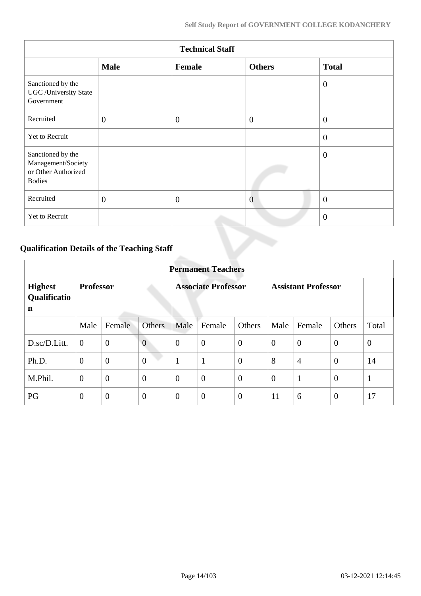| <b>Technical Staff</b>                                                          |              |                |                |                |  |  |  |
|---------------------------------------------------------------------------------|--------------|----------------|----------------|----------------|--|--|--|
|                                                                                 | <b>Male</b>  | Female         | <b>Others</b>  | <b>Total</b>   |  |  |  |
| Sanctioned by the<br><b>UGC</b> / University State<br>Government                |              |                |                | $\overline{0}$ |  |  |  |
| Recruited                                                                       | $\mathbf{0}$ | $\overline{0}$ | $\overline{0}$ | $\overline{0}$ |  |  |  |
| Yet to Recruit                                                                  |              |                |                | $\theta$       |  |  |  |
| Sanctioned by the<br>Management/Society<br>or Other Authorized<br><b>Bodies</b> |              |                |                | $\overline{0}$ |  |  |  |
| Recruited                                                                       | $\mathbf{0}$ | $\overline{0}$ | $\overline{0}$ | $\overline{0}$ |  |  |  |
| Yet to Recruit                                                                  |              |                |                | $\overline{0}$ |  |  |  |

## **Qualification Details of the Teaching Staff**

|                                     | <b>Permanent Teachers</b> |                |                |                |                            |                |                |                            |                |                |
|-------------------------------------|---------------------------|----------------|----------------|----------------|----------------------------|----------------|----------------|----------------------------|----------------|----------------|
| <b>Highest</b><br>Qualificatio<br>n | <b>Professor</b>          |                |                |                | <b>Associate Professor</b> |                |                | <b>Assistant Professor</b> |                |                |
|                                     | Male                      | Female         | <b>Others</b>  | Male           | Female                     | Others         | Male           | Female                     | Others         | Total          |
| D.sc/D.Litt.                        | $\overline{0}$            | $\mathbf{0}$   | $\overline{0}$ | $\theta$       | $\overline{0}$             | $\mathbf{0}$   | $\overline{0}$ | $\theta$                   | $\overline{0}$ | $\overline{0}$ |
| Ph.D.                               | $\overline{0}$            | $\overline{0}$ | $\overline{0}$ | $\mathbf{1}$   | $\mathbf{1}$               | $\overline{0}$ | 8              | $\overline{4}$             | $\theta$       | 14             |
| M.Phil.                             | $\boldsymbol{0}$          | $\overline{0}$ | $\overline{0}$ | $\theta$       | $\overline{0}$             | $\overline{0}$ | $\overline{0}$ | $\mathbf{1}$               | $\overline{0}$ | $\mathbf{1}$   |
| PG                                  | $\theta$                  | $\overline{0}$ | $\theta$       | $\overline{0}$ | $\overline{0}$             | $\overline{0}$ | 11             | 6                          | $\theta$       | 17             |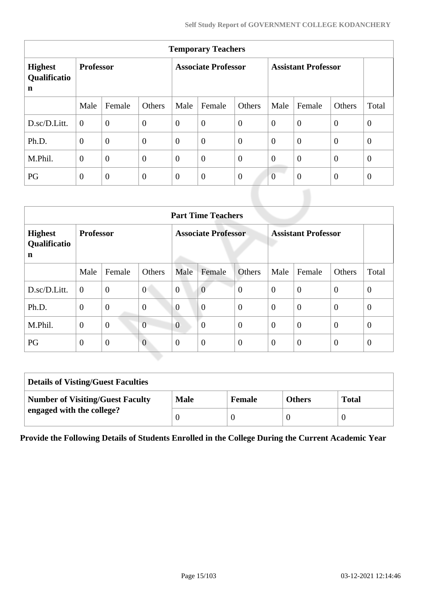| <b>Temporary Teachers</b>                     |                  |                |                  |                |                            |                |                |                            |                |                |
|-----------------------------------------------|------------------|----------------|------------------|----------------|----------------------------|----------------|----------------|----------------------------|----------------|----------------|
| <b>Highest</b><br>Qualificatio<br>$\mathbf n$ | <b>Professor</b> |                |                  |                | <b>Associate Professor</b> |                |                | <b>Assistant Professor</b> |                |                |
|                                               | Male             | Female         | Others           | Male           | Female                     | Others         | Male           | Female                     | Others         | Total          |
| D.sc/D.Litt.                                  | $\theta$         | $\overline{0}$ | $\boldsymbol{0}$ | $\overline{0}$ | $\overline{0}$             | $\overline{0}$ | $\overline{0}$ | $\overline{0}$             | $\overline{0}$ | $\overline{0}$ |
| Ph.D.                                         | $\overline{0}$   | $\overline{0}$ | $\overline{0}$   | $\overline{0}$ | $\boldsymbol{0}$           | $\overline{0}$ | $\overline{0}$ | $\theta$                   | $\overline{0}$ | $\overline{0}$ |
| M.Phil.                                       | $\overline{0}$   | $\overline{0}$ | $\overline{0}$   | $\overline{0}$ | $\overline{0}$             | $\overline{0}$ | $\overline{0}$ | $\overline{0}$             | $\overline{0}$ | $\overline{0}$ |
| PG                                            | $\theta$         | $\overline{0}$ | $\theta$         | $\overline{0}$ | $\overline{0}$             | $\theta$       | $\overline{0}$ | $\overline{0}$             | $\overline{0}$ | $\theta$       |

|                                     | <b>Part Time Teachers</b> |                |                  |                |                            |                |                  |                            |                |              |
|-------------------------------------|---------------------------|----------------|------------------|----------------|----------------------------|----------------|------------------|----------------------------|----------------|--------------|
| <b>Highest</b><br>Qualificatio<br>n | <b>Professor</b>          |                |                  |                | <b>Associate Professor</b> |                |                  | <b>Assistant Professor</b> |                |              |
|                                     | Male                      | Female         | Others           | Male           | Female                     | Others         | Male             | Female                     | Others         | Total        |
| D.sc/D.Litt.                        | $\overline{0}$            | $\overline{0}$ | $\overline{0}$   | $\overline{0}$ | $\overline{0}$             | $\overline{0}$ | $\overline{0}$   | $\overline{0}$             | $\overline{0}$ | $\mathbf{0}$ |
| Ph.D.                               | $\mathbf{0}$              | $\overline{0}$ | $\boldsymbol{0}$ | $\overline{0}$ | $\overline{0}$             | $\mathbf{0}$   | $\overline{0}$   | $\overline{0}$             | $\overline{0}$ | $\theta$     |
| M.Phil.                             | $\overline{0}$            | $\mathbf{0}$   | $\overline{0}$   | $\overline{0}$ | $\theta$                   | $\overline{0}$ | $\theta$         | $\overline{0}$             | $\overline{0}$ | $\theta$     |
| PG                                  | $\theta$                  | $\mathbf{0}$   | $\overline{0}$   | $\theta$       | $\overline{0}$             | $\overline{0}$ | $\boldsymbol{0}$ | $\overline{0}$             | $\theta$       | $\theta$     |

| <b>Details of Visting/Guest Faculties</b> |             |               |               |              |
|-------------------------------------------|-------------|---------------|---------------|--------------|
| <b>Number of Visiting/Guest Faculty</b>   | <b>Male</b> | <b>Female</b> | <b>Others</b> | <b>Total</b> |
| engaged with the college?                 |             |               |               |              |

**Provide the Following Details of Students Enrolled in the College During the Current Academic Year**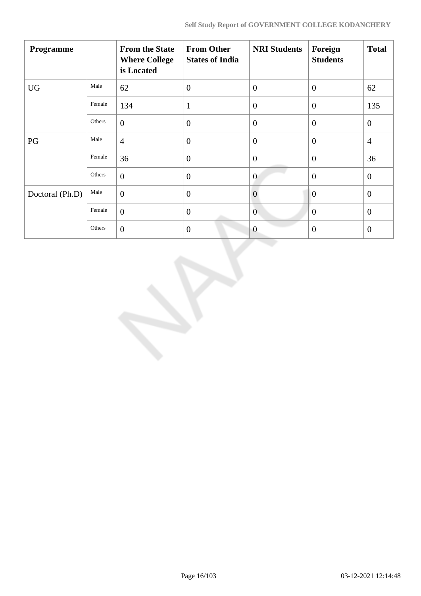| Programme       |        | <b>From the State</b><br><b>Where College</b><br>is Located | <b>From Other</b><br><b>States of India</b> | <b>NRI Students</b> | Foreign<br><b>Students</b> | <b>Total</b>   |
|-----------------|--------|-------------------------------------------------------------|---------------------------------------------|---------------------|----------------------------|----------------|
| <b>UG</b>       | Male   | 62                                                          | $\overline{0}$                              | $\theta$            | $\overline{0}$             | 62             |
|                 | Female | 134                                                         | 1                                           | $\overline{0}$      | $\theta$                   | 135            |
|                 | Others | $\overline{0}$                                              | $\theta$                                    | $\overline{0}$      | $\overline{0}$             | $\mathbf{0}$   |
| PG              | Male   | $\overline{4}$                                              | $\overline{0}$                              | $\overline{0}$      | $\overline{0}$             | $\overline{4}$ |
|                 | Female | 36                                                          | $\mathbf{0}$                                | $\overline{0}$      | $\overline{0}$             | 36             |
|                 | Others | $\overline{0}$                                              | $\overline{0}$                              | $\overline{0}$      | $\overline{0}$             | $\overline{0}$ |
| Doctoral (Ph.D) | Male   | $\overline{0}$                                              | $\overline{0}$                              | $\overline{0}$      | $\overline{0}$             | $\overline{0}$ |
|                 | Female | $\boldsymbol{0}$                                            | $\overline{0}$                              | $\mathbf{0}$        | $\mathbf{0}$               | $\mathbf{0}$   |
|                 | Others | $\overline{0}$                                              | $\mathbf{0}$                                | $\overline{0}$      | $\boldsymbol{0}$           | $\mathbf{0}$   |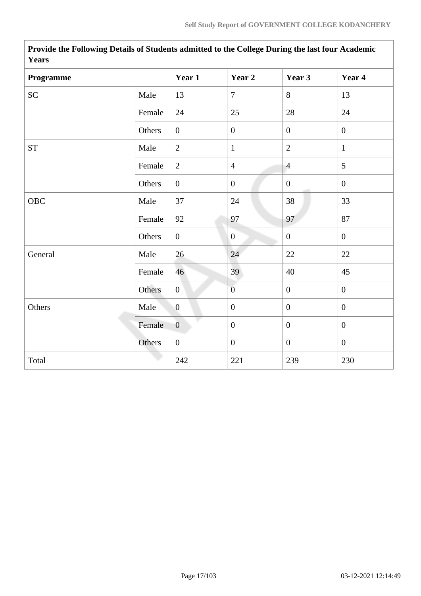| 1 cal 5            |        |                |                  |                  |                  |
|--------------------|--------|----------------|------------------|------------------|------------------|
| Programme          |        | Year 1         | Year 2           | Year 3           | Year 4           |
| ${\rm SC}$         | Male   | 13             | $\overline{7}$   | 8                | 13               |
|                    | Female | 24             | 25               | 28               | 24               |
|                    | Others | $\overline{0}$ | $\boldsymbol{0}$ | $\overline{0}$   | $\mathbf{0}$     |
| ${\cal S}{\cal T}$ | Male   | $\overline{2}$ | $\mathbf{1}$     | $\overline{2}$   | $\mathbf{1}$     |
|                    | Female | $\overline{2}$ | $\overline{4}$   | $\overline{4}$   | 5                |
|                    | Others | $\overline{0}$ | $\boldsymbol{0}$ | $\boldsymbol{0}$ | $\boldsymbol{0}$ |
| OBC                | Male   | 37             | 24               | 38               | 33               |
|                    | Female | 92             | 97               | 97               | 87               |
|                    | Others | $\overline{0}$ | $\mathbf{0}$     | $\boldsymbol{0}$ | $\boldsymbol{0}$ |
| General            | Male   | 26             | 24               | 22               | 22               |
|                    | Female | 46             | 39               | 40               | 45               |
|                    | Others | $\overline{0}$ | $\overline{0}$   | $\overline{0}$   | $\boldsymbol{0}$ |
| Others             | Male   | $\overline{0}$ | $\boldsymbol{0}$ | $\mathbf{0}$     | $\overline{0}$   |
|                    | Female | $\overline{0}$ | $\boldsymbol{0}$ | $\boldsymbol{0}$ | $\boldsymbol{0}$ |
|                    | Others | $\overline{0}$ | $\boldsymbol{0}$ | $\overline{0}$   | $\mathbf{0}$     |
| Total              |        | 242            | 221              | 239              | 230              |

**Provide the Following Details of Students admitted to the College During the last four Academic Years**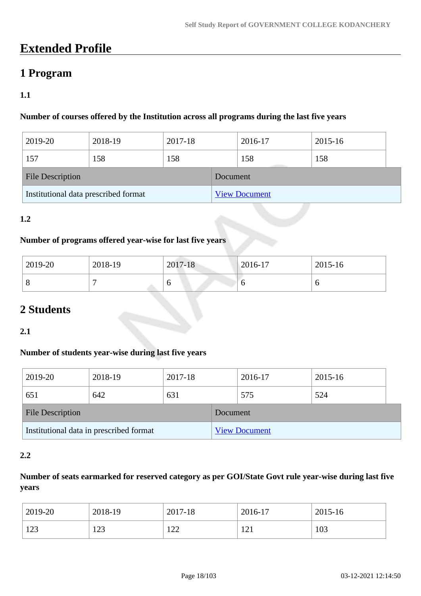## **Extended Profile**

### **1 Program**

### **1.1**

### **Number of courses offered by the Institution across all programs during the last five years**

| 2019-20                              | 2018-19 | 2017-18 |          | 2016-17              | 2015-16 |  |
|--------------------------------------|---------|---------|----------|----------------------|---------|--|
| 157                                  | 158     | 158     |          | 158                  | 158     |  |
| <b>File Description</b>              |         |         | Document |                      |         |  |
| Institutional data prescribed format |         |         |          | <b>View Document</b> |         |  |

### **1.2**

### **Number of programs offered year-wise for last five years**

| 2019-20 | 2018-19 | 2017-18 | $ 2016-17$ | 2015-16 |
|---------|---------|---------|------------|---------|
| $\circ$ |         | O       |            |         |

## **2 Students**

**2.1**

### **Number of students year-wise during last five years**

| 2019-20                                 | 2018-19 | 2017-18 |          | 2016-17              | 2015-16 |  |
|-----------------------------------------|---------|---------|----------|----------------------|---------|--|
| 651                                     | 642     | 631     |          | 575                  | 524     |  |
| <b>File Description</b>                 |         |         | Document |                      |         |  |
| Institutional data in prescribed format |         |         |          | <b>View Document</b> |         |  |

### **2.2**

### **Number of seats earmarked for reserved category as per GOI/State Govt rule year-wise during last five years**

| 2019-20 | 2018-19 | 2017-18         | 2016-17    | 2015-16 |
|---------|---------|-----------------|------------|---------|
| 123     | ר הו    | 1 $\cap$ $\cap$ | $1 \cap 1$ | 103     |
| ⊥∠⊃     | ل که 1  | - 22            | 1/4        |         |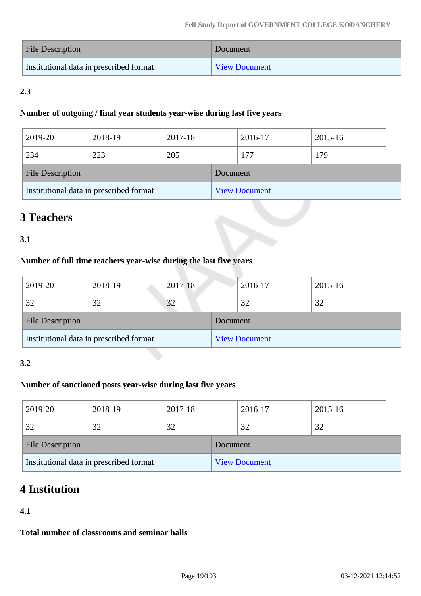| <b>File Description</b>                 | Document             |
|-----------------------------------------|----------------------|
| Institutional data in prescribed format | <b>View Document</b> |

### **2.3**

### **Number of outgoing / final year students year-wise during last five years**

| 2019-20                                 | 2018-19 | 2017-18 |          | 2016-17              | 2015-16 |  |
|-----------------------------------------|---------|---------|----------|----------------------|---------|--|
| 234                                     | 223     | 205     |          | 177                  | 179     |  |
| <b>File Description</b>                 |         |         | Document |                      |         |  |
| Institutional data in prescribed format |         |         |          | <b>View Document</b> |         |  |

## **3 Teachers**

### **3.1**

### **Number of full time teachers year-wise during the last five years**

| 2019-20                                 | 2018-19 | 2017-18 |          | 2016-17              | 2015-16 |  |
|-----------------------------------------|---------|---------|----------|----------------------|---------|--|
| 32                                      | 32      | 32      |          | 32                   | 32      |  |
| <b>File Description</b>                 |         |         | Document |                      |         |  |
| Institutional data in prescribed format |         |         |          | <b>View Document</b> |         |  |

### **3.2**

### **Number of sanctioned posts year-wise during last five years**

| 2019-20                                 | 2018-19 | 2017-18 |          | 2016-17              | 2015-16 |  |
|-----------------------------------------|---------|---------|----------|----------------------|---------|--|
| 32                                      | 32      | 32      |          | 32                   | 32      |  |
| <b>File Description</b>                 |         |         | Document |                      |         |  |
| Institutional data in prescribed format |         |         |          | <b>View Document</b> |         |  |

## **4 Institution**

### **4.1**

**Total number of classrooms and seminar halls**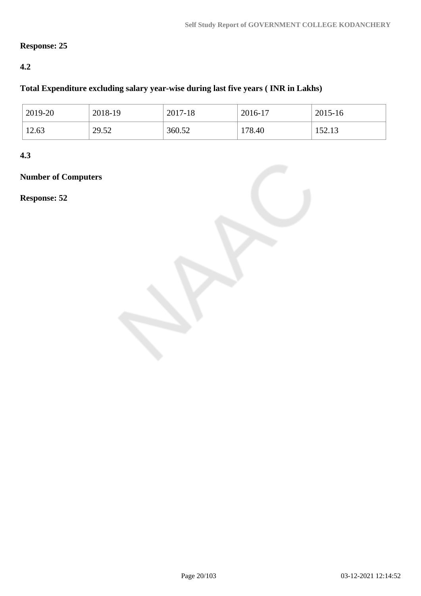### **Response: 25**

### **4.2**

### **Total Expenditure excluding salary year-wise during last five years ( INR in Lakhs)**

| 2019-20 | 2018-19 | 2017-18 | 2016-17 | 2015-16 |
|---------|---------|---------|---------|---------|
| 12.63   | 29.52   | 360.52  | 178.40  | 152.13  |

**4.3**

### **Number of Computers**

**Response: 52**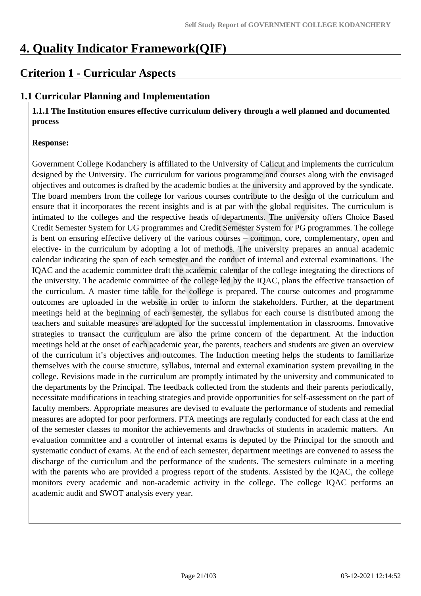## **4. Quality Indicator Framework(QIF)**

### **Criterion 1 - Curricular Aspects**

### **1.1 Curricular Planning and Implementation**

 **1.1.1 The Institution ensures effective curriculum delivery through a well planned and documented process**

### **Response:**

Government College Kodanchery is affiliated to the University of Calicut and implements the curriculum designed by the University. The curriculum for various programme and courses along with the envisaged objectives and outcomes is drafted by the academic bodies at the university and approved by the syndicate. The board members from the college for various courses contribute to the design of the curriculum and ensure that it incorporates the recent insights and is at par with the global requisites. The curriculum is intimated to the colleges and the respective heads of departments. The university offers Choice Based Credit Semester System for UG programmes and Credit Semester System for PG programmes. The college is bent on ensuring effective delivery of the various courses – common, core, complementary, open and elective- in the curriculum by adopting a lot of methods. The university prepares an annual academic calendar indicating the span of each semester and the conduct of internal and external examinations. The IQAC and the academic committee draft the academic calendar of the college integrating the directions of the university. The academic committee of the college led by the IQAC, plans the effective transaction of the curriculum. A master time table for the college is prepared. The course outcomes and programme outcomes are uploaded in the website in order to inform the stakeholders. Further, at the department meetings held at the beginning of each semester, the syllabus for each course is distributed among the teachers and suitable measures are adopted for the successful implementation in classrooms. Innovative strategies to transact the curriculum are also the prime concern of the department. At the induction meetings held at the onset of each academic year, the parents, teachers and students are given an overview of the curriculum it's objectives and outcomes. The Induction meeting helps the students to familiarize themselves with the course structure, syllabus, internal and external examination system prevailing in the college. Revisions made in the curriculum are promptly intimated by the university and communicated to the departments by the Principal. The feedback collected from the students and their parents periodically, necessitate modifications in teaching strategies and provide opportunities for self-assessment on the part of faculty members. Appropriate measures are devised to evaluate the performance of students and remedial measures are adopted for poor performers. PTA meetings are regularly conducted for each class at the end of the semester classes to monitor the achievements and drawbacks of students in academic matters. An evaluation committee and a controller of internal exams is deputed by the Principal for the smooth and systematic conduct of exams. At the end of each semester, department meetings are convened to assess the discharge of the curriculum and the performance of the students. The semesters culminate in a meeting with the parents who are provided a progress report of the students. Assisted by the IQAC, the college monitors every academic and non-academic activity in the college. The college IQAC performs an academic audit and SWOT analysis every year.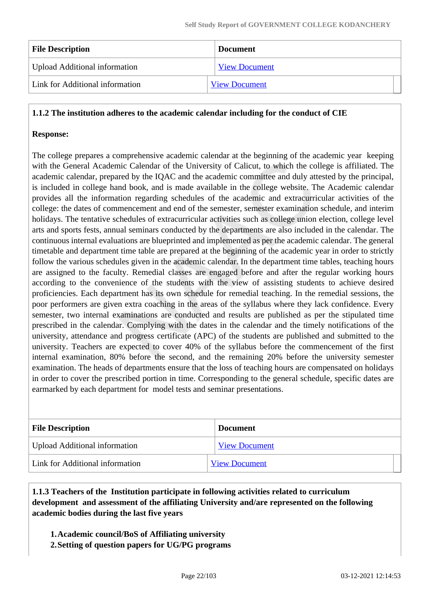| <b>File Description</b>              | <b>Document</b>      |  |
|--------------------------------------|----------------------|--|
| <b>Upload Additional information</b> | <b>View Document</b> |  |
| Link for Additional information      | <b>View Document</b> |  |

### **1.1.2 The institution adheres to the academic calendar including for the conduct of CIE**

### **Response:**

The college prepares a comprehensive academic calendar at the beginning of the academic year keeping with the General Academic Calendar of the University of Calicut, to which the college is affiliated. The academic calendar, prepared by the IQAC and the academic committee and duly attested by the principal, is included in college hand book, and is made available in the college website. The Academic calendar provides all the information regarding schedules of the academic and extracurricular activities of the college: the dates of commencement and end of the semester, semester examination schedule, and interim holidays. The tentative schedules of extracurricular activities such as college union election, college level arts and sports fests, annual seminars conducted by the departments are also included in the calendar. The continuous internal evaluations are blueprinted and implemented as per the academic calendar. The general timetable and department time table are prepared at the beginning of the academic year in order to strictly follow the various schedules given in the academic calendar. In the department time tables, teaching hours are assigned to the faculty. Remedial classes are engaged before and after the regular working hours according to the convenience of the students with the view of assisting students to achieve desired proficiencies. Each department has its own schedule for remedial teaching. In the remedial sessions, the poor performers are given extra coaching in the areas of the syllabus where they lack confidence. Every semester, two internal examinations are conducted and results are published as per the stipulated time prescribed in the calendar. Complying with the dates in the calendar and the timely notifications of the university, attendance and progress certificate (APC) of the students are published and submitted to the university. Teachers are expected to cover 40% of the syllabus before the commencement of the first internal examination, 80% before the second, and the remaining 20% before the university semester examination. The heads of departments ensure that the loss of teaching hours are compensated on holidays in order to cover the prescribed portion in time. Corresponding to the general schedule, specific dates are earmarked by each department for model tests and seminar presentations.

| <b>File Description</b>              | <b>Document</b>      |  |  |
|--------------------------------------|----------------------|--|--|
| <b>Upload Additional information</b> | <b>View Document</b> |  |  |
| Link for Additional information      | <b>View Document</b> |  |  |

### **1.1.3 Teachers of the Institution participate in following activities related to curriculum development and assessment of the affiliating University and/are represented on the following academic bodies during the last five years**

- **1.Academic council/BoS of Affiliating university**
- **2.Setting of question papers for UG/PG programs**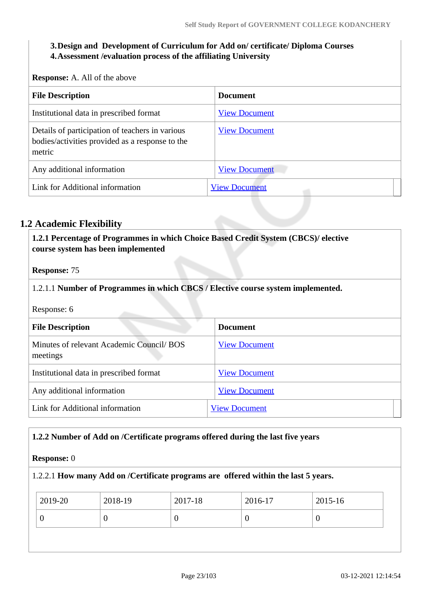### **3.Design and Development of Curriculum for Add on/ certificate/ Diploma Courses 4.Assessment /evaluation process of the affiliating University**

**Response:** A. All of the above

| <b>File Description</b>                                                                                      | <b>Document</b>      |  |  |  |  |
|--------------------------------------------------------------------------------------------------------------|----------------------|--|--|--|--|
| Institutional data in prescribed format                                                                      | <b>View Document</b> |  |  |  |  |
| Details of participation of teachers in various<br>bodies/activities provided as a response to the<br>metric | <b>View Document</b> |  |  |  |  |
| Any additional information                                                                                   | <b>View Document</b> |  |  |  |  |
| Link for Additional information                                                                              | <b>View Document</b> |  |  |  |  |

### **1.2 Academic Flexibility**

 **1.2.1 Percentage of Programmes in which Choice Based Credit System (CBCS)/ elective course system has been implemented** 

**Response:** 75

1.2.1.1 **Number of Programmes in which CBCS / Elective course system implemented.**

Response: 6

| <b>File Description</b>                               | <b>Document</b>      |
|-------------------------------------------------------|----------------------|
| Minutes of relevant Academic Council/ BOS<br>meetings | <b>View Document</b> |
| Institutional data in prescribed format               | <b>View Document</b> |
| Any additional information                            | <b>View Document</b> |
| Link for Additional information                       | <b>View Document</b> |

### **1.2.2 Number of Add on /Certificate programs offered during the last five years**

### **Response:** 0

### 1.2.2.1 **How many Add on /Certificate programs are offered within the last 5 years.**

| 2019-20 | 2018-19 | 2017-18 | 2016-17 | 2015-16 |
|---------|---------|---------|---------|---------|
|         |         |         | U       | v       |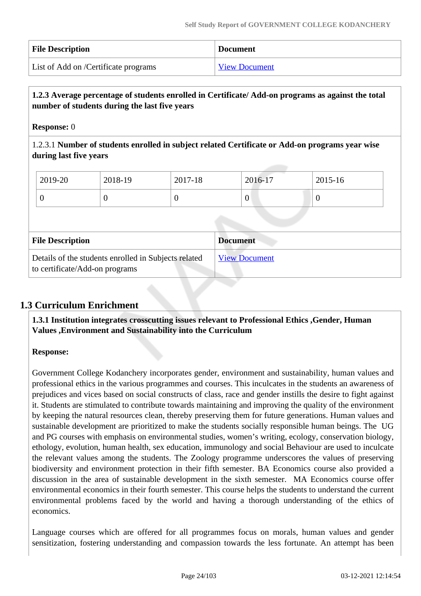| <b>File Description</b>              | <b>Document</b>      |
|--------------------------------------|----------------------|
| List of Add on /Certificate programs | <b>View Document</b> |

### **1.2.3 Average percentage of students enrolled in Certificate/ Add-on programs as against the total number of students during the last five years**

### **Response:** 0

1.2.3.1 **Number of students enrolled in subject related Certificate or Add-on programs year wise during last five years**

|  | 2019-20                                                                                | 2018-19  | 2017-18  |                 | 2016-17              | 2015-16          |
|--|----------------------------------------------------------------------------------------|----------|----------|-----------------|----------------------|------------------|
|  | $\theta$                                                                               | $\theta$ | $\theta$ |                 | $\overline{0}$       | $\boldsymbol{0}$ |
|  |                                                                                        |          |          |                 |                      |                  |
|  | <b>File Description</b>                                                                |          |          | <b>Document</b> |                      |                  |
|  | Details of the students enrolled in Subjects related<br>to certificate/Add-on programs |          |          |                 | <b>View Document</b> |                  |

### **1.3 Curriculum Enrichment**

 **1.3.1 Institution integrates crosscutting issues relevant to Professional Ethics ,Gender, Human Values ,Environment and Sustainability into the Curriculum**

### **Response:**

Government College Kodanchery incorporates gender, environment and sustainability, human values and professional ethics in the various programmes and courses. This inculcates in the students an awareness of prejudices and vices based on social constructs of class, race and gender instills the desire to fight against it. Students are stimulated to contribute towards maintaining and improving the quality of the environment by keeping the natural resources clean, thereby preserving them for future generations. Human values and sustainable development are prioritized to make the students socially responsible human beings. The UG and PG courses with emphasis on environmental studies, women's writing, ecology, conservation biology, ethology, evolution, human health, sex education, immunology and social Behaviour are used to inculcate the relevant values among the students. The Zoology programme underscores the values of preserving biodiversity and environment protection in their fifth semester. BA Economics course also provided a discussion in the area of sustainable development in the sixth semester. MA Economics course offer environmental economics in their fourth semester. This course helps the students to understand the current environmental problems faced by the world and having a thorough understanding of the ethics of economics.

Language courses which are offered for all programmes focus on morals, human values and gender sensitization, fostering understanding and compassion towards the less fortunate. An attempt has been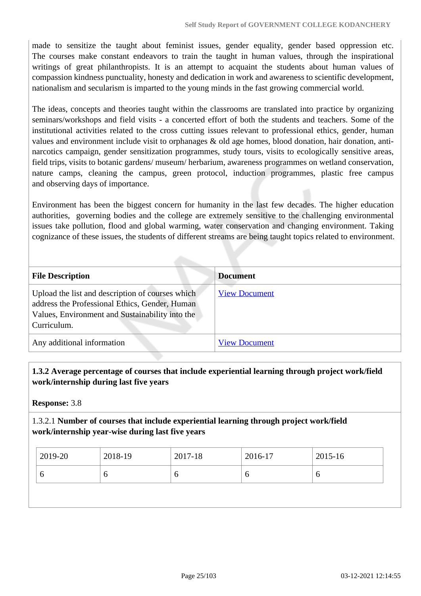made to sensitize the taught about feminist issues, gender equality, gender based oppression etc. The courses make constant endeavors to train the taught in human values, through the inspirational writings of great philanthropists. It is an attempt to acquaint the students about human values of compassion kindness punctuality, honesty and dedication in work and awareness to scientific development, nationalism and secularism is imparted to the young minds in the fast growing commercial world.

The ideas, concepts and theories taught within the classrooms are translated into practice by organizing seminars/workshops and field visits - a concerted effort of both the students and teachers. Some of the institutional activities related to the cross cutting issues relevant to professional ethics, gender, human values and environment include visit to orphanages & old age homes, blood donation, hair donation, antinarcotics campaign, gender sensitization programmes, study tours, visits to ecologically sensitive areas, field trips, visits to botanic gardens/ museum/ herbarium, awareness programmes on wetland conservation, nature camps, cleaning the campus, green protocol, induction programmes, plastic free campus and observing days of importance.

Environment has been the biggest concern for humanity in the last few decades. The higher education authorities, governing bodies and the college are extremely sensitive to the challenging environmental issues take pollution, flood and global warming, water conservation and changing environment. Taking cognizance of these issues, the students of different streams are being taught topics related to environment.

| <b>File Description</b>                                                                                                                                              | <b>Document</b>      |
|----------------------------------------------------------------------------------------------------------------------------------------------------------------------|----------------------|
| Upload the list and description of courses which<br>address the Professional Ethics, Gender, Human<br>Values, Environment and Sustainability into the<br>Curriculum. | <b>View Document</b> |
| Any additional information                                                                                                                                           | <b>View Document</b> |

### **1.3.2 Average percentage of courses that include experiential learning through project work/field work/internship during last five years**

**Response:** 3.8

### 1.3.2.1 **Number of courses that include experiential learning through project work/field work/internship year-wise during last five years**

| 2019-20 | 2018-19 | 2017-18 | 2016-17 | 2015-16 |
|---------|---------|---------|---------|---------|
|         | O       | υ       |         |         |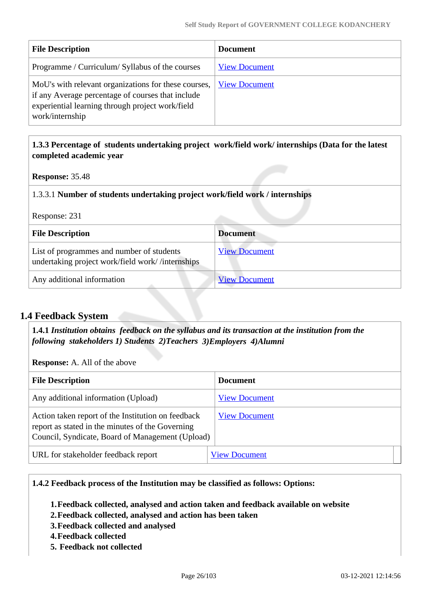| <b>File Description</b>                                                                                                                                                          | <b>Document</b>      |
|----------------------------------------------------------------------------------------------------------------------------------------------------------------------------------|----------------------|
| Programme / Curriculum/ Syllabus of the courses                                                                                                                                  | <b>View Document</b> |
| MoU's with relevant organizations for these courses,<br>if any Average percentage of courses that include<br>experiential learning through project work/field<br>work/internship | <b>View Document</b> |
|                                                                                                                                                                                  |                      |

### **1.3.3 Percentage of students undertaking project work/field work/ internships (Data for the latest completed academic year**

**Response:** 35.48

### 1.3.3.1 **Number of students undertaking project work/field work / internships**

Response: 231

| <b>File Description</b>                                                                       | <b>Document</b>      |
|-----------------------------------------------------------------------------------------------|----------------------|
| List of programmes and number of students<br>undertaking project work/field work//internships | <b>View Document</b> |
| Any additional information                                                                    | <b>View Document</b> |

### **1.4 Feedback System**

 **1.4.1** *Institution obtains feedback on the syllabus and its transaction at the institution from the following stakeholders 1) Students 2)Teachers 3)Employers 4)Alumni* 

**Response:** A. All of the above

| <b>File Description</b>                                                                                                                                    | <b>Document</b>      |
|------------------------------------------------------------------------------------------------------------------------------------------------------------|----------------------|
| Any additional information (Upload)                                                                                                                        | <b>View Document</b> |
| Action taken report of the Institution on feedback<br>report as stated in the minutes of the Governing<br>Council, Syndicate, Board of Management (Upload) | <b>View Document</b> |
| URL for stakeholder feedback report                                                                                                                        | <b>View Document</b> |

### **1.4.2 Feedback process of the Institution may be classified as follows: Options:**

**1.Feedback collected, analysed and action taken and feedback available on website**

- **2.Feedback collected, analysed and action has been taken**
- **3.Feedback collected and analysed**
- **4.Feedback collected**
- **5. Feedback not collected**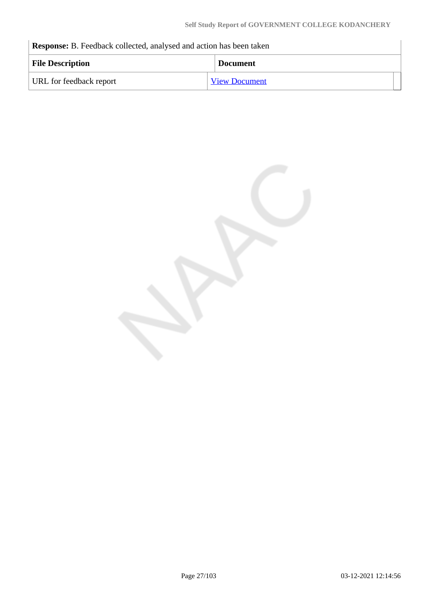**Response:** B. Feedback collected, analysed and action has been taken

| <b>File Description</b> | <b>Document</b>      |
|-------------------------|----------------------|
| URL for feedback report | <b>View Document</b> |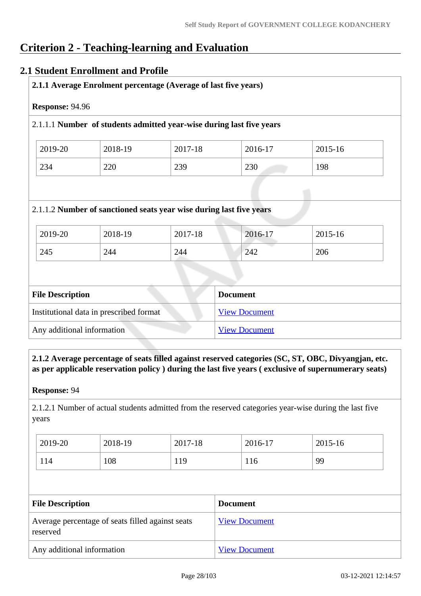## **Criterion 2 - Teaching-learning and Evaluation**

### **2.1 Student Enrollment and Profile**

| Response: 94.96         |         |                                                                      |                 |         |
|-------------------------|---------|----------------------------------------------------------------------|-----------------|---------|
|                         |         | 2.1.1.1 Number of students admitted year-wise during last five years |                 |         |
| 2019-20                 | 2018-19 | 2017-18                                                              | 2016-17         | 2015-16 |
| 234                     | 220     | 239                                                                  | 230             | 198     |
|                         |         | 2.1.1.2 Number of sanctioned seats year wise during last five years  |                 |         |
| 2019-20                 | 2018-19 | 2017-18                                                              | 2016-17         | 2015-16 |
| 245                     | 244     | 244                                                                  | 242             | 206     |
|                         |         |                                                                      |                 |         |
| <b>File Description</b> |         |                                                                      | <b>Document</b> |         |

| Institutional data in prescribed format | <b>View Document</b> |
|-----------------------------------------|----------------------|
| Any additional information              | <b>View Document</b> |
|                                         |                      |

 **2.1.2 Average percentage of seats filled against reserved categories (SC, ST, OBC, Divyangjan, etc. as per applicable reservation policy ) during the last five years ( exclusive of supernumerary seats)**

**Response:** 94

2.1.2.1 Number of actual students admitted from the reserved categories year-wise during the last five years

| 2019-20 | 2018-19 | 2017-18 | 2016-17 | 2015-16 |
|---------|---------|---------|---------|---------|
| 114     | 108     | 119     | 116     | 99      |

| <b>File Description</b>                                      | <b>Document</b>      |
|--------------------------------------------------------------|----------------------|
| Average percentage of seats filled against seats<br>reserved | <b>View Document</b> |
| Any additional information                                   | <b>View Document</b> |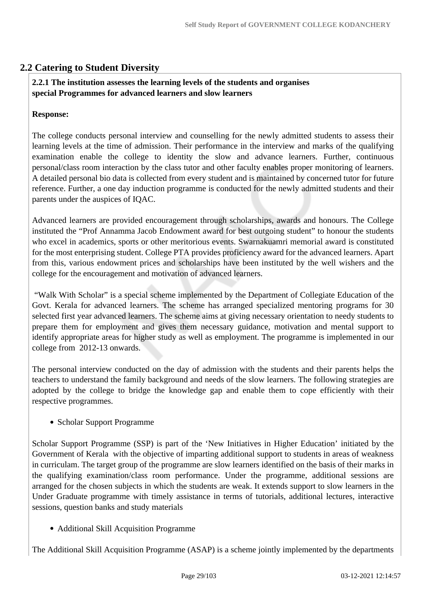### **2.2 Catering to Student Diversity**

### **2.2.1 The institution assesses the learning levels of the students and organises special Programmes for advanced learners and slow learners**

### **Response:**

The college conducts personal interview and counselling for the newly admitted students to assess their learning levels at the time of admission. Their performance in the interview and marks of the qualifying examination enable the college to identity the slow and advance learners. Further, continuous personal/class room interaction by the class tutor and other faculty enables proper monitoring of learners. A detailed personal bio data is collected from every student and is maintained by concerned tutor for future reference. Further, a one day induction programme is conducted for the newly admitted students and their parents under the auspices of IQAC.

Advanced learners are provided encouragement through scholarships, awards and honours. The College instituted the "Prof Annamma Jacob Endowment award for best outgoing student" to honour the students who excel in academics, sports or other meritorious events. Swarnakuamri memorial award is constituted for the most enterprising student. College PTA provides proficiency award for the advanced learners. Apart from this, various endowment prices and scholarships have been instituted by the well wishers and the college for the encouragement and motivation of advanced learners.

 "Walk With Scholar" is a special scheme implemented by the Department of Collegiate Education of the Govt. Kerala for advanced learners. The scheme has arranged specialized mentoring programs for 30 selected first year advanced learners. The scheme aims at giving necessary orientation to needy students to prepare them for employment and gives them necessary guidance, motivation and mental support to identify appropriate areas for higher study as well as employment. The programme is implemented in our college from 2012-13 onwards.

The personal interview conducted on the day of admission with the students and their parents helps the teachers to understand the family background and needs of the slow learners. The following strategies are adopted by the college to bridge the knowledge gap and enable them to cope efficiently with their respective programmes.

### • Scholar Support Programme

Scholar Support Programme (SSP) is part of the 'New Initiatives in Higher Education' initiated by the Government of Kerala with the objective of imparting additional support to students in areas of weakness in curriculam. The target group of the programme are slow learners identified on the basis of their marks in the qualifying examination/class room performance. Under the programme, additional sessions are arranged for the chosen subjects in which the students are weak. It extends support to slow learners in the Under Graduate programme with timely assistance in terms of tutorials, additional lectures, interactive sessions, question banks and study materials

Additional Skill Acquisition Programme

The Additional Skill Acquisition Programme (ASAP) is a scheme jointly implemented by the departments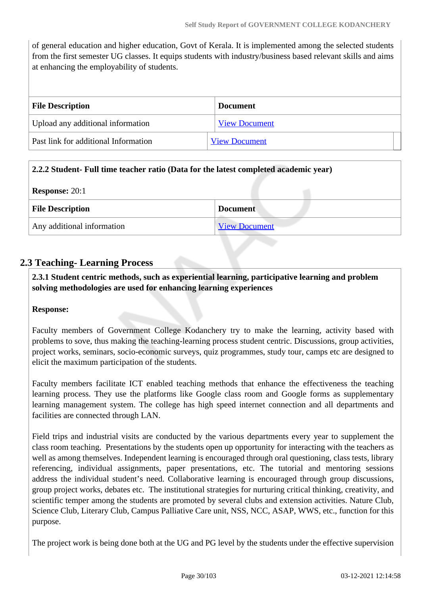of general education and higher education, Govt of Kerala. It is implemented among the selected students from the first semester UG classes. It equips students with industry/business based relevant skills and aims at enhancing the employability of students.

| <b>File Description</b>              | <b>Document</b>      |
|--------------------------------------|----------------------|
| Upload any additional information    | <b>View Document</b> |
| Past link for additional Information | <b>View Document</b> |

### **2.2.2 Student- Full time teacher ratio (Data for the latest completed academic year)**

**Response:** 20:1

| <b>File Description</b>    | <b>Document</b>      |  |
|----------------------------|----------------------|--|
| Any additional information | <b>View Document</b> |  |

### **2.3 Teaching- Learning Process**

 **2.3.1 Student centric methods, such as experiential learning, participative learning and problem solving methodologies are used for enhancing learning experiences**

### **Response:**

Faculty members of Government College Kodanchery try to make the learning, activity based with problems to sove, thus making the teaching-learning process student centric. Discussions, group activities, project works, seminars, socio-economic surveys, quiz programmes, study tour, camps etc are designed to elicit the maximum participation of the students.

Faculty members facilitate ICT enabled teaching methods that enhance the effectiveness the teaching learning process. They use the platforms like Google class room and Google forms as supplementary learning management system. The college has high speed internet connection and all departments and facilities are connected through LAN.

Field trips and industrial visits are conducted by the various departments every year to supplement the class room teaching. Presentations by the students open up opportunity for interacting with the teachers as well as among themselves. Independent learning is encouraged through oral questioning, class tests, library referencing, individual assignments, paper presentations, etc. The tutorial and mentoring sessions address the individual student's need. Collaborative learning is encouraged through group discussions, group project works, debates etc. The institutional strategies for nurturing critical thinking, creativity, and scientific temper among the students are promoted by several clubs and extension activities. Nature Club, Science Club, Literary Club, Campus Palliative Care unit, NSS, NCC, ASAP, WWS, etc., function for this purpose.

The project work is being done both at the UG and PG level by the students under the effective supervision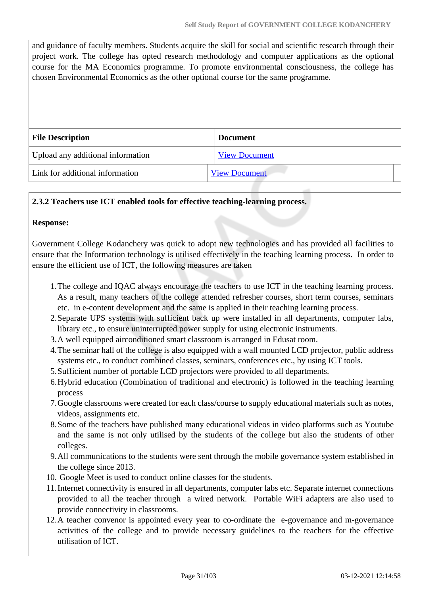and guidance of faculty members. Students acquire the skill for social and scientific research through their project work. The college has opted research methodology and computer applications as the optional course for the MA Economics programme. To promote environmental consciousness, the college has chosen Environmental Economics as the other optional course for the same programme.

| <b>File Description</b>           | <b>Document</b>      |
|-----------------------------------|----------------------|
| Upload any additional information | <b>View Document</b> |
| Link for additional information   | <b>View Document</b> |

### **2.3.2 Teachers use ICT enabled tools for effective teaching-learning process.**

#### **Response:**

Government College Kodanchery was quick to adopt new technologies and has provided all facilities to ensure that the Information technology is utilised effectively in the teaching learning process. In order to ensure the efficient use of ICT, the following measures are taken

- 1.The college and IQAC always encourage the teachers to use ICT in the teaching learning process. As a result, many teachers of the college attended refresher courses, short term courses, seminars etc. in e-content development and the same is applied in their teaching learning process.
- 2.Separate UPS systems with sufficient back up were installed in all departments, computer labs, library etc., to ensure uninterrupted power supply for using electronic instruments.
- 3.A well equipped airconditioned smart classroom is arranged in Edusat room.
- 4.The seminar hall of the college is also equipped with a wall mounted LCD projector, public address systems etc., to conduct combined classes, seminars, conferences etc., by using ICT tools.
- 5.Sufficient number of portable LCD projectors were provided to all departments.
- 6.Hybrid education (Combination of traditional and electronic) is followed in the teaching learning process
- 7.Google classrooms were created for each class/course to supply educational materials such as notes, videos, assignments etc.
- 8.Some of the teachers have published many educational videos in video platforms such as Youtube and the same is not only utilised by the students of the college but also the students of other colleges.
- 9.All communications to the students were sent through the mobile governance system established in the college since 2013.
- 10. Google Meet is used to conduct online classes for the students.
- 11.Internet connectivity is ensured in all departments, computer labs etc. Separate internet connections provided to all the teacher through a wired network. Portable WiFi adapters are also used to provide connectivity in classrooms.
- 12.A teacher convenor is appointed every year to co-ordinate the e-governance and m-governance activities of the college and to provide necessary guidelines to the teachers for the effective utilisation of ICT.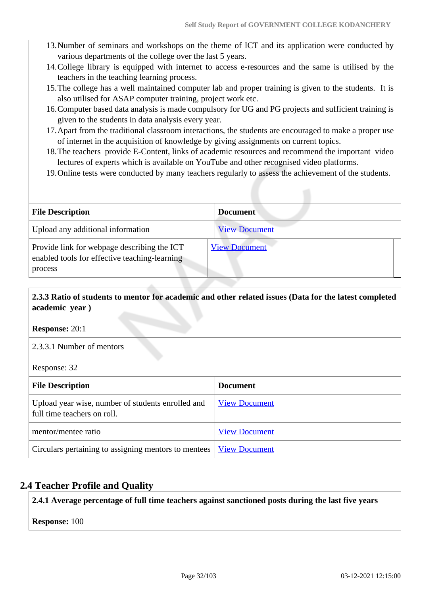- 13.Number of seminars and workshops on the theme of ICT and its application were conducted by various departments of the college over the last 5 years.
- 14.College library is equipped with internet to access e-resources and the same is utilised by the teachers in the teaching learning process.
- 15.The college has a well maintained computer lab and proper training is given to the students. It is also utilised for ASAP computer training, project work etc.
- 16.Computer based data analysis is made compulsory for UG and PG projects and sufficient training is given to the students in data analysis every year.
- 17.Apart from the traditional classroom interactions, the students are encouraged to make a proper use of internet in the acquisition of knowledge by giving assignments on current topics.
- 18.The teachers provide E-Content, links of academic resources and recommend the important video lectures of experts which is available on YouTube and other recognised video platforms.
- 19.Online tests were conducted by many teachers regularly to assess the achievement of the students.

| <b>File Description</b>                                                                                 | <b>Document</b>      |
|---------------------------------------------------------------------------------------------------------|----------------------|
| Upload any additional information                                                                       | <b>View Document</b> |
| Provide link for webpage describing the ICT<br>enabled tools for effective teaching-learning<br>process | <b>View Document</b> |

### **2.3.3 Ratio of students to mentor for academic and other related issues (Data for the latest completed academic year )**

**Response:** 20:1

2.3.3.1 Number of mentors

Response: 32

| <b>File Description</b>                                                          | <b>Document</b>      |
|----------------------------------------------------------------------------------|----------------------|
| Upload year wise, number of students enrolled and<br>full time teachers on roll. | <b>View Document</b> |
| mentor/mentee ratio                                                              | <b>View Document</b> |
| Circulars pertaining to assigning mentors to mentees   View Document             |                      |

### **2.4 Teacher Profile and Quality**

**2.4.1 Average percentage of full time teachers against sanctioned posts during the last five years**

**Response:** 100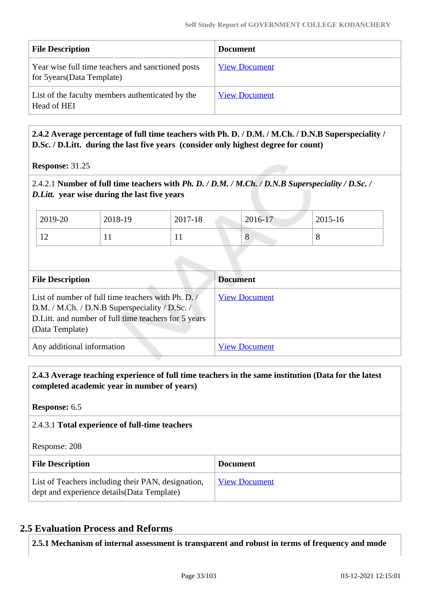| <b>File Description</b>                                                          | <b>Document</b>      |
|----------------------------------------------------------------------------------|----------------------|
| Year wise full time teachers and sanctioned posts<br>for 5 years (Data Template) | <b>View Document</b> |
| List of the faculty members authenticated by the<br>Head of HEI                  | <b>View Document</b> |

 **2.4.2 Average percentage of full time teachers with Ph. D. / D.M. / M.Ch. / D.N.B Superspeciality / D.Sc. / D.Litt. during the last five years (consider only highest degree for count)**

**Response:** 31.25

2.4.2.1 **Number of full time teachers with** *Ph. D. / D.M. / M.Ch. / D.N.B Superspeciality / D.Sc. / D.Litt.* **year wise during the last five years**

| 2019-20                  | 2018-19 | 2017-18 | 2016-17 | 2015-16 |
|--------------------------|---------|---------|---------|---------|
| $\sim$<br>$\overline{1}$ | . .     | . .     | $\circ$ | $\circ$ |

| <b>File Description</b>                                                                                                                                                          | <b>Document</b>      |
|----------------------------------------------------------------------------------------------------------------------------------------------------------------------------------|----------------------|
| List of number of full time teachers with Ph. D. /<br>D.M. / M.Ch. / D.N.B Superspeciality / D.Sc. /<br>D. Litt. and number of full time teachers for 5 years<br>(Data Template) | <b>View Document</b> |
| Any additional information                                                                                                                                                       | <b>View Document</b> |

 **2.4.3 Average teaching experience of full time teachers in the same institution (Data for the latest completed academic year in number of years)** 

**Response:** 6.5

### 2.4.3.1 **Total experience of full-time teachers**

Response: 208

| <b>File Description</b>                                                                           | <b>Document</b>      |
|---------------------------------------------------------------------------------------------------|----------------------|
| List of Teachers including their PAN, designation,<br>dept and experience details (Data Template) | <b>View Document</b> |

### **2.5 Evaluation Process and Reforms**

**2.5.1 Mechanism of internal assessment is transparent and robust in terms of frequency and mode**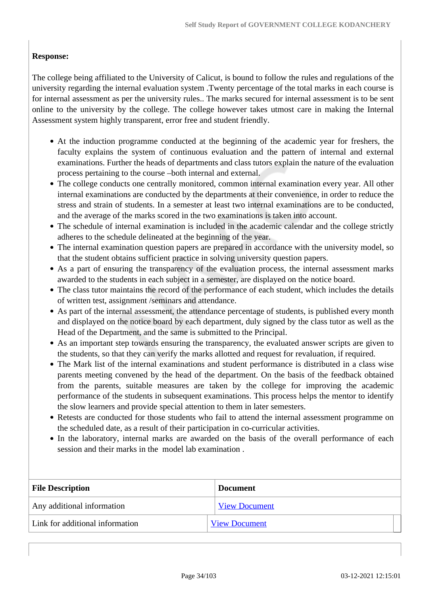### **Response:**

The college being affiliated to the University of Calicut, is bound to follow the rules and regulations of the university regarding the internal evaluation system .Twenty percentage of the total marks in each course is for internal assessment as per the university rules.. The marks secured for internal assessment is to be sent online to the university by the college. The college however takes utmost care in making the Internal Assessment system highly transparent, error free and student friendly.

- At the induction programme conducted at the beginning of the academic year for freshers, the faculty explains the system of continuous evaluation and the pattern of internal and external examinations. Further the heads of departments and class tutors explain the nature of the evaluation process pertaining to the course –both internal and external.
- The college conducts one centrally monitored, common internal examination every year. All other internal examinations are conducted by the departments at their convenience, in order to reduce the stress and strain of students. In a semester at least two internal examinations are to be conducted, and the average of the marks scored in the two examinations is taken into account.
- The schedule of internal examination is included in the academic calendar and the college strictly adheres to the schedule delineated at the beginning of the year.
- The internal examination question papers are prepared in accordance with the university model, so that the student obtains sufficient practice in solving university question papers.
- As a part of ensuring the transparency of the evaluation process, the internal assessment marks awarded to the students in each subject in a semester, are displayed on the notice board.
- The class tutor maintains the record of the performance of each student, which includes the details of written test, assignment /seminars and attendance.
- As part of the internal assessment, the attendance percentage of students, is published every month and displayed on the notice board by each department, duly signed by the class tutor as well as the Head of the Department, and the same is submitted to the Principal.
- As an important step towards ensuring the transparency, the evaluated answer scripts are given to the students, so that they can verify the marks allotted and request for revaluation, if required.
- The Mark list of the internal examinations and student performance is distributed in a class wise parents meeting convened by the head of the department. On the basis of the feedback obtained from the parents, suitable measures are taken by the college for improving the academic performance of the students in subsequent examinations. This process helps the mentor to identify the slow learners and provide special attention to them in later semesters.
- Retests are conducted for those students who fail to attend the internal assessment programme on the scheduled date, as a result of their participation in co-curricular activities.
- In the laboratory, internal marks are awarded on the basis of the overall performance of each session and their marks in the model lab examination .

| <b>File Description</b>         | <b>Document</b>      |
|---------------------------------|----------------------|
| Any additional information      | <b>View Document</b> |
| Link for additional information | <b>View Document</b> |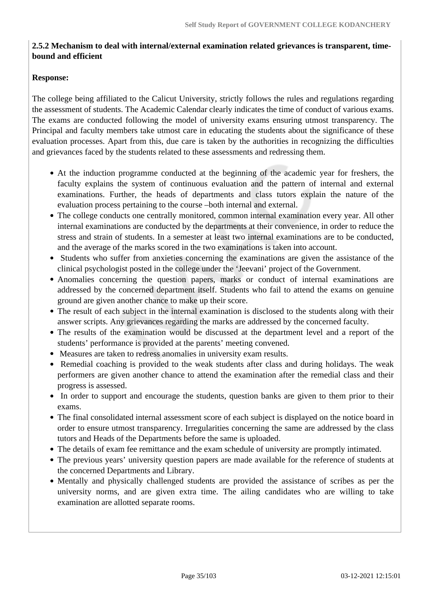### **2.5.2 Mechanism to deal with internal/external examination related grievances is transparent, timebound and efficient**

### **Response:**

The college being affiliated to the Calicut University, strictly follows the rules and regulations regarding the assessment of students. The Academic Calendar clearly indicates the time of conduct of various exams. The exams are conducted following the model of university exams ensuring utmost transparency. The Principal and faculty members take utmost care in educating the students about the significance of these evaluation processes. Apart from this, due care is taken by the authorities in recognizing the difficulties and grievances faced by the students related to these assessments and redressing them.

- At the induction programme conducted at the beginning of the academic year for freshers, the faculty explains the system of continuous evaluation and the pattern of internal and external examinations. Further, the heads of departments and class tutors explain the nature of the evaluation process pertaining to the course –both internal and external.
- The college conducts one centrally monitored, common internal examination every year. All other internal examinations are conducted by the departments at their convenience, in order to reduce the stress and strain of students. In a semester at least two internal examinations are to be conducted, and the average of the marks scored in the two examinations is taken into account.
- Students who suffer from anxieties concerning the examinations are given the assistance of the clinical psychologist posted in the college under the 'Jeevani' project of the Government.
- Anomalies concerning the question papers, marks or conduct of internal examinations are addressed by the concerned department itself. Students who fail to attend the exams on genuine ground are given another chance to make up their score.
- The result of each subject in the internal examination is disclosed to the students along with their answer scripts. Any grievances regarding the marks are addressed by the concerned faculty.
- The results of the examination would be discussed at the department level and a report of the students' performance is provided at the parents' meeting convened.
- Measures are taken to redress anomalies in university exam results.
- Remedial coaching is provided to the weak students after class and during holidays. The weak performers are given another chance to attend the examination after the remedial class and their progress is assessed.
- In order to support and encourage the students, question banks are given to them prior to their exams.
- The final consolidated internal assessment score of each subject is displayed on the notice board in order to ensure utmost transparency. Irregularities concerning the same are addressed by the class tutors and Heads of the Departments before the same is uploaded.
- The details of exam fee remittance and the exam schedule of university are promptly intimated.
- The previous years' university question papers are made available for the reference of students at the concerned Departments and Library.
- Mentally and physically challenged students are provided the assistance of scribes as per the university norms, and are given extra time. The ailing candidates who are willing to take examination are allotted separate rooms.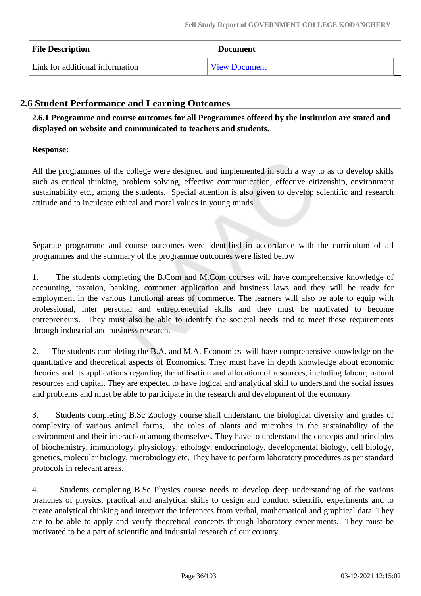| <b>File Description</b>         | <b>Document</b>      |
|---------------------------------|----------------------|
| Link for additional information | <b>View Document</b> |

### **2.6 Student Performance and Learning Outcomes**

 **2.6.1 Programme and course outcomes for all Programmes offered by the institution are stated and displayed on website and communicated to teachers and students.**

### **Response:**

All the programmes of the college were designed and implemented in such a way to as to develop skills such as critical thinking, problem solving, effective communication, effective citizenship, environment sustainability etc., among the students. Special attention is also given to develop scientific and research attitude and to inculcate ethical and moral values in young minds.

Separate programme and course outcomes were identified in accordance with the curriculum of all programmes and the summary of the programme outcomes were listed below

1. The students completing the B.Com and M.Com courses will have comprehensive knowledge of accounting, taxation, banking, computer application and business laws and they will be ready for employment in the various functional areas of commerce. The learners will also be able to equip with professional, inter personal and entrepreneurial skills and they must be motivated to become entrepreneurs. They must also be able to identify the societal needs and to meet these requirements through industrial and business research.

2. The students completing the B.A. and M.A. Economics will have comprehensive knowledge on the quantitative and theoretical aspects of Economics. They must have in depth knowledge about economic theories and its applications regarding the utilisation and allocation of resources, including labour, natural resources and capital. They are expected to have logical and analytical skill to understand the social issues and problems and must be able to participate in the research and development of the economy

3. Students completing B.Sc Zoology course shall understand the biological diversity and grades of complexity of various animal forms, the roles of plants and microbes in the sustainability of the environment and their interaction among themselves. They have to understand the concepts and principles of biochemistry, immunology, physiology, ethology, endocrinology, developmental biology, cell biology, genetics, molecular biology, microbiology etc. They have to perform laboratory procedures as per standard protocols in relevant areas.

4. Students completing B.Sc Physics course needs to develop deep understanding of the various branches of physics, practical and analytical skills to design and conduct scientific experiments and to create analytical thinking and interpret the inferences from verbal, mathematical and graphical data. They are to be able to apply and verify theoretical concepts through laboratory experiments. They must be motivated to be a part of scientific and industrial research of our country.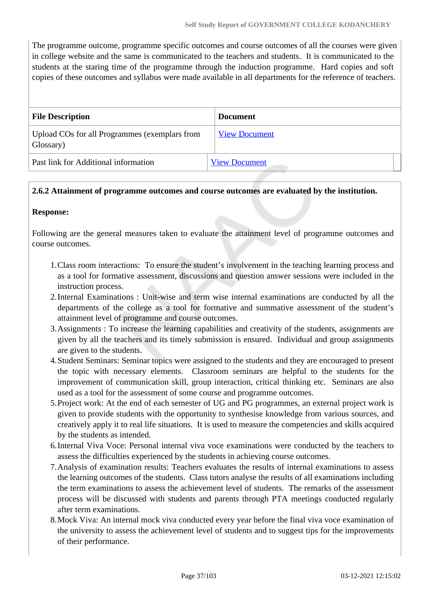The programme outcome, programme specific outcomes and course outcomes of all the courses were given in college website and the same is communicated to the teachers and students. It is communicated to the students at the staring time of the programme through the induction programme. Hard copies and soft copies of these outcomes and syllabus were made available in all departments for the reference of teachers.

| <b>File Description</b>                                    | <b>Document</b>      |
|------------------------------------------------------------|----------------------|
| Upload COs for all Programmes (exemplars from<br>Glossary) | <b>View Document</b> |
| Past link for Additional information                       | <b>View Document</b> |

### **2.6.2 Attainment of programme outcomes and course outcomes are evaluated by the institution.**

#### **Response:**

Following are the general measures taken to evaluate the attainment level of programme outcomes and course outcomes.

- 1.Class room interactions: To ensure the student's involvement in the teaching learning process and as a tool for formative assessment, discussions and question answer sessions were included in the instruction process.
- 2.Internal Examinations : Unit-wise and term wise internal examinations are conducted by all the departments of the college as a tool for formative and summative assessment of the student's attainment level of programme and course outcomes.
- 3.Assignments : To increase the learning capabilities and creativity of the students, assignments are given by all the teachers and its timely submission is ensured. Individual and group assignments are given to the students.
- 4.Student Seminars: Seminar topics were assigned to the students and they are encouraged to present the topic with necessary elements. Classroom seminars are helpful to the students for the improvement of communication skill, group interaction, critical thinking etc. Seminars are also used as a tool for the assessment of some course and programme outcomes.
- 5.Project work: At the end of each semester of UG and PG programmes, an external project work is given to provide students with the opportunity to synthesise knowledge from various sources, and creatively apply it to real life situations. It is used to measure the competencies and skills acquired by the students as intended.
- 6.Internal Viva Voce: Personal internal viva voce examinations were conducted by the teachers to assess the difficulties experienced by the students in achieving course outcomes.
- 7.Analysis of examination results: Teachers evaluates the results of internal examinations to assess the learning outcomes of the students. Class tutors analyse the results of all examinations including the term examinations to assess the achievement level of students. The remarks of the assessment process will be discussed with students and parents through PTA meetings conducted regularly after term examinations.
- 8.Mock Viva: An internal mock viva conducted every year before the final viva voce examination of the university to assess the achievement level of students and to suggest tips for the improvements of their performance.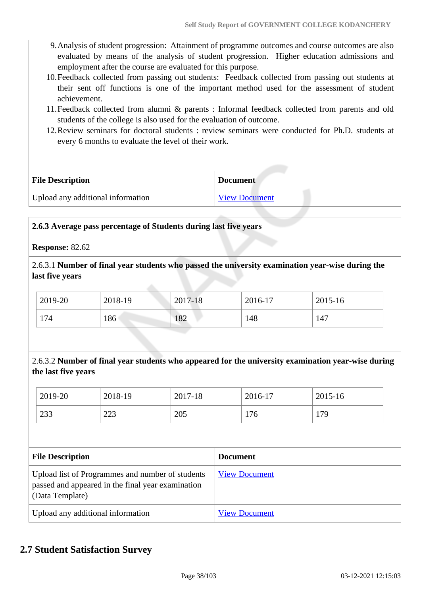- 9.Analysis of student progression: Attainment of programme outcomes and course outcomes are also evaluated by means of the analysis of student progression. Higher education admissions and employment after the course are evaluated for this purpose.
- 10.Feedback collected from passing out students: Feedback collected from passing out students at their sent off functions is one of the important method used for the assessment of student achievement.
- 11.Feedback collected from alumni & parents : Informal feedback collected from parents and old students of the college is also used for the evaluation of outcome.
- 12.Review seminars for doctoral students : review seminars were conducted for Ph.D. students at every 6 months to evaluate the level of their work.

| <b>File Description</b>           | <b>Document</b> |  |  |
|-----------------------------------|-----------------|--|--|
| Upload any additional information | View Document   |  |  |

### **2.6.3 Average pass percentage of Students during last five years**

#### **Response:** 82.62

2.6.3.1 **Number of final year students who passed the university examination year-wise during the last five years**

| 2019-20 | 2018-19 | 2017-18 | 2016-17 | 2015-16 |
|---------|---------|---------|---------|---------|
| 174     | 186     | 182     | 148     | 147     |

2.6.3.2 **Number of final year students who appeared for the university examination year-wise during the last five years**

| 2019-20 | 2018-19 | 2017-18 | 2016-17 | 2015-16 |
|---------|---------|---------|---------|---------|
| 233     | 223     | 205     | 176     | 179     |

| <b>File Description</b>                                                                                                  | <b>Document</b>      |
|--------------------------------------------------------------------------------------------------------------------------|----------------------|
| Upload list of Programmes and number of students<br>passed and appeared in the final year examination<br>(Data Template) | <b>View Document</b> |
| Upload any additional information                                                                                        | <b>View Document</b> |

### **2.7 Student Satisfaction Survey**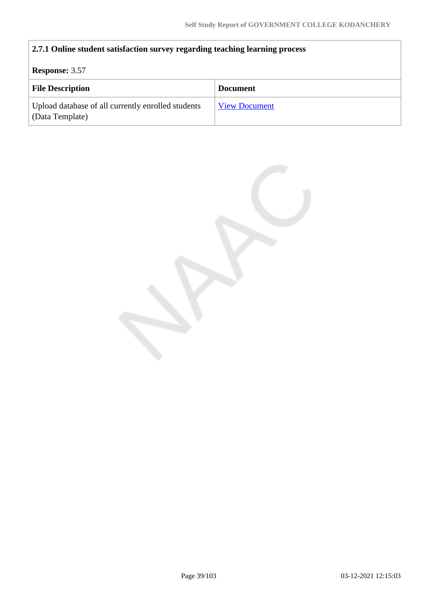## **2.7.1 Online student satisfaction survey regarding teaching learning process**

### **Response:** 3.57

| <b>File Description</b>                                               | <b>Document</b>      |
|-----------------------------------------------------------------------|----------------------|
| Upload database of all currently enrolled students<br>(Data Template) | <b>View Document</b> |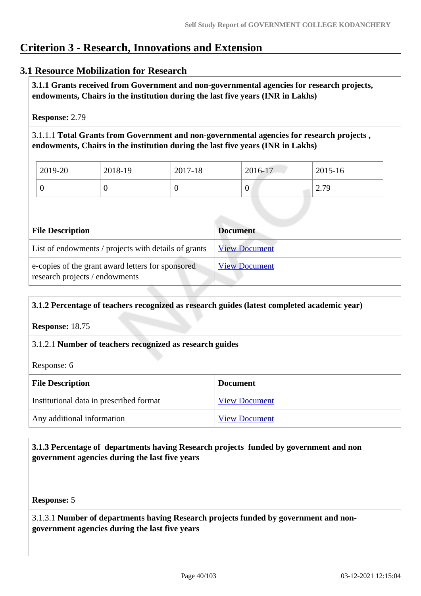## **Criterion 3 - Research, Innovations and Extension**

### **3.1 Resource Mobilization for Research**

 **3.1.1 Grants received from Government and non-governmental agencies for research projects, endowments, Chairs in the institution during the last five years (INR in Lakhs)** 

**Response:** 2.79

3.1.1.1 **Total Grants from Government and non-governmental agencies for research projects , endowments, Chairs in the institution during the last five years (INR in Lakhs)**

| 2019-20 | 2018-19 | 2017-18 | 2016-17 | 2015-16 |
|---------|---------|---------|---------|---------|
|         |         |         | ν       | 2.79    |

| <b>File Description</b>                                                             | <b>Document</b>      |
|-------------------------------------------------------------------------------------|----------------------|
| List of endowments / projects with details of grants                                | <b>View Document</b> |
| e-copies of the grant award letters for sponsored<br>research projects / endowments | <b>View Document</b> |

#### **3.1.2 Percentage of teachers recognized as research guides (latest completed academic year)**

**Response:** 18.75

### 3.1.2.1 **Number of teachers recognized as research guides**

Response: 6

| <b>File Description</b>                 | <b>Document</b>      |
|-----------------------------------------|----------------------|
| Institutional data in prescribed format | <b>View Document</b> |
| Any additional information              | <b>View Document</b> |

### **3.1.3 Percentage of departments having Research projects funded by government and non government agencies during the last five years**

**Response:** 5

3.1.3.1 **Number of departments having Research projects funded by government and nongovernment agencies during the last five years**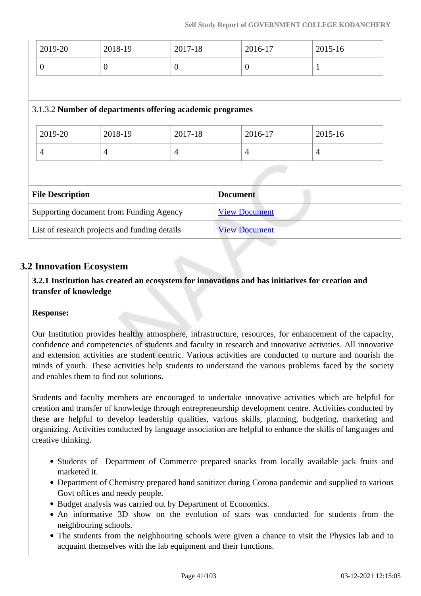| 2019-20        | 2018-19                                                   | 2017-18        | 2016-17              | 2015-16        |  |
|----------------|-----------------------------------------------------------|----------------|----------------------|----------------|--|
| $\overline{0}$ | $\overline{0}$                                            | $\overline{0}$ | $\overline{0}$       | $\mathbf{1}$   |  |
|                |                                                           |                |                      |                |  |
|                | 3.1.3.2 Number of departments offering academic programes |                |                      |                |  |
| 2019-20        | 2018-19                                                   | 2017-18        | 2016-17              | 2015-16        |  |
| $\overline{4}$ | $\overline{4}$                                            | $\overline{4}$ | $\overline{4}$       | $\overline{4}$ |  |
|                |                                                           |                |                      |                |  |
|                | <b>File Description</b><br><b>Document</b>                |                |                      |                |  |
|                | Supporting document from Funding Agency                   |                | <b>View Document</b> |                |  |
|                | List of research projects and funding details             |                | <b>View Document</b> |                |  |

### **3.2 Innovation Ecosystem**

 **3.2.1 Institution has created an ecosystem for innovations and has initiatives for creation and transfer of knowledge**

### **Response:**

Our Institution provides healthy atmosphere, infrastructure, resources, for enhancement of the capacity, confidence and competencies of students and faculty in research and innovative activities. All innovative and extension activities are student centric. Various activities are conducted to nurture and nourish the minds of youth. These activities help students to understand the various problems faced by the society and enables them to find out solutions.

Students and faculty members are encouraged to undertake innovative activities which are helpful for creation and transfer of knowledge through entrepreneurship development centre. Activities conducted by these are helpful to develop leadership qualities, various skills, planning, budgeting, marketing and organizing. Activities conducted by language association are helpful to enhance the skills of languages and creative thinking.

- Students of Department of Commerce prepared snacks from locally available jack fruits and marketed it.
- Department of Chemistry prepared hand sanitizer during Corona pandemic and supplied to various Govt offices and needy people.
- Budget analysis was carried out by Department of Economics.
- An informative 3D show on the evolution of stars was conducted for students from the neighbouring schools.
- The students from the neighbouring schools were given a chance to visit the Physics lab and to acquaint themselves with the lab equipment and their functions.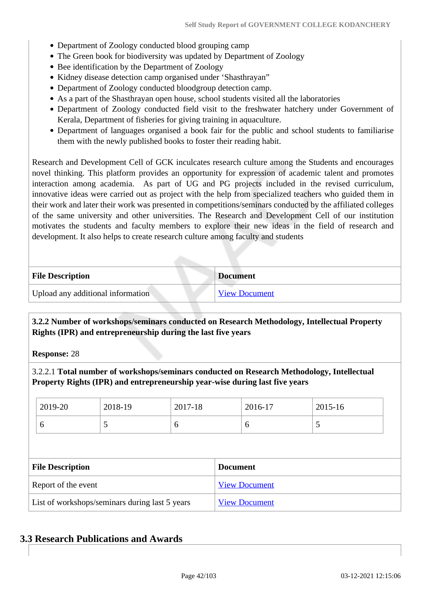- Department of Zoology conducted blood grouping camp
- The Green book for biodiversity was updated by Department of Zoology
- Bee identification by the Department of Zoology
- Kidney disease detection camp organised under 'Shasthrayan''
- Department of Zoology conducted bloodgroup detection camp.
- As a part of the Shasthrayan open house, school students visited all the laboratories
- Department of Zoology conducted field visit to the freshwater hatchery under Government of Kerala, Department of fisheries for giving training in aquaculture.
- Department of languages organised a book fair for the public and school students to familiarise them with the newly published books to foster their reading habit.

Research and Development Cell of GCK inculcates research culture among the Students and encourages novel thinking. This platform provides an opportunity for expression of academic talent and promotes interaction among academia. As part of UG and PG projects included in the revised curriculum, innovative ideas were carried out as project with the help from specialized teachers who guided them in their work and later their work was presented in competitions/seminars conducted by the affiliated colleges of the same university and other universities. The Research and Development Cell of our institution motivates the students and faculty members to explore their new ideas in the field of research and development. It also helps to create research culture among faculty and students

| <b>File Description</b>           | <b>Document</b>      |  |  |
|-----------------------------------|----------------------|--|--|
| Upload any additional information | <b>View Document</b> |  |  |

### **3.2.2 Number of workshops/seminars conducted on Research Methodology, Intellectual Property Rights (IPR) and entrepreneurship during the last five years**

**Response:** 28

3.2.2.1 **Total number of workshops/seminars conducted on Research Methodology, Intellectual Property Rights (IPR) and entrepreneurship year-wise during last five years** 

|                                                | 2019-20             | 2018-19 | 2017-18 |                      | 2016-17 | 2015-16 |  |
|------------------------------------------------|---------------------|---------|---------|----------------------|---------|---------|--|
|                                                | 6                   | 5       | 6       |                      | 6       | 5       |  |
|                                                |                     |         |         |                      |         |         |  |
| <b>File Description</b><br><b>Document</b>     |                     |         |         |                      |         |         |  |
|                                                | Report of the event |         |         | <b>View Document</b> |         |         |  |
| List of workshops/seminars during last 5 years |                     |         |         | <b>View Document</b> |         |         |  |

### **3.3 Research Publications and Awards**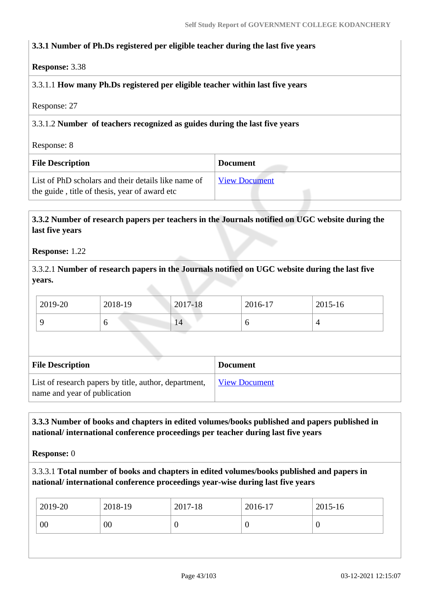### **3.3.1 Number of Ph.Ds registered per eligible teacher during the last five years**

#### **Response:** 3.38

### 3.3.1.1 **How many Ph.Ds registered per eligible teacher within last five years**

Response: 27

### 3.3.1.2 **Number of teachers recognized as guides during the last five years**

Response: 8

| <b>File Description</b>                                                                              | <b>Document</b>      |
|------------------------------------------------------------------------------------------------------|----------------------|
| List of PhD scholars and their details like name of<br>the guide, title of thesis, year of award etc | <b>View Document</b> |

### **3.3.2 Number of research papers per teachers in the Journals notified on UGC website during the last five years**

#### **Response:** 1.22

3.3.2.1 **Number of research papers in the Journals notified on UGC website during the last five years.**

| 2019-20 | 2018-19 | 2017-18 | 2016-17 | 2015-16 |
|---------|---------|---------|---------|---------|
|         |         | 14      | O       |         |

| <b>File Description</b>                                                               | <b>Document</b>      |
|---------------------------------------------------------------------------------------|----------------------|
| List of research papers by title, author, department,<br>name and year of publication | <b>View Document</b> |

### **3.3.3 Number of books and chapters in edited volumes/books published and papers published in national/ international conference proceedings per teacher during last five years**

**Response:** 0

3.3.3.1 **Total number of books and chapters in edited volumes/books published and papers in national/ international conference proceedings year-wise during last five years**

| 2019-20 | 2018-19 | 2017-18 | 2016-17 | 2015-16 |
|---------|---------|---------|---------|---------|
| 00      | 00      |         |         |         |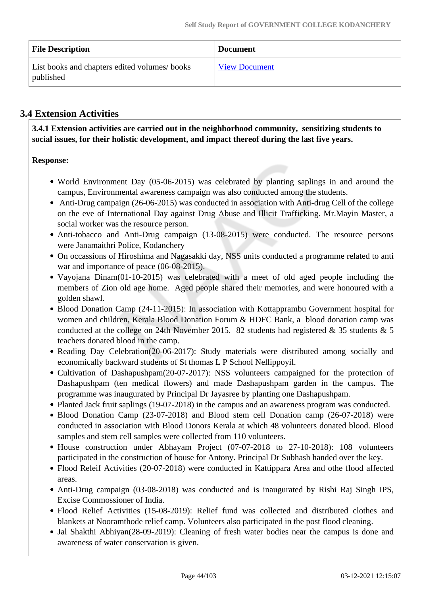| <b>File Description</b>                                   | <b>Document</b>      |
|-----------------------------------------------------------|----------------------|
| List books and chapters edited volumes/books<br>published | <b>View Document</b> |

### **3.4 Extension Activities**

 **3.4.1 Extension activities are carried out in the neighborhood community, sensitizing students to social issues, for their holistic development, and impact thereof during the last five years.**

### **Response:**

- World Environment Day (05-06-2015) was celebrated by planting saplings in and around the campus, Environmental awareness campaign was also conducted among the students.
- Anti-Drug campaign (26-06-2015) was conducted in association with Anti-drug Cell of the college on the eve of International Day against Drug Abuse and Illicit Trafficking. Mr.Mayin Master, a social worker was the resource person.
- Anti-tobacco and Anti-Drug campaign (13-08-2015) were conducted. The resource persons were Janamaithri Police, Kodanchery
- On occassions of Hiroshima and Nagasakki day, NSS units conducted a programme related to anti war and importance of peace (06-08-2015).
- Vayojana Dinam(01-10-2015) was celebrated with a meet of old aged people including the members of Zion old age home. Aged people shared their memories, and were honoured with a golden shawl.
- Blood Donation Camp (24-11-2015): In association with Kottapprambu Government hospital for women and children, Kerala Blood Donation Forum & HDFC Bank, a blood donation camp was conducted at the college on 24th November 2015. 82 students had registered & 35 students & 5 teachers donated blood in the camp.
- Reading Day Celebration(20-06-2017): Study materials were distributed among socially and economically backward students of St thomas L P School Nellippoyil.
- Cultivation of Dashapushpam(20-07-2017): NSS volunteers campaigned for the protection of Dashapushpam (ten medical flowers) and made Dashapushpam garden in the campus. The programme was inaugurated by Principal Dr Jayasree by planting one Dashapushpam.
- Planted Jack fruit saplings (19-07-2018) in the campus and an awareness program was conducted.
- Blood Donation Camp (23-07-2018) and Blood stem cell Donation camp (26-07-2018) were conducted in association with Blood Donors Kerala at which 48 volunteers donated blood. Blood samples and stem cell samples were collected from 110 volunteers.
- House construction under Abhayam Project (07-07-2018 to 27-10-2018): 108 volunteers participated in the construction of house for Antony. Principal Dr Subhash handed over the key.
- Flood Releif Activities (20-07-2018) were conducted in Kattippara Area and othe flood affected areas.
- Anti-Drug campaign (03-08-2018) was conducted and is inaugurated by Rishi Raj Singh IPS, Excise Commossioner of India.
- Flood Relief Activities (15-08-2019): Relief fund was collected and distributed clothes and blankets at Nooramthode relief camp. Volunteers also participated in the post flood cleaning.
- Jal Shakthi Abhiyan(28-09-2019): Cleaning of fresh water bodies near the campus is done and awareness of water conservation is given.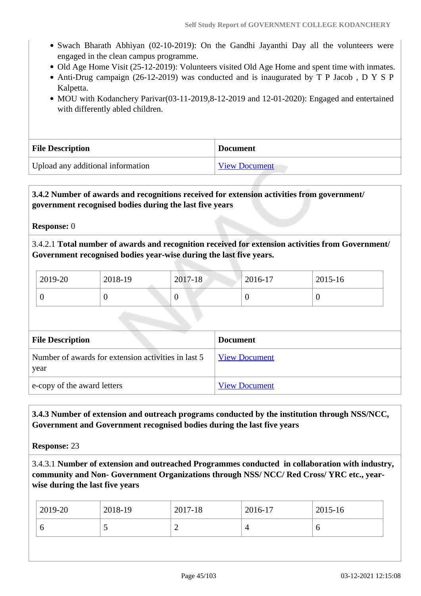- Swach Bharath Abhiyan (02-10-2019): On the Gandhi Jayanthi Day all the volunteers were engaged in the clean campus programme.
- Old Age Home Visit (25-12-2019): Volunteers visited Old Age Home and spent time with inmates.
- Anti-Drug campaign (26-12-2019) was conducted and is inaugurated by T P Jacob , D Y S P Kalpetta.
- MOU with Kodanchery Parivar(03-11-2019,8-12-2019 and 12-01-2020): Engaged and entertained with differently abled children.

| <b>File Description</b>           | <b>Document</b>      |
|-----------------------------------|----------------------|
| Upload any additional information | <b>View Document</b> |

### **3.4.2 Number of awards and recognitions received for extension activities from government/ government recognised bodies during the last five years**

**Response:** 0

3.4.2.1 **Total number of awards and recognition received for extension activities from Government/ Government recognised bodies year-wise during the last five years.**

| 2019-20 | 2018-19 | 2017-18 | 2016-17 | 2015-16 |
|---------|---------|---------|---------|---------|
|         |         | ν       |         | ν       |

| <b>File Description</b>                                     | <b>Document</b>      |
|-------------------------------------------------------------|----------------------|
| Number of awards for extension activities in last 5<br>year | <b>View Document</b> |
| e-copy of the award letters                                 | <b>View Document</b> |

 **3.4.3 Number of extension and outreach programs conducted by the institution through NSS/NCC, Government and Government recognised bodies during the last five years**

**Response:** 23

3.4.3.1 **Number of extension and outreached Programmes conducted in collaboration with industry, community and Non- Government Organizations through NSS/ NCC/ Red Cross/ YRC etc., yearwise during the last five years**

| 2019-20 | 2018-19 | 2017-18 | 2016-17 | $\frac{1}{2015}$ -16 |
|---------|---------|---------|---------|----------------------|
| ັ       |         | ∽       |         | O                    |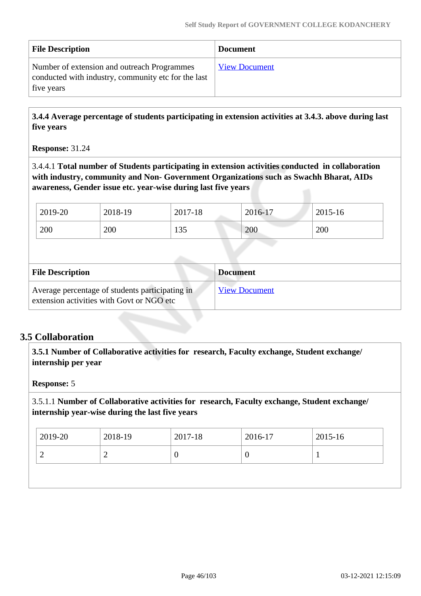| <b>File Description</b>                                                                                          | <b>Document</b>      |
|------------------------------------------------------------------------------------------------------------------|----------------------|
| Number of extension and outreach Programmes<br>conducted with industry, community etc for the last<br>five years | <b>View Document</b> |

 **3.4.4 Average percentage of students participating in extension activities at 3.4.3. above during last five years**

### **Response:** 31.24

3.4.4.1 **Total number of Students participating in extension activities conducted in collaboration with industry, community and Non- Government Organizations such as Swachh Bharat, AIDs awareness, Gender issue etc. year-wise during last five years**

| 2019-20 | 2018-19 | 2017-18 | 2016-17 | 2015-16 |
|---------|---------|---------|---------|---------|
| 200     | 200     | 135     | 200     | 200     |

| <b>File Description</b>                                                                      | <b>Document</b>      |
|----------------------------------------------------------------------------------------------|----------------------|
| Average percentage of students participating in<br>extension activities with Govt or NGO etc | <b>View Document</b> |

### **3.5 Collaboration**

 **3.5.1 Number of Collaborative activities for research, Faculty exchange, Student exchange/ internship per year**

### **Response:** 5

3.5.1.1 **Number of Collaborative activities for research, Faculty exchange, Student exchange/ internship year-wise during the last five years**

| $\theta$ |
|----------|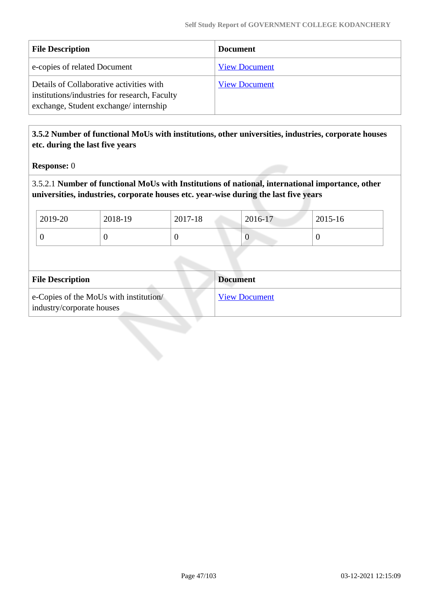| <b>File Description</b>                                                                                                            | <b>Document</b>      |
|------------------------------------------------------------------------------------------------------------------------------------|----------------------|
| e-copies of related Document                                                                                                       | <b>View Document</b> |
| Details of Collaborative activities with<br>institutions/industries for research, Faculty<br>exchange, Student exchange/internship | <b>View Document</b> |

### **3.5.2 Number of functional MoUs with institutions, other universities, industries, corporate houses etc. during the last five years**

**Response:** 0

3.5.2.1 **Number of functional MoUs with Institutions of national, international importance, other universities, industries, corporate houses etc. year-wise during the last five years**

| 2019-20 | 2018-19 | 2017-18 | 2016-17 | 2015-16 |
|---------|---------|---------|---------|---------|
|         |         |         | U       |         |

| <b>File Description</b>                                             | <b>Document</b>      |
|---------------------------------------------------------------------|----------------------|
| e-Copies of the MoUs with institution/<br>industry/corporate houses | <b>View Document</b> |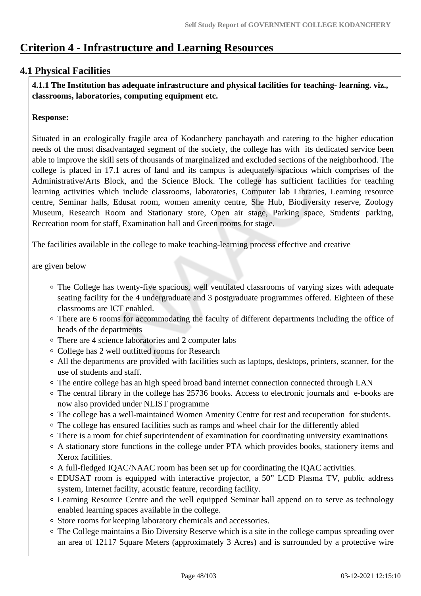## **Criterion 4 - Infrastructure and Learning Resources**

### **4.1 Physical Facilities**

 **4.1.1 The Institution has adequate infrastructure and physical facilities for teaching- learning. viz., classrooms, laboratories, computing equipment etc.** 

#### **Response:**

Situated in an ecologically fragile area of Kodanchery panchayath and catering to the higher education needs of the most disadvantaged segment of the society, the college has with its dedicated service been able to improve the skill sets of thousands of marginalized and excluded sections of the neighborhood. The college is placed in 17.1 acres of land and its campus is adequately spacious which comprises of the Administrative/Arts Block, and the Science Block. The college has sufficient facilities for teaching learning activities which include classrooms, laboratories, Computer lab Libraries, Learning resource centre, Seminar halls, Edusat room, women amenity centre, She Hub, Biodiversity reserve, Zoology Museum, Research Room and Stationary store, Open air stage, Parking space, Students' parking, Recreation room for staff, Examination hall and Green rooms for stage.

The facilities available in the college to make teaching-learning process effective and creative

are given below

- The College has twenty-five spacious, well ventilated classrooms of varying sizes with adequate seating facility for the 4 undergraduate and 3 postgraduate programmes offered. Eighteen of these classrooms are ICT enabled.
- There are 6 rooms for accommodating the faculty of different departments including the office of heads of the departments
- There are 4 science laboratories and 2 computer labs
- College has 2 well outfitted rooms for Research
- All the departments are provided with facilities such as laptops, desktops, printers, scanner, for the use of students and staff.
- The entire college has an high speed broad band internet connection connected through LAN
- The central library in the college has 25736 books. Access to electronic journals and e-books are now also provided under NLIST programme
- The college has a well-maintained Women Amenity Centre for rest and recuperation for students.
- The college has ensured facilities such as ramps and wheel chair for the differently abled
- There is a room for chief superintendent of examination for coordinating university examinations
- A stationary store functions in the college under PTA which provides books, stationery items and Xerox facilities.
- A full-fledged IQAC/NAAC room has been set up for coordinating the IQAC activities.
- EDUSAT room is equipped with interactive projector, a 50" LCD Plasma TV, public address system, Internet facility, acoustic feature, recording facility.
- Learning Resource Centre and the well equipped Seminar hall append on to serve as technology enabled learning spaces available in the college.
- Store rooms for keeping laboratory chemicals and accessories.
- The College maintains a Bio Diversity Reserve which is a site in the college campus spreading over an area of 12117 Square Meters (approximately 3 Acres) and is surrounded by a protective wire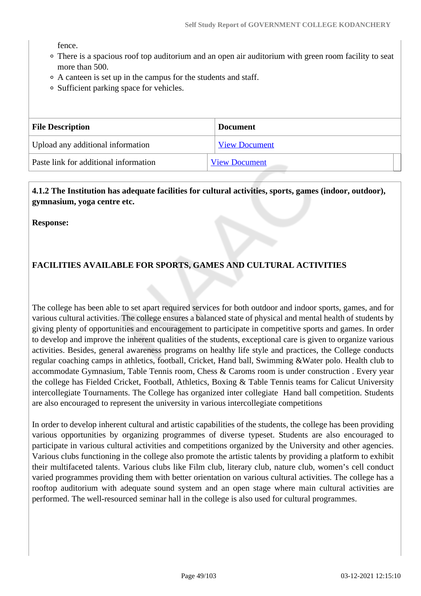fence.

- There is a spacious roof top auditorium and an open air auditorium with green room facility to seat more than 500.
- A canteen is set up in the campus for the students and staff.
- Sufficient parking space for vehicles.

| <b>File Description</b>               | <b>Document</b>      |
|---------------------------------------|----------------------|
| Upload any additional information     | <b>View Document</b> |
| Paste link for additional information | <b>View Document</b> |

 **4.1.2 The Institution has adequate facilities for cultural activities, sports, games (indoor, outdoor), gymnasium, yoga centre etc.** 

**Response:** 

### **FACILITIES AVAILABLE FOR SPORTS, GAMES AND CULTURAL ACTIVITIES**

The college has been able to set apart required services for both outdoor and indoor sports, games, and for various cultural activities. The college ensures a balanced state of physical and mental health of students by giving plenty of opportunities and encouragement to participate in competitive sports and games. In order to develop and improve the inherent qualities of the students, exceptional care is given to organize various activities. Besides, general awareness programs on healthy life style and practices, the College conducts regular coaching camps in athletics, football, Cricket, Hand ball, Swimming &Water polo. Health club to accommodate Gymnasium, Table Tennis room, Chess & Caroms room is under construction . Every year the college has Fielded Cricket, Football, Athletics, Boxing & Table Tennis teams for Calicut University intercollegiate Tournaments. The College has organized inter collegiate Hand ball competition. Students are also encouraged to represent the university in various intercollegiate competitions

In order to develop inherent cultural and artistic capabilities of the students, the college has been providing various opportunities by organizing programmes of diverse typeset. Students are also encouraged to participate in various cultural activities and competitions organized by the University and other agencies. Various clubs functioning in the college also promote the artistic talents by providing a platform to exhibit their multifaceted talents. Various clubs like Film club, literary club, nature club, women's cell conduct varied programmes providing them with better orientation on various cultural activities. The college has a rooftop auditorium with adequate sound system and an open stage where main cultural activities are performed. The well-resourced seminar hall in the college is also used for cultural programmes.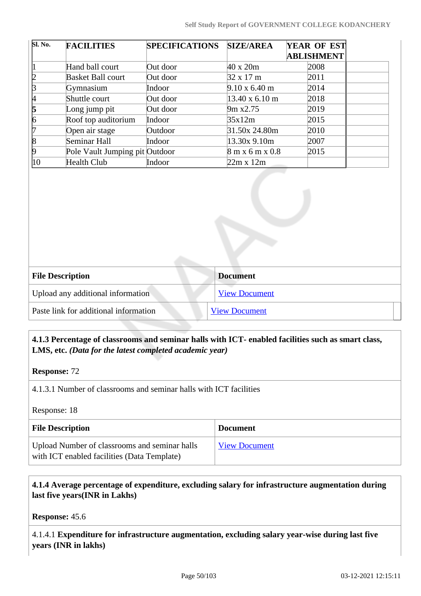| Sl. No.      | <b>FACILITIES</b>              | <b>SPECIFICATIONS</b> | <b>SIZE/AREA</b>              | YEAR OF EST       |
|--------------|--------------------------------|-----------------------|-------------------------------|-------------------|
|              |                                |                       |                               | <b>ABLISHMENT</b> |
|              | Hand ball court                | Out door              | $40 \times 20m$               | 2008              |
| 12           | <b>Basket Ball court</b>       | Out door              | $32 \times 17$ m              | 2011              |
| ß            | Gymnasium                      | Indoor                | $9.10 \times 6.40 \text{ m}$  | 2014              |
| 4            | Shuttle court                  | Out door              | $13.40 \times 6.10 \text{ m}$ | 2018              |
| 5            | Long jump pit                  | Out door              | 9m x2.75                      | 2019              |
| 6            | Roof top auditorium            | Indoor                | 35x12m                        | 2015              |
| 17           | Open air stage                 | Outdoor               | 31.50x 24.80m                 | 2010              |
| 18           | Seminar Hall                   | Indoor                | $13.30x$ 9.10m                | 2007              |
| 19           | Pole Vault Jumping pit Outdoor |                       | $8 \text{ m}$ x 6 m x 0.8     | 2015              |
| $ 10\rangle$ | Health Club                    | Indoor                | $22m \times 12m$              |                   |

| <b>File Description</b>               | <b>Document</b>      |
|---------------------------------------|----------------------|
| Upload any additional information     | <b>View Document</b> |
| Paste link for additional information | <b>View Document</b> |

### **4.1.3 Percentage of classrooms and seminar halls with ICT- enabled facilities such as smart class, LMS, etc.** *(Data for the latest completed academic year)*

**Response:** 72

4.1.3.1 Number of classrooms and seminar halls with ICT facilities

Response: 18

| <b>File Description</b>                                                                      | <b>Document</b>      |
|----------------------------------------------------------------------------------------------|----------------------|
| Upload Number of classrooms and seminar halls<br>with ICT enabled facilities (Data Template) | <b>View Document</b> |

### **4.1.4 Average percentage of expenditure, excluding salary for infrastructure augmentation during last five years(INR in Lakhs)**

**Response:** 45.6

4.1.4.1 **Expenditure for infrastructure augmentation, excluding salary year-wise during last five years (INR in lakhs)**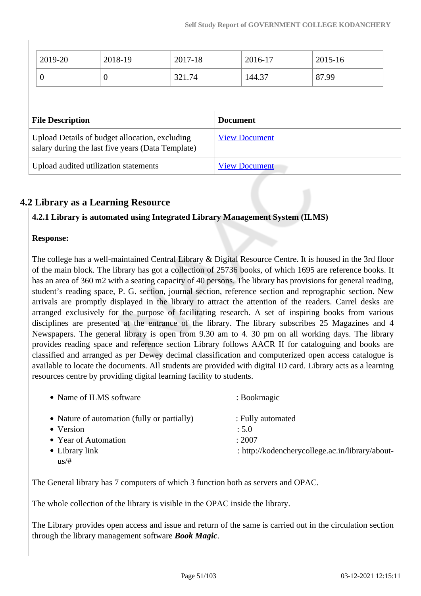| 2019-20                 | 2018-19                                                                                             | 2017-18 |                 | 2016-17              | 2015-16 |  |
|-------------------------|-----------------------------------------------------------------------------------------------------|---------|-----------------|----------------------|---------|--|
| $\overline{0}$          | $\overline{0}$                                                                                      | 321.74  |                 | 144.37               | 87.99   |  |
|                         |                                                                                                     |         |                 |                      |         |  |
|                         |                                                                                                     |         |                 |                      |         |  |
| <b>File Description</b> |                                                                                                     |         | <b>Document</b> |                      |         |  |
|                         | Upload Details of budget allocation, excluding<br>salary during the last five years (Data Template) |         |                 | <b>View Document</b> |         |  |

### **4.2 Library as a Learning Resource**

### **4.2.1 Library is automated using Integrated Library Management System (ILMS)**

### **Response:**

 $\overline{\phantom{a}}$ 

The college has a well-maintained Central Library & Digital Resource Centre. It is housed in the 3rd floor of the main block. The library has got a collection of 25736 books, of which 1695 are reference books. It has an area of 360 m2 with a seating capacity of 40 persons. The library has provisions for general reading, student's reading space, P. G. section, journal section, reference section and reprographic section. New arrivals are promptly displayed in the library to attract the attention of the readers. Carrel desks are arranged exclusively for the purpose of facilitating research. A set of inspiring books from various disciplines are presented at the entrance of the library. The library subscribes 25 Magazines and 4 Newspapers. The general library is open from 9.30 am to 4. 30 pm on all working days. The library provides reading space and reference section Library follows AACR II for cataloguing and books are classified and arranged as per Dewey decimal classification and computerized open access catalogue is available to locate the documents. All students are provided with digital ID card. Library acts as a learning resources centre by providing digital learning facility to students.

| • Name of ILMS software                     | : Bookmagic                                     |
|---------------------------------------------|-------------------------------------------------|
| • Nature of automation (fully or partially) | : Fully automated                               |
| • Version                                   | : 5.0                                           |
| • Year of Automation                        | : 2007                                          |
| $\bullet$ Library link                      | : http://kodencherycollege.ac.in/library/about- |
| us/#                                        |                                                 |

The General library has 7 computers of which 3 function both as servers and OPAC.

The whole collection of the library is visible in the OPAC inside the library.

The Library provides open access and issue and return of the same is carried out in the circulation section through the library management software *Book Magic*.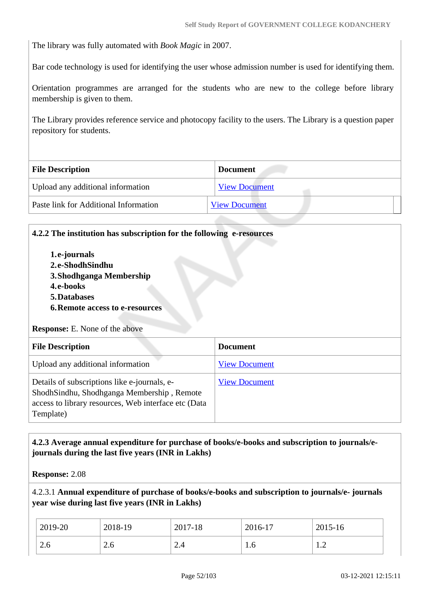The library was fully automated with *Book Magic* in 2007.

Bar code technology is used for identifying the user whose admission number is used for identifying them.

Orientation programmes are arranged for the students who are new to the college before library membership is given to them.

The Library provides reference service and photocopy facility to the users. The Library is a question paper repository for students.

| <b>File Description</b>               | <b>Document</b>      |
|---------------------------------------|----------------------|
| Upload any additional information     | <b>View Document</b> |
| Paste link for Additional Information | <b>View Document</b> |

#### **4.2.2 The institution has subscription for the following e-resources**

**1.e-journals 2.e-ShodhSindhu 3.Shodhganga Membership 4.e-books 5.Databases 6.Remote access to e-resources Response:** E. None of the above

| <b>File Description</b>                                                                                                                                         | <b>Document</b>      |
|-----------------------------------------------------------------------------------------------------------------------------------------------------------------|----------------------|
| Upload any additional information                                                                                                                               | <b>View Document</b> |
| Details of subscriptions like e-journals, e-<br>ShodhSindhu, Shodhganga Membership, Remote<br>access to library resources, Web interface etc (Data<br>Template) | <b>View Document</b> |

### **4.2.3 Average annual expenditure for purchase of books/e-books and subscription to journals/ejournals during the last five years (INR in Lakhs)**

**Response:** 2.08

4.2.3.1 **Annual expenditure of purchase of books/e-books and subscription to journals/e- journals year wise during last five years (INR in Lakhs)**

| 2019-20 | 2018-19 | 2017-18       | 2016-17 | 2015-16            |
|---------|---------|---------------|---------|--------------------|
| 2.6     | 2.0     | $\sim$<br>2.4 | 1.0     | -4<br>. . <u>.</u> |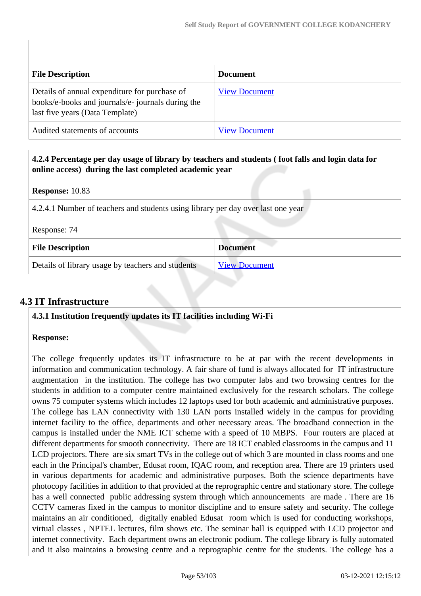| <b>File Description</b>                                                                                                               | <b>Document</b>      |
|---------------------------------------------------------------------------------------------------------------------------------------|----------------------|
| Details of annual expenditure for purchase of<br>books/e-books and journals/e- journals during the<br>last five years (Data Template) | <b>View Document</b> |
| Audited statements of accounts                                                                                                        | <b>View Document</b> |

| 4.2.4 Percentage per day usage of library by teachers and students (foot falls and login data for<br>online access) during the last completed academic year |                      |  |  |  |
|-------------------------------------------------------------------------------------------------------------------------------------------------------------|----------------------|--|--|--|
| <b>Response:</b> 10.83                                                                                                                                      |                      |  |  |  |
| 4.2.4.1 Number of teachers and students using library per day over last one year                                                                            |                      |  |  |  |
| Response: 74                                                                                                                                                |                      |  |  |  |
| <b>File Description</b>                                                                                                                                     | <b>Document</b>      |  |  |  |
| Details of library usage by teachers and students                                                                                                           | <b>View Document</b> |  |  |  |

## **4.3 IT Infrastructure**

### **4.3.1 Institution frequently updates its IT facilities including Wi-Fi**

### **Response:**

The college frequently updates its IT infrastructure to be at par with the recent developments in information and communication technology. A fair share of fund is always allocated for IT infrastructure augmentation in the institution. The college has two computer labs and two browsing centres for the students in addition to a computer centre maintained exclusively for the research scholars. The college owns 75 computer systems which includes 12 laptops used for both academic and administrative purposes. The college has LAN connectivity with 130 LAN ports installed widely in the campus for providing internet facility to the office, departments and other necessary areas. The broadband connection in the campus is installed under the NME ICT scheme with a speed of 10 MBPS. Four routers are placed at different departments for smooth connectivity. There are 18 ICT enabled classrooms in the campus and 11 LCD projectors. There are six smart TVs in the college out of which 3 are mounted in class rooms and one each in the Principal's chamber, Edusat room, IQAC room, and reception area. There are 19 printers used in various departments for academic and administrative purposes. Both the science departments have photocopy facilities in addition to that provided at the reprographic centre and stationary store. The college has a well connected public addressing system through which announcements are made . There are 16 CCTV cameras fixed in the campus to monitor discipline and to ensure safety and security. The college maintains an air conditioned, digitally enabled Edusat room which is used for conducting workshops, virtual classes , NPTEL lectures, film shows etc. The seminar hall is equipped with LCD projector and internet connectivity. Each department owns an electronic podium. The college library is fully automated and it also maintains a browsing centre and a reprographic centre for the students. The college has a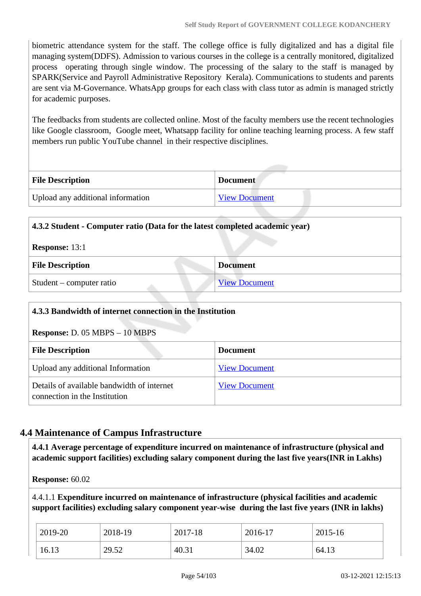biometric attendance system for the staff. The college office is fully digitalized and has a digital file managing system(DDFS). Admission to various courses in the college is a centrally monitored, digitalized process operating through single window. The processing of the salary to the staff is managed by SPARK(Service and Payroll Administrative Repository Kerala). Communications to students and parents are sent via M-Governance. WhatsApp groups for each class with class tutor as admin is managed strictly for academic purposes.

The feedbacks from students are collected online. Most of the faculty members use the recent technologies like Google classroom, Google meet, Whatsapp facility for online teaching learning process. A few staff members run public YouTube channel in their respective disciplines.

| <b>File Description</b>           | <b>Document</b>      |
|-----------------------------------|----------------------|
| Upload any additional information | <b>View Document</b> |

| 4.3.2 Student - Computer ratio (Data for the latest completed academic year) |                      |  |  |
|------------------------------------------------------------------------------|----------------------|--|--|
| <b>Response: 13:1</b>                                                        |                      |  |  |
| <b>File Description</b>                                                      | <b>Document</b>      |  |  |
| Student – computer ratio                                                     | <b>View Document</b> |  |  |

| 4.3.3 Bandwidth of internet connection in the Institution                   |                      |  |  |
|-----------------------------------------------------------------------------|----------------------|--|--|
| <b>Response:</b> D. $05$ MBPS $- 10$ MBPS                                   |                      |  |  |
| <b>File Description</b>                                                     | <b>Document</b>      |  |  |
| Upload any additional Information                                           | <b>View Document</b> |  |  |
| Details of available bandwidth of internet<br>connection in the Institution | <b>View Document</b> |  |  |

### **4.4 Maintenance of Campus Infrastructure**

 **4.4.1 Average percentage of expenditure incurred on maintenance of infrastructure (physical and academic support facilities) excluding salary component during the last five years(INR in Lakhs)**

**Response:** 60.02

4.4.1.1 **Expenditure incurred on maintenance of infrastructure (physical facilities and academic support facilities) excluding salary component year-wise during the last five years (INR in lakhs)**

| 2019-20 | 2018-19 | 2017-18 | 2016-17 | 2015-16 |
|---------|---------|---------|---------|---------|
| 16.13   | 29.52   | 40.31   | 34.02   | 64.15   |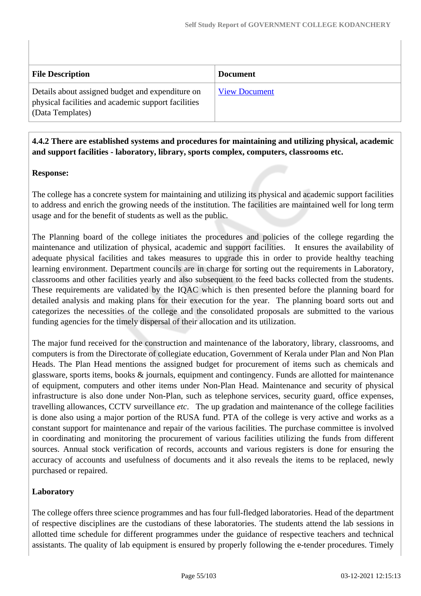| <b>File Description</b>                                                                                                     | <b>Document</b>      |
|-----------------------------------------------------------------------------------------------------------------------------|----------------------|
| Details about assigned budget and expenditure on<br>physical facilities and academic support facilities<br>(Data Templates) | <b>View Document</b> |

### **4.4.2 There are established systems and procedures for maintaining and utilizing physical, academic and support facilities - laboratory, library, sports complex, computers, classrooms etc.**

### **Response:**

The college has a concrete system for maintaining and utilizing its physical and academic support facilities to address and enrich the growing needs of the institution. The facilities are maintained well for long term usage and for the benefit of students as well as the public.

The Planning board of the college initiates the procedures and policies of the college regarding the maintenance and utilization of physical, academic and support facilities. It ensures the availability of adequate physical facilities and takes measures to upgrade this in order to provide healthy teaching learning environment. Department councils are in charge for sorting out the requirements in Laboratory, classrooms and other facilities yearly and also subsequent to the feed backs collected from the students. These requirements are validated by the IQAC which is then presented before the planning board for detailed analysis and making plans for their execution for the year. The planning board sorts out and categorizes the necessities of the college and the consolidated proposals are submitted to the various funding agencies for the timely dispersal of their allocation and its utilization.

The major fund received for the construction and maintenance of the laboratory, library, classrooms, and computers is from the Directorate of collegiate education, Government of Kerala under Plan and Non Plan Heads. The Plan Head mentions the assigned budget for procurement of items such as chemicals and glassware, sports items, books & journals, equipment and contingency. Funds are allotted for maintenance of equipment, computers and other items under Non-Plan Head. Maintenance and security of physical infrastructure is also done under Non-Plan, such as telephone services, security guard, office expenses, travelling allowances, CCTV surveillance *etc*. The up gradation and maintenance of the college facilities is done also using a major portion of the RUSA fund. PTA of the college is very active and works as a constant support for maintenance and repair of the various facilities. The purchase committee is involved in coordinating and monitoring the procurement of various facilities utilizing the funds from different sources. Annual stock verification of records, accounts and various registers is done for ensuring the accuracy of accounts and usefulness of documents and it also reveals the items to be replaced, newly purchased or repaired.

### **Laboratory**

The college offers three science programmes and has four full-fledged laboratories. Head of the department of respective disciplines are the custodians of these laboratories. The students attend the lab sessions in allotted time schedule for different programmes under the guidance of respective teachers and technical assistants. The quality of lab equipment is ensured by properly following the e-tender procedures. Timely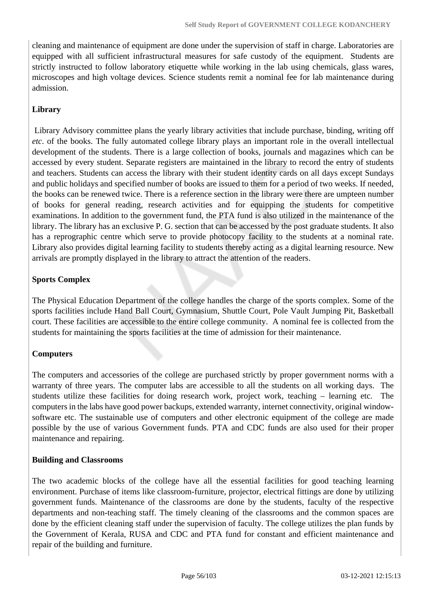cleaning and maintenance of equipment are done under the supervision of staff in charge. Laboratories are equipped with all sufficient infrastructural measures for safe custody of the equipment. Students are strictly instructed to follow laboratory etiquette while working in the lab using chemicals, glass wares, microscopes and high voltage devices. Science students remit a nominal fee for lab maintenance during admission.

### **Library**

 Library Advisory committee plans the yearly library activities that include purchase, binding, writing off *etc*. of the books. The fully automated college library plays an important role in the overall intellectual development of the students. There is a large collection of books, journals and magazines which can be accessed by every student. Separate registers are maintained in the library to record the entry of students and teachers. Students can access the library with their student identity cards on all days except Sundays and public holidays and specified number of books are issued to them for a period of two weeks. If needed, the books can be renewed twice. There is a reference section in the library were there are umpteen number of books for general reading, research activities and for equipping the students for competitive examinations. In addition to the government fund, the PTA fund is also utilized in the maintenance of the library. The library has an exclusive P. G. section that can be accessed by the post graduate students. It also has a reprographic centre which serve to provide photocopy facility to the students at a nominal rate. Library also provides digital learning facility to students thereby acting as a digital learning resource. New arrivals are promptly displayed in the library to attract the attention of the readers.

### **Sports Complex**

The Physical Education Department of the college handles the charge of the sports complex. Some of the sports facilities include Hand Ball Court, Gymnasium, Shuttle Court, Pole Vault Jumping Pit, Basketball court. These facilities are accessible to the entire college community. A nominal fee is collected from the students for maintaining the sports facilities at the time of admission for their maintenance.

### **Computers**

The computers and accessories of the college are purchased strictly by proper government norms with a warranty of three years. The computer labs are accessible to all the students on all working days. The students utilize these facilities for doing research work, project work, teaching – learning etc. The computers in the labs have good power backups, extended warranty, internet connectivity, original windowsoftware etc. The sustainable use of computers and other electronic equipment of the college are made possible by the use of various Government funds. PTA and CDC funds are also used for their proper maintenance and repairing.

### **Building and Classrooms**

The two academic blocks of the college have all the essential facilities for good teaching learning environment. Purchase of items like classroom-furniture, projector, electrical fittings are done by utilizing government funds. Maintenance of the classrooms are done by the students, faculty of the respective departments and non-teaching staff. The timely cleaning of the classrooms and the common spaces are done by the efficient cleaning staff under the supervision of faculty. The college utilizes the plan funds by the Government of Kerala, RUSA and CDC and PTA fund for constant and efficient maintenance and repair of the building and furniture.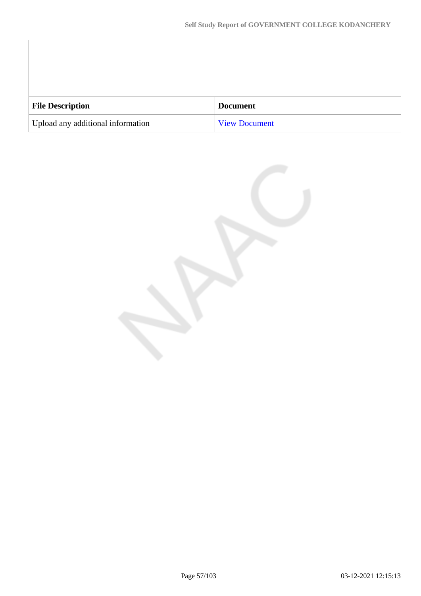| <b>File Description</b>           | <b>Document</b>      |
|-----------------------------------|----------------------|
| Upload any additional information | <b>View Document</b> |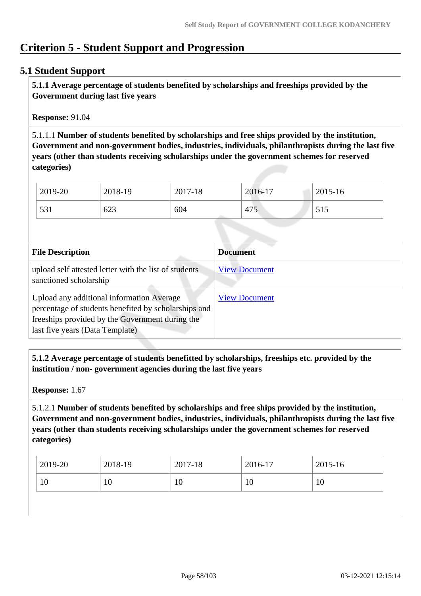# **Criterion 5 - Student Support and Progression**

### **5.1 Student Support**

 **5.1.1 Average percentage of students benefited by scholarships and freeships provided by the Government during last five years** 

**Response:** 91.04

5.1.1.1 **Number of students benefited by scholarships and free ships provided by the institution, Government and non-government bodies, industries, individuals, philanthropists during the last five years (other than students receiving scholarships under the government schemes for reserved categories)** 

| 2019-20 | 2018-19 | 2017-18 | 2016-17    | 2015-16           |
|---------|---------|---------|------------|-------------------|
| 531     | 623     | 604     | 175<br>4/5 | 515<br><u>JIJ</u> |

| <b>File Description</b>                                                                                                                                                                 | <b>Document</b>      |
|-----------------------------------------------------------------------------------------------------------------------------------------------------------------------------------------|----------------------|
| upload self attested letter with the list of students<br>sanctioned scholarship                                                                                                         | <b>View Document</b> |
| Upload any additional information Average<br>percentage of students benefited by scholarships and<br>freeships provided by the Government during the<br>last five years (Data Template) | <b>View Document</b> |

 **5.1.2 Average percentage of students benefitted by scholarships, freeships etc. provided by the institution / non- government agencies during the last five years**

**Response:** 1.67

5.1.2.1 **Number of students benefited by scholarships and free ships provided by the institution, Government and non-government bodies, industries, individuals, philanthropists during the last five years (other than students receiving scholarships under the government schemes for reserved categories)** 

| 2019-20  | 2018-19<br>2017-18 | 2016-17 |    | 2015-16 |
|----------|--------------------|---------|----|---------|
| 10<br>10 | 1 V                | 10      | 10 |         |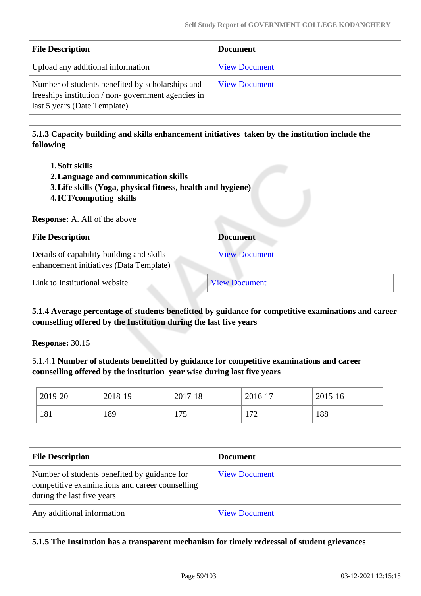| <b>File Description</b>                                                                                                                | <b>Document</b>      |
|----------------------------------------------------------------------------------------------------------------------------------------|----------------------|
| Upload any additional information                                                                                                      | <b>View Document</b> |
| Number of students benefited by scholarships and<br>freeships institution / non-government agencies in<br>last 5 years (Date Template) | <b>View Document</b> |

 **5.1.3 Capacity building and skills enhancement initiatives taken by the institution include the following**

#### **1.Soft skills**

- **2.Language and communication skills**
- **3.Life skills (Yoga, physical fitness, health and hygiene)**
- **4.ICT/computing skills**

**Response:** A. All of the above

| <b>File Description</b>                                                              | <b>Document</b>      |
|--------------------------------------------------------------------------------------|----------------------|
| Details of capability building and skills<br>enhancement initiatives (Data Template) | <b>View Document</b> |
| Link to Institutional website                                                        | <b>View Document</b> |

### **5.1.4 Average percentage of students benefitted by guidance for competitive examinations and career counselling offered by the Institution during the last five years**

**Response:** 30.15

5.1.4.1 **Number of students benefitted by guidance for competitive examinations and career counselling offered by the institution year wise during last five years**

| 2019-20 | 2018-19 | 2017-18      | 2016-17    | 2015-16 |
|---------|---------|--------------|------------|---------|
| 181     | 189     | 175<br>1 I J | 172<br>174 | 188     |

| <b>File Description</b>                                                                                                       | <b>Document</b>      |
|-------------------------------------------------------------------------------------------------------------------------------|----------------------|
| Number of students benefited by guidance for<br>competitive examinations and career counselling<br>during the last five years | <b>View Document</b> |
| Any additional information                                                                                                    | <b>View Document</b> |

### **5.1.5 The Institution has a transparent mechanism for timely redressal of student grievances**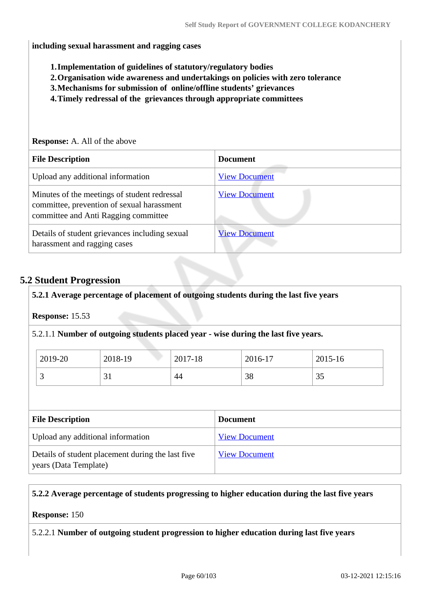#### **including sexual harassment and ragging cases**

- **1.Implementation of guidelines of statutory/regulatory bodies**
- **2.Organisation wide awareness and undertakings on policies with zero tolerance**
- **3.Mechanisms for submission of online/offline students' grievances**
- **4.Timely redressal of the grievances through appropriate committees**

## **Response:** A. All of the above **File Description Document** Upload any additional information [View Document](https://assessmentonline.naac.gov.in/storage/app/hei/SSR/108250/5.1.5_1614324512_5348.pdf) Minutes of the meetings of student redressal committee, prevention of sexual harassment committee and Anti Ragging committee [View Document](https://assessmentonline.naac.gov.in/storage/app/hei/SSR/108250/5.1.5_1612774749_5348.pdf) Details of student grievances including sexual harassment and ragging cases [View Document](https://assessmentonline.naac.gov.in/storage/app/hei/SSR/108250/5.1.5_1614324241_5348.pdf)

### **5.2 Student Progression**

### **5.2.1 Average percentage of placement of outgoing students during the last five years**

**Response:** 15.53

5.2.1.1 **Number of outgoing students placed year - wise during the last five years.**

| 2019-20 | 2018-19 | 2017-18 | 2016-17 | 2015-16   |
|---------|---------|---------|---------|-----------|
| ັ       | JI      | 44      | 38      | 25<br>ں ر |

| <b>File Description</b>                                                    | <b>Document</b>      |
|----------------------------------------------------------------------------|----------------------|
| Upload any additional information                                          | <b>View Document</b> |
| Details of student placement during the last five<br>years (Data Template) | <b>View Document</b> |

### **5.2.2 Average percentage of students progressing to higher education during the last five years**

#### **Response:** 150

5.2.2.1 **Number of outgoing student progression to higher education during last five years**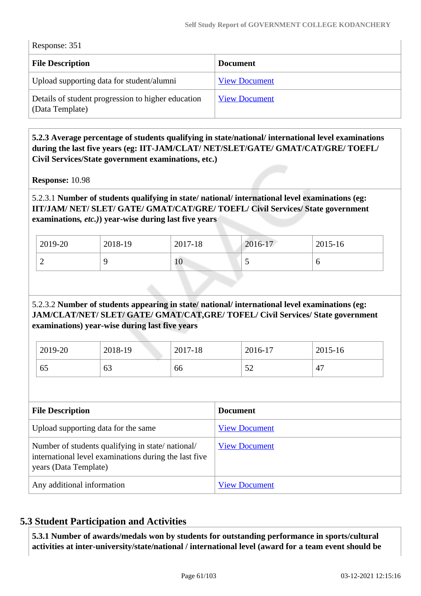Response: 351

| <b>File Description</b>                                               | <b>Document</b>      |
|-----------------------------------------------------------------------|----------------------|
| Upload supporting data for student/alumni                             | <b>View Document</b> |
| Details of student progression to higher education<br>(Data Template) | <b>View Document</b> |

 **5.2.3 Average percentage of students qualifying in state/national/ international level examinations during the last five years (eg: IIT-JAM/CLAT/ NET/SLET/GATE/ GMAT/CAT/GRE/ TOEFL/ Civil Services/State government examinations, etc.)**

**Response:** 10.98

5.2.3.1 **Number of students qualifying in state/ national/ international level examinations (eg: IIT/JAM/ NET/ SLET/ GATE/ GMAT/CAT/GRE/ TOEFL/ Civil Services/ State government examinations***, etc.)***) year-wise during last five years**

| 2019-20 | 2018-19 | 2017-18 | 2016-17                  | 2015-16 |
|---------|---------|---------|--------------------------|---------|
| ∽       |         | 10      | $\overline{\phantom{0}}$ | v       |

### 5.2.3.2 **Number of students appearing in state/ national/ international level examinations (eg: JAM/CLAT/NET/ SLET/ GATE/ GMAT/CAT,GRE/ TOFEL/ Civil Services/ State government examinations) year-wise during last five years**

| 2019-20 | 2018-19 | 2017-18 | 2016-17 | 2015-16 |
|---------|---------|---------|---------|---------|
| 65      | 63      | 66      | ے ب     | 47      |

| <b>File Description</b>                                                                                                            | <b>Document</b>      |
|------------------------------------------------------------------------------------------------------------------------------------|----------------------|
| Upload supporting data for the same                                                                                                | <b>View Document</b> |
| Number of students qualifying in state/national/<br>international level examinations during the last five<br>years (Data Template) | <b>View Document</b> |
| Any additional information                                                                                                         | <b>View Document</b> |

## **5.3 Student Participation and Activities**

 **5.3.1 Number of awards/medals won by students for outstanding performance in sports/cultural activities at inter-university/state/national / international level (award for a team event should be**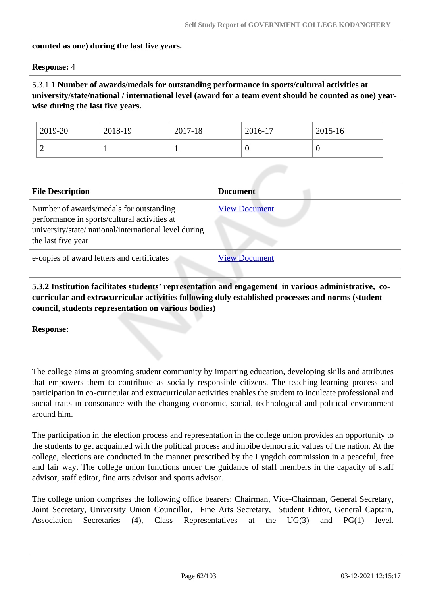#### **counted as one) during the last five years.**

#### **Response:** 4

### 5.3.1.1 **Number of awards/medals for outstanding performance in sports/cultural activities at university/state/national / international level (award for a team event should be counted as one) yearwise during the last five years.**

| 2019-20                  | 2018-19 | 2017-18 | 2016-17 | 2015-16 |
|--------------------------|---------|---------|---------|---------|
| $\overline{\phantom{0}}$ |         |         |         | ◡       |

| <b>File Description</b>                                                                                                                                                | <b>Document</b>      |
|------------------------------------------------------------------------------------------------------------------------------------------------------------------------|----------------------|
| Number of awards/medals for outstanding<br>performance in sports/cultural activities at<br>university/state/ national/international level during<br>the last five year | <b>View Document</b> |
| e-copies of award letters and certificates                                                                                                                             | <b>View Document</b> |

 **5.3.2 Institution facilitates students' representation and engagement in various administrative, cocurricular and extracurricular activities following duly established processes and norms (student council, students representation on various bodies)** 

**Response:** 

The college aims at grooming student community by imparting education, developing skills and attributes that empowers them to contribute as socially responsible citizens. The teaching-learning process and participation in co-curricular and extracurricular activities enables the student to inculcate professional and social traits in consonance with the changing economic, social, technological and political environment around him.

The participation in the election process and representation in the college union provides an opportunity to the students to get acquainted with the political process and imbibe democratic values of the nation. At the college, elections are conducted in the manner prescribed by the Lyngdoh commission in a peaceful, free and fair way. The college union functions under the guidance of staff members in the capacity of staff advisor, staff editor, fine arts advisor and sports advisor.

The college union comprises the following office bearers: Chairman, Vice-Chairman, General Secretary, Joint Secretary, University Union Councillor, Fine Arts Secretary, Student Editor, General Captain, Association Secretaries (4), Class Representatives at the UG(3) and PG(1) level.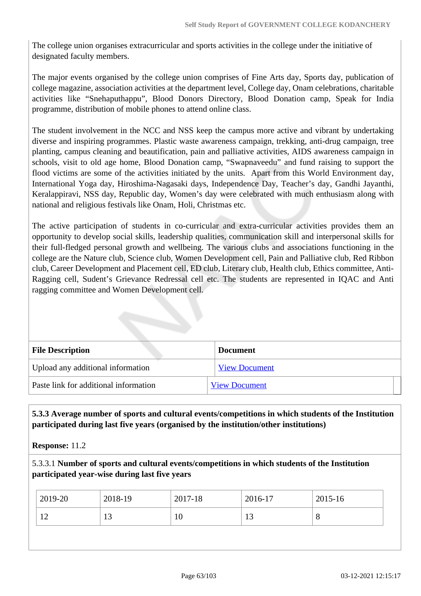The college union organises extracurricular and sports activities in the college under the initiative of designated faculty members.

The major events organised by the college union comprises of Fine Arts day, Sports day, publication of college magazine, association activities at the department level, College day, Onam celebrations, charitable activities like "Snehaputhappu", Blood Donors Directory, Blood Donation camp, Speak for India programme, distribution of mobile phones to attend online class.

The student involvement in the NCC and NSS keep the campus more active and vibrant by undertaking diverse and inspiring programmes. Plastic waste awareness campaign, trekking, anti-drug campaign, tree planting, campus cleaning and beautification, pain and palliative activities, AIDS awareness campaign in schools, visit to old age home, Blood Donation camp, "Swapnaveedu" and fund raising to support the flood victims are some of the activities initiated by the units. Apart from this World Environment day, International Yoga day, Hiroshima-Nagasaki days, Independence Day, Teacher's day, Gandhi Jayanthi, Keralappiravi, NSS day, Republic day, Women's day were celebrated with much enthusiasm along with national and religious festivals like Onam, Holi, Christmas etc.

The active participation of students in co-curricular and extra-curricular activities provides them an opportunity to develop social skills, leadership qualities, communication skill and interpersonal skills for their full-fledged personal growth and wellbeing. The various clubs and associations functioning in the college are the Nature club, Science club, Women Development cell, Pain and Palliative club, Red Ribbon club, Career Development and Placement cell, ED club, Literary club, Health club, Ethics committee, Anti-Ragging cell, Sudent's Grievance Redressal cell etc. The students are represented in IQAC and Anti ragging committee and Women Development cell.

| <b>File Description</b>               | <b>Document</b>      |
|---------------------------------------|----------------------|
| Upload any additional information     | <b>View Document</b> |
| Paste link for additional information | <b>View Document</b> |

### **5.3.3 Average number of sports and cultural events/competitions in which students of the Institution participated during last five years (organised by the institution/other institutions)**

**Response:** 11.2

5.3.3.1 **Number of sports and cultural events/competitions in which students of the Institution participated year-wise during last five years**

| 2019-20  | 2018-19 | 2017-18 | 2016-17 | 2015-16 |
|----------|---------|---------|---------|---------|
| 1 ^<br>∸ | ⊥⊃      | 10      | ⊥J      | Ő       |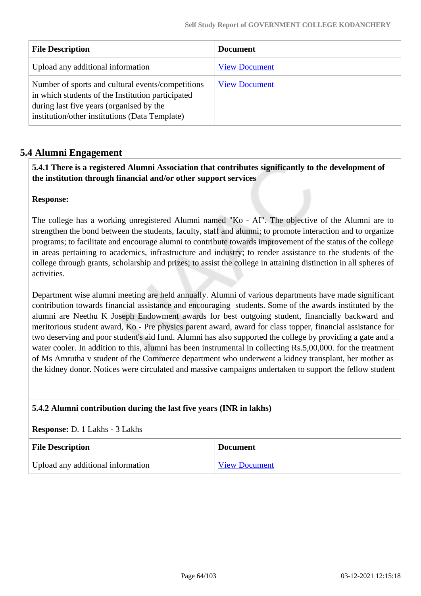| <b>File Description</b>                                                                                                                                                                              | <b>Document</b>      |
|------------------------------------------------------------------------------------------------------------------------------------------------------------------------------------------------------|----------------------|
| Upload any additional information                                                                                                                                                                    | <b>View Document</b> |
| Number of sports and cultural events/competitions<br>in which students of the Institution participated<br>during last five years (organised by the<br>institution/other institutions (Data Template) | <b>View Document</b> |

### **5.4 Alumni Engagement**

 **5.4.1 There is a registered Alumni Association that contributes significantly to the development of the institution through financial and/or other support services**

### **Response:**

The college has a working unregistered Alumni named "Ko - AI". The objective of the Alumni are to strengthen the bond between the students, faculty, staff and alumni; to promote interaction and to organize programs; to facilitate and encourage alumni to contribute towards improvement of the status of the college in areas pertaining to academics, infrastructure and industry; to render assistance to the students of the college through grants, scholarship and prizes; to assist the college in attaining distinction in all spheres of activities.

Department wise alumni meeting are held annually. Alumni of various departments have made significant contribution towards financial assistance and encouraging students. Some of the awards instituted by the alumni are Neethu K Joseph Endowment awards for best outgoing student, financially backward and meritorious student award, Ko - Pre physics parent award, award for class topper, financial assistance for two deserving and poor student's aid fund. Alumni has also supported the college by providing a gate and a water cooler. In addition to this, alumni has been instrumental in collecting Rs.5,00,000. for the treatment of Ms Amrutha v student of the Commerce department who underwent a kidney transplant, her mother as the kidney donor. Notices were circulated and massive campaigns undertaken to support the fellow student

### **5.4.2 Alumni contribution during the last five years (INR in lakhs)**

#### **Response:** D. 1 Lakhs - 3 Lakhs

| <b>File Description</b>           | <b>Document</b>      |
|-----------------------------------|----------------------|
| Upload any additional information | <b>View Document</b> |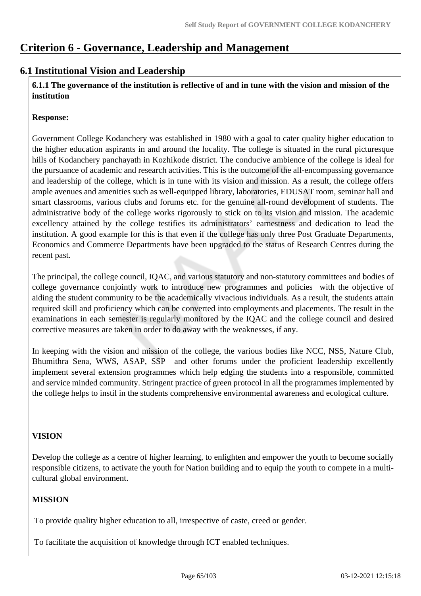## **Criterion 6 - Governance, Leadership and Management**

### **6.1 Institutional Vision and Leadership**

 **6.1.1 The governance of the institution is reflective of and in tune with the vision and mission of the institution**

### **Response:**

Government College Kodanchery was established in 1980 with a goal to cater quality higher education to the higher education aspirants in and around the locality. The college is situated in the rural picturesque hills of Kodanchery panchayath in Kozhikode district. The conducive ambience of the college is ideal for the pursuance of academic and research activities. This is the outcome of the all-encompassing governance and leadership of the college, which is in tune with its vision and mission. As a result, the college offers ample avenues and amenities such as well-equipped library, laboratories, EDUSAT room, seminar hall and smart classrooms, various clubs and forums etc. for the genuine all-round development of students. The administrative body of the college works rigorously to stick on to its vision and mission. The academic excellency attained by the college testifies its administrators' earnestness and dedication to lead the institution. A good example for this is that even if the college has only three Post Graduate Departments, Economics and Commerce Departments have been upgraded to the status of Research Centres during the recent past.

The principal, the college council, IQAC, and various statutory and non-statutory committees and bodies of college governance conjointly work to introduce new programmes and policies with the objective of aiding the student community to be the academically vivacious individuals. As a result, the students attain required skill and proficiency which can be converted into employments and placements. The result in the examinations in each semester is regularly monitored by the IQAC and the college council and desired corrective measures are taken in order to do away with the weaknesses, if any.

In keeping with the vision and mission of the college, the various bodies like NCC, NSS, Nature Club, Bhumithra Sena, WWS, ASAP, SSP and other forums under the proficient leadership excellently implement several extension programmes which help edging the students into a responsible, committed and service minded community. Stringent practice of green protocol in all the programmes implemented by the college helps to instil in the students comprehensive environmental awareness and ecological culture.

### **VISION**

Develop the college as a centre of higher learning, to enlighten and empower the youth to become socially responsible citizens, to activate the youth for Nation building and to equip the youth to compete in a multicultural global environment.

### **MISSION**

To provide quality higher education to all, irrespective of caste, creed or gender.

To facilitate the acquisition of knowledge through ICT enabled techniques.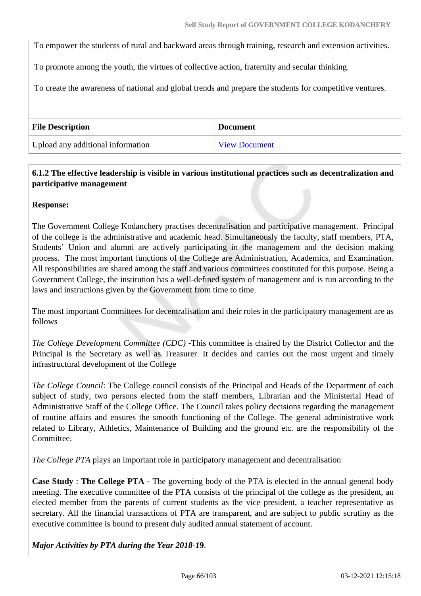To empower the students of rural and backward areas through training, research and extension activities.

To promote among the youth, the virtues of collective action, fraternity and secular thinking.

To create the awareness of national and global trends and prepare the students for competitive ventures.

| <b>File Description</b>           | <b>Document</b> |
|-----------------------------------|-----------------|
| Upload any additional information | View Document   |

### **6.1.2 The effective leadership is visible in various institutional practices such as decentralization and participative management**

#### **Response:**

The Government College Kodanchery practises decentralisation and participative management. Principal of the college is the administrative and academic head. Simultaneously the faculty, staff members, PTA, Students' Union and alumni are actively participating in the management and the decision making process. The most important functions of the College are Administration, Academics, and Examination. All responsibilities are shared among the staff and various committees constituted for this purpose. Being a Government College, the institution has a well-defined system of management and is run according to the laws and instructions given by the Government from time to time.

The most important Committees for decentralisation and their roles in the participatory management are as follows

*The College Development Committee (CDC)* -This committee is chaired by the District Collector and the Principal is the Secretary as well as Treasurer. It decides and carries out the most urgent and timely infrastructural development of the College

*The College Council*: The College council consists of the Principal and Heads of the Department of each subject of study, two persons elected from the staff members, Librarian and the Ministerial Head of Administrative Staff of the College Office. The Council takes policy decisions regarding the management of routine affairs and ensures the smooth functioning of the College. The general administrative work related to Library, Athletics, Maintenance of Building and the ground etc. are the responsibility of the Committee.

*The College PTA* plays an important role in participatory management and decentralisation

**Case Study** : **The College PTA -** The governing body of the PTA is elected in the annual general body meeting. The executive committee of the PTA consists of the principal of the college as the president, an elected member from the parents of current students as the vice president, a teacher representative as secretary. All the financial transactions of PTA are transparent, and are subject to public scrutiny as the executive committee is bound to present duly audited annual statement of account.

*Major Activities by PTA during the Year 2018-1***9**.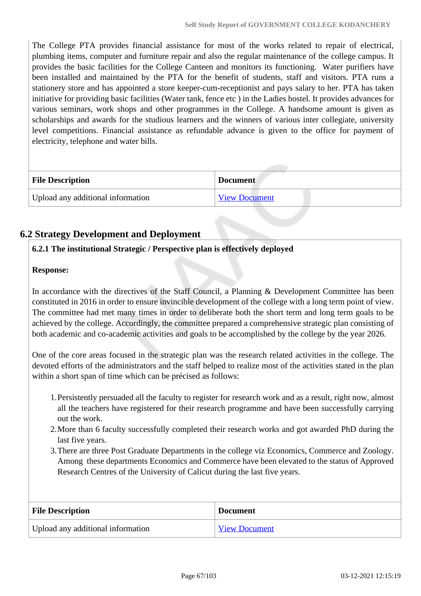The College PTA provides financial assistance for most of the works related to repair of electrical, plumbing items, computer and furniture repair and also the regular maintenance of the college campus. It provides the basic facilities for the College Canteen and monitors its functioning. Water purifiers have been installed and maintained by the PTA for the benefit of students, staff and visitors. PTA runs a stationery store and has appointed a store keeper-cum-receptionist and pays salary to her. PTA has taken initiative for providing basic facilities (Water tank, fence etc ) in the Ladies hostel. It provides advances for various seminars, work shops and other programmes in the College. A handsome amount is given as scholarships and awards for the studious learners and the winners of various inter collegiate, university level competitions. Financial assistance as refundable advance is given to the office for payment of electricity, telephone and water bills.

| <b>File Description</b>           | <b>Document</b> |
|-----------------------------------|-----------------|
| Upload any additional information | View Document   |

## **6.2 Strategy Development and Deployment**

### **6.2.1 The institutional Strategic / Perspective plan is effectively deployed**

### **Response:**

In accordance with the directives of the Staff Council, a Planning & Development Committee has been constituted in 2016 in order to ensure invincible development of the college with a long term point of view. The committee had met many times in order to deliberate both the short term and long term goals to be achieved by the college. Accordingly, the committee prepared a comprehensive strategic plan consisting of both academic and co-academic activities and goals to be accomplished by the college by the year 2026.

One of the core areas focused in the strategic plan was the research related activities in the college. The devoted efforts of the administrators and the staff helped to realize most of the activities stated in the plan within a short span of time which can be précised as follows:

- 1.Persistently persuaded all the faculty to register for research work and as a result, right now, almost all the teachers have registered for their research programme and have been successfully carrying out the work.
- 2.More than 6 faculty successfully completed their research works and got awarded PhD during the last five years.
- 3.There are three Post Graduate Departments in the college viz Economics, Commerce and Zoology. Among these departments Economics and Commerce have been elevated to the status of Approved Research Centres of the University of Calicut during the last five years.

| <b>File Description</b>           | <b>Document</b>      |
|-----------------------------------|----------------------|
| Upload any additional information | <b>View Document</b> |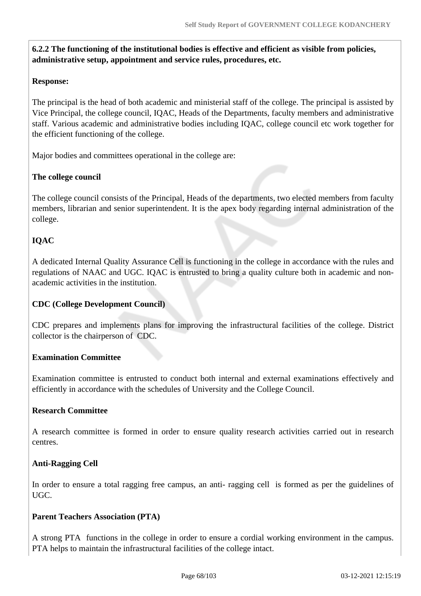**6.2.2 The functioning of the institutional bodies is effective and efficient as visible from policies, administrative setup, appointment and service rules, procedures, etc.**

### **Response:**

The principal is the head of both academic and ministerial staff of the college. The principal is assisted by Vice Principal, the college council, IQAC, Heads of the Departments, faculty members and administrative staff. Various academic and administrative bodies including IQAC, college council etc work together for the efficient functioning of the college.

Major bodies and committees operational in the college are:

#### **The college council**

The college council consists of the Principal, Heads of the departments, two elected members from faculty members, librarian and senior superintendent. It is the apex body regarding internal administration of the college.

### **IQAC**

A dedicated Internal Quality Assurance Cell is functioning in the college in accordance with the rules and regulations of NAAC and UGC. IQAC is entrusted to bring a quality culture both in academic and nonacademic activities in the institution.

### **CDC (College Development Council)**

CDC prepares and implements plans for improving the infrastructural facilities of the college. District collector is the chairperson of CDC.

### **Examination Committee**

Examination committee is entrusted to conduct both internal and external examinations effectively and efficiently in accordance with the schedules of University and the College Council.

#### **Research Committee**

A research committee is formed in order to ensure quality research activities carried out in research centres.

#### **Anti-Ragging Cell**

In order to ensure a total ragging free campus, an anti- ragging cell is formed as per the guidelines of UGC.

#### **Parent Teachers Association (PTA)**

A strong PTA functions in the college in order to ensure a cordial working environment in the campus. PTA helps to maintain the infrastructural facilities of the college intact.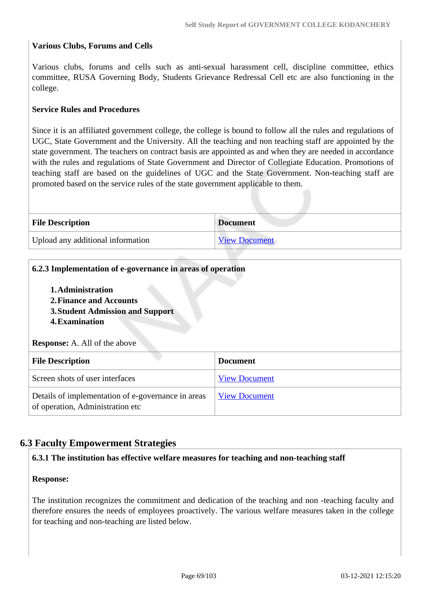#### **Various Clubs, Forums and Cells**

Various clubs, forums and cells such as anti-sexual harassment cell, discipline committee, ethics committee, RUSA Governing Body, Students Grievance Redressal Cell etc are also functioning in the college.

#### **Service Rules and Procedures**

Since it is an affiliated government college, the college is bound to follow all the rules and regulations of UGC, State Government and the University. All the teaching and non teaching staff are appointed by the state government. The teachers on contract basis are appointed as and when they are needed in accordance with the rules and regulations of State Government and Director of Collegiate Education. Promotions of teaching staff are based on the guidelines of UGC and the State Government. Non-teaching staff are promoted based on the service rules of the state government applicable to them.

| <b>File Description</b>           | <b>Document</b>      |
|-----------------------------------|----------------------|
| Upload any additional information | <b>View Document</b> |

# **6.2.3 Implementation of e-governance in areas of operation 1.Administration 2.Finance and Accounts 3.Student Admission and Support 4.Examination Response:** A. All of the above **File Description Document** Screen shots of user interfaces [View Document](https://assessmentonline.naac.gov.in/storage/app/hei/SSR/108250/6.2.3_1612424972_5348.pdf) Details of implementation of e-governance in areas of operation, Administration etc [View Document](https://assessmentonline.naac.gov.in/storage/app/hei/SSR/108250/6.2.3_1612426400_5348.xlsx)

### **6.3 Faculty Empowerment Strategies**

#### **6.3.1 The institution has effective welfare measures for teaching and non-teaching staff**

#### **Response:**

The institution recognizes the commitment and dedication of the teaching and non -teaching faculty and therefore ensures the needs of employees proactively. The various welfare measures taken in the college for teaching and non-teaching are listed below.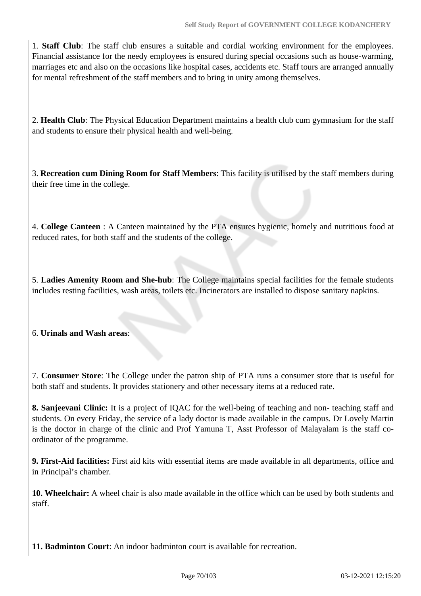1. **Staff Club**: The staff club ensures a suitable and cordial working environment for the employees. Financial assistance for the needy employees is ensured during special occasions such as house-warming, marriages etc and also on the occasions like hospital cases, accidents etc. Staff tours are arranged annually for mental refreshment of the staff members and to bring in unity among themselves.

2. **Health Club**: The Physical Education Department maintains a health club cum gymnasium for the staff and students to ensure their physical health and well-being.

3. **Recreation cum Dining Room for Staff Members**: This facility is utilised by the staff members during their free time in the college.

4. **College Canteen** : A Canteen maintained by the PTA ensures hygienic, homely and nutritious food at reduced rates, for both staff and the students of the college.

5. **Ladies Amenity Room and She-hub**: The College maintains special facilities for the female students includes resting facilities, wash areas, toilets etc. Incinerators are installed to dispose sanitary napkins.

### 6. **Urinals and Wash areas**:

7. **Consumer Store**: The College under the patron ship of PTA runs a consumer store that is useful for both staff and students. It provides stationery and other necessary items at a reduced rate.

**8. Sanjeevani Clinic:** It is a project of IQAC for the well-being of teaching and non- teaching staff and students. On every Friday, the service of a lady doctor is made available in the campus. Dr Lovely Martin is the doctor in charge of the clinic and Prof Yamuna T, Asst Professor of Malayalam is the staff coordinator of the programme.

**9. First-Aid facilities:** First aid kits with essential items are made available in all departments, office and in Principal's chamber.

**10. Wheelchair:** A wheel chair is also made available in the office which can be used by both students and staff.

**11. Badminton Court**: An indoor badminton court is available for recreation.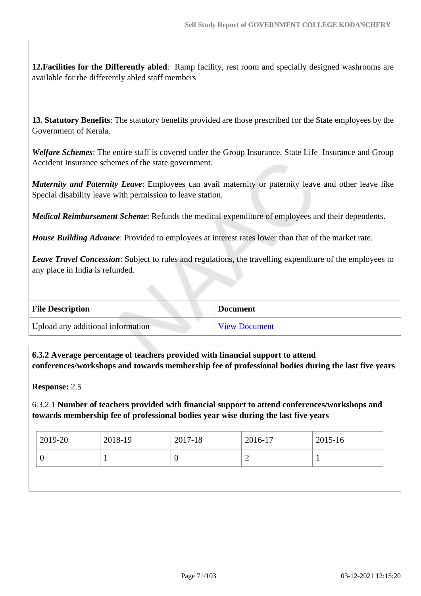**12.Facilities for the Differently abled**: Ramp facility, rest room and specially designed washrooms are available for the differently abled staff members

**13. Statutory Benefits**: The statutory benefits provided are those prescribed for the State employees by the Government of Kerala.

*Welfare Schemes*: The entire staff is covered under the Group Insurance, State Life Insurance and Group Accident Insurance schemes of the state government.

*Maternity and Paternity Leave*: Employees can avail maternity or paternity leave and other leave like Special disability leave with permission to leave station.

*Medical Reimbursement Scheme*: Refunds the medical expenditure of employees and their dependents.

*House Building Advance*: Provided to employees at interest rates lower than that of the market rate.

*Leave Travel Concession*: Subject to rules and regulations, the travelling expenditure of the employees to any place in India is refunded.

| <b>File Description</b>           | <b>Document</b>      |
|-----------------------------------|----------------------|
| Upload any additional information | <b>View Document</b> |

 **6.3.2 Average percentage of teachers provided with financial support to attend conferences/workshops and towards membership fee of professional bodies during the last five years**

**Response:** 2.5

6.3.2.1 **Number of teachers provided with financial support to attend conferences/workshops and towards membership fee of professional bodies year wise during the last five years**

| 2019-20 | 2018-19 | 2017-18 | 2016-17 | 2015-16 |
|---------|---------|---------|---------|---------|
|         |         | U       |         |         |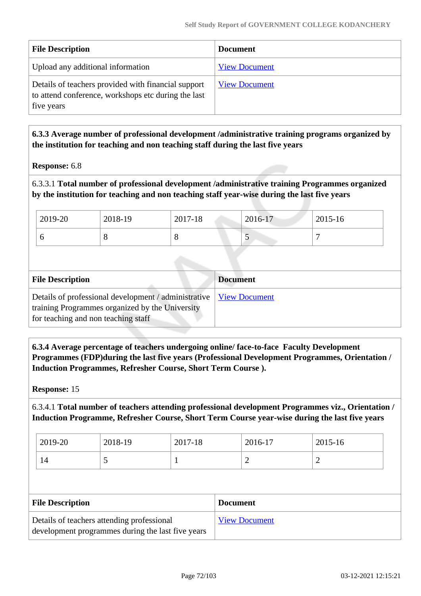| <b>File Description</b>                                                                                                  | <b>Document</b>      |
|--------------------------------------------------------------------------------------------------------------------------|----------------------|
| Upload any additional information                                                                                        | <b>View Document</b> |
| Details of teachers provided with financial support<br>to attend conference, workshops etc during the last<br>five years | <b>View Document</b> |

 **6.3.3 Average number of professional development /administrative training programs organized by the institution for teaching and non teaching staff during the last five years**

**Response:** 6.8

6.3.3.1 **Total number of professional development /administrative training Programmes organized by the institution for teaching and non teaching staff year-wise during the last five years**

| 2019-20 | 2018-19 | 2017-18 | 2016-17 | 2015-16 |
|---------|---------|---------|---------|---------|
| ິ       |         | Ő       |         |         |

| <b>File Description</b>                                                                                                                                        | <b>Document</b> |
|----------------------------------------------------------------------------------------------------------------------------------------------------------------|-----------------|
| Details of professional development / administrative   View Document<br>training Programmes organized by the University<br>for teaching and non teaching staff |                 |

 **6.3.4 Average percentage of teachers undergoing online/ face-to-face Faculty Development Programmes (FDP)during the last five years (Professional Development Programmes, Orientation / Induction Programmes, Refresher Course, Short Term Course ).**

**Response:** 15

6.3.4.1 **Total number of teachers attending professional development Programmes viz., Orientation / Induction Programme, Refresher Course, Short Term Course year-wise during the last five years**

| 2019-20 | 2018-19 | 2017-18 | 2016-17 | 2015-16   |
|---------|---------|---------|---------|-----------|
| 14      | ັ       |         | -       | <b>__</b> |

| <b>File Description</b>                                                                         | <b>Document</b>      |
|-------------------------------------------------------------------------------------------------|----------------------|
| Details of teachers attending professional<br>development programmes during the last five years | <b>View Document</b> |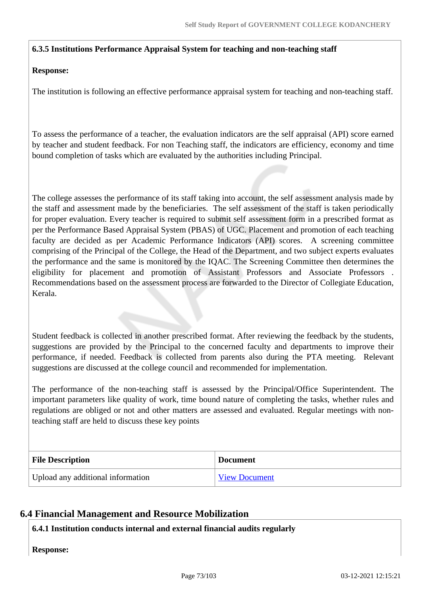## **6.3.5 Institutions Performance Appraisal System for teaching and non-teaching staff**

#### **Response:**

The institution is following an effective performance appraisal system for teaching and non-teaching staff.

To assess the performance of a teacher, the evaluation indicators are the self appraisal (API) score earned by teacher and student feedback. For non Teaching staff, the indicators are efficiency, economy and time bound completion of tasks which are evaluated by the authorities including Principal.

The college assesses the performance of its staff taking into account, the self assessment analysis made by the staff and assessment made by the beneficiaries. The self assessment of the staff is taken periodically for proper evaluation. Every teacher is required to submit self assessment form in a prescribed format as per the Performance Based Appraisal System (PBAS) of UGC. Placement and promotion of each teaching faculty are decided as per Academic Performance Indicators (API) scores. A screening committee comprising of the Principal of the College, the Head of the Department, and two subject experts evaluates the performance and the same is monitored by the IQAC. The Screening Committee then determines the eligibility for placement and promotion of Assistant Professors and Associate Professors . Recommendations based on the assessment process are forwarded to the Director of Collegiate Education, Kerala.

Student feedback is collected in another prescribed format. After reviewing the feedback by the students, suggestions are provided by the Principal to the concerned faculty and departments to improve their performance, if needed. Feedback is collected from parents also during the PTA meeting. Relevant suggestions are discussed at the college council and recommended for implementation.

The performance of the non-teaching staff is assessed by the Principal/Office Superintendent. The important parameters like quality of work, time bound nature of completing the tasks, whether rules and regulations are obliged or not and other matters are assessed and evaluated. Regular meetings with nonteaching staff are held to discuss these key points

| <b>File Description</b>           | <b>Document</b>      |
|-----------------------------------|----------------------|
| Upload any additional information | <b>View Document</b> |

## **6.4 Financial Management and Resource Mobilization**

#### **6.4.1 Institution conducts internal and external financial audits regularly**

**Response:**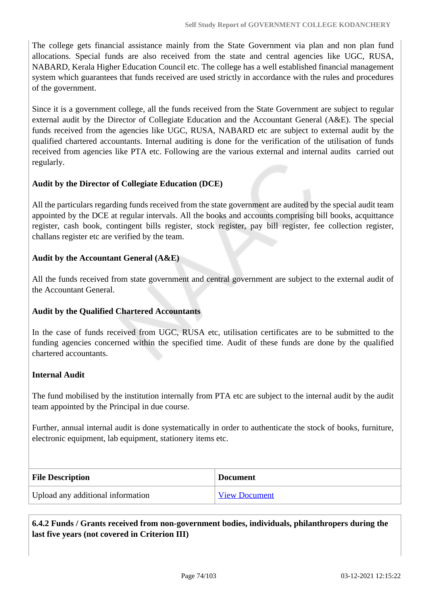The college gets financial assistance mainly from the State Government via plan and non plan fund allocations. Special funds are also received from the state and central agencies like UGC, RUSA, NABARD, Kerala Higher Education Council etc. The college has a well established financial management system which guarantees that funds received are used strictly in accordance with the rules and procedures of the government.

Since it is a government college, all the funds received from the State Government are subject to regular external audit by the Director of Collegiate Education and the Accountant General (A&E). The special funds received from the agencies like UGC, RUSA, NABARD etc are subject to external audit by the qualified chartered accountants. Internal auditing is done for the verification of the utilisation of funds received from agencies like PTA etc. Following are the various external and internal audits carried out regularly.

#### **Audit by the Director of Collegiate Education (DCE)**

All the particulars regarding funds received from the state government are audited by the special audit team appointed by the DCE at regular intervals. All the books and accounts comprising bill books, acquittance register, cash book, contingent bills register, stock register, pay bill register, fee collection register, challans register etc are verified by the team.

#### **Audit by the Accountant General (A&E)**

All the funds received from state government and central government are subject to the external audit of the Accountant General.

#### **Audit by the Qualified Chartered Accountants**

In the case of funds received from UGC, RUSA etc, utilisation certificates are to be submitted to the funding agencies concerned within the specified time. Audit of these funds are done by the qualified chartered accountants.

#### **Internal Audit**

The fund mobilised by the institution internally from PTA etc are subject to the internal audit by the audit team appointed by the Principal in due course.

Further, annual internal audit is done systematically in order to authenticate the stock of books, furniture, electronic equipment, lab equipment, stationery items etc.

| <b>File Description</b>           | <b>Document</b>      |
|-----------------------------------|----------------------|
| Upload any additional information | <b>View Document</b> |

 **6.4.2 Funds / Grants received from non-government bodies, individuals, philanthropers during the last five years (not covered in Criterion III)**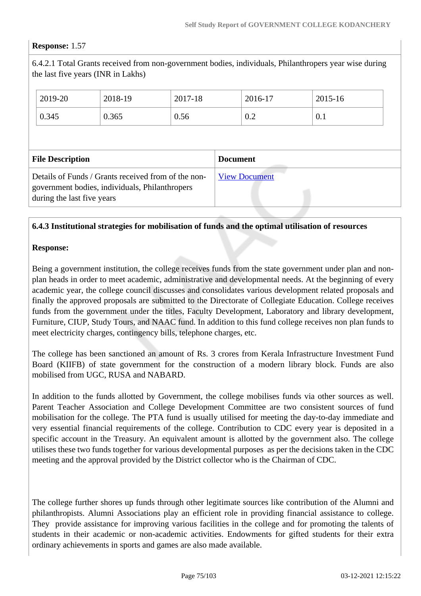### **Response:** 1.57

6.4.2.1 Total Grants received from non-government bodies, individuals, Philanthropers year wise during the last five years (INR in Lakhs)

|                                                | 2019-20 | 2018-19                                             | 2017-18 |  | 2016-17              | $2015 - 16$ |  |
|------------------------------------------------|---------|-----------------------------------------------------|---------|--|----------------------|-------------|--|
|                                                | 0.345   | 0.365                                               | 0.56    |  | 0.2                  | 0.1         |  |
|                                                |         |                                                     |         |  |                      |             |  |
| <b>File Description</b>                        |         | <b>Document</b>                                     |         |  |                      |             |  |
| government bodies, individuals, Philanthropers |         | Details of Funds / Grants received from of the non- |         |  | <b>View Document</b> |             |  |

#### **6.4.3 Institutional strategies for mobilisation of funds and the optimal utilisation of resources**

#### **Response:**

Being a government institution, the college receives funds from the state government under plan and nonplan heads in order to meet academic, administrative and developmental needs. At the beginning of every academic year, the college council discusses and consolidates various development related proposals and finally the approved proposals are submitted to the Directorate of Collegiate Education. College receives funds from the government under the titles, Faculty Development, Laboratory and library development, Furniture, CIUP, Study Tours, and NAAC fund. In addition to this fund college receives non plan funds to meet electricity charges, contingency bills, telephone charges, etc.

The college has been sanctioned an amount of Rs. 3 crores from Kerala Infrastructure Investment Fund Board (KIIFB) of state government for the construction of a modern library block. Funds are also mobilised from UGC, RUSA and NABARD.

In addition to the funds allotted by Government, the college mobilises funds via other sources as well. Parent Teacher Association and College Development Committee are two consistent sources of fund mobilisation for the college. The PTA fund is usually utilised for meeting the day-to-day immediate and very essential financial requirements of the college. Contribution to CDC every year is deposited in a specific account in the Treasury. An equivalent amount is allotted by the government also. The college utilises these two funds together for various developmental purposes as per the decisions taken in the CDC meeting and the approval provided by the District collector who is the Chairman of CDC.

The college further shores up funds through other legitimate sources like contribution of the Alumni and philanthropists. Alumni Associations play an efficient role in providing financial assistance to college. They provide assistance for improving various facilities in the college and for promoting the talents of students in their academic or non-academic activities. Endowments for gifted students for their extra ordinary achievements in sports and games are also made available.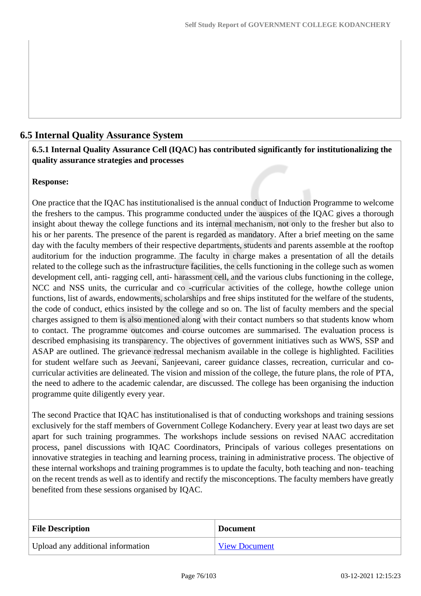## **6.5 Internal Quality Assurance System**

## **6.5.1 Internal Quality Assurance Cell (IQAC) has contributed significantly for institutionalizing the quality assurance strategies and processes**

### **Response:**

One practice that the IQAC has institutionalised is the annual conduct of Induction Programme to welcome the freshers to the campus. This programme conducted under the auspices of the IQAC gives a thorough insight about theway the college functions and its internal mechanism, not only to the fresher but also to his or her parents. The presence of the parent is regarded as mandatory. After a brief meeting on the same day with the faculty members of their respective departments, students and parents assemble at the rooftop auditorium for the induction programme. The faculty in charge makes a presentation of all the details related to the college such as the infrastructure facilities, the cells functioning in the college such as women development cell, anti- ragging cell, anti- harassment cell, and the various clubs functioning in the college, NCC and NSS units, the curricular and co -curricular activities of the college, howthe college union functions, list of awards, endowments, scholarships and free ships instituted for the welfare of the students, the code of conduct, ethics insisted by the college and so on. The list of faculty members and the special charges assigned to them is also mentioned along with their contact numbers so that students know whom to contact. The programme outcomes and course outcomes are summarised. The evaluation process is described emphasising its transparency. The objectives of government initiatives such as WWS, SSP and ASAP are outlined. The grievance redressal mechanism available in the college is highlighted. Facilities for student welfare such as Jeevani, Sanjeevani, career guidance classes, recreation, curricular and cocurricular activities are delineated. The vision and mission of the college, the future plans, the role of PTA, the need to adhere to the academic calendar, are discussed. The college has been organising the induction programme quite diligently every year.

The second Practice that IQAC has institutionalised is that of conducting workshops and training sessions exclusively for the staff members of Government College Kodanchery. Every year at least two days are set apart for such training programmes. The workshops include sessions on revised NAAC accreditation process, panel discussions with IQAC Coordinators, Principals of various colleges presentations on innovative strategies in teaching and learning process, training in administrative process. The objective of these internal workshops and training programmes is to update the faculty, both teaching and non- teaching on the recent trends as well as to identify and rectify the misconceptions. The faculty members have greatly benefited from these sessions organised by IQAC.

| <b>File Description</b>           | <b>Document</b>      |
|-----------------------------------|----------------------|
| Upload any additional information | <b>View Document</b> |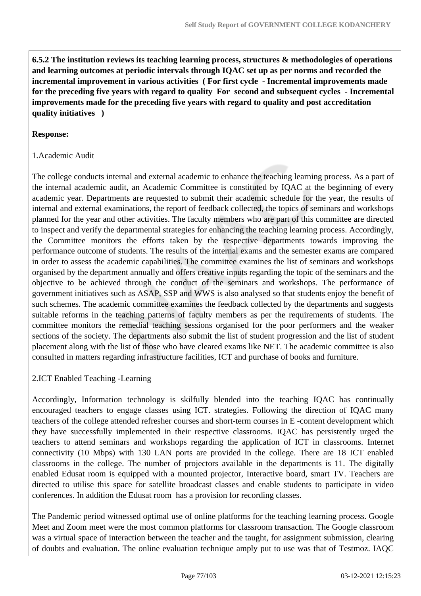**6.5.2 The institution reviews its teaching learning process, structures & methodologies of operations and learning outcomes at periodic intervals through IQAC set up as per norms and recorded the incremental improvement in various activities ( For first cycle - Incremental improvements made for the preceding five years with regard to quality For second and subsequent cycles - Incremental improvements made for the preceding five years with regard to quality and post accreditation quality initiatives )** 

#### **Response:**

#### 1.Academic Audit

The college conducts internal and external academic to enhance the teaching learning process. As a part of the internal academic audit, an Academic Committee is constituted by IQAC at the beginning of every academic year. Departments are requested to submit their academic schedule for the year, the results of internal and external examinations, the report of feedback collected, the topics of seminars and workshops planned for the year and other activities. The faculty members who are part of this committee are directed to inspect and verify the departmental strategies for enhancing the teaching learning process. Accordingly, the Committee monitors the efforts taken by the respective departments towards improving the performance outcome of students. The results of the internal exams and the semester exams are compared in order to assess the academic capabilities. The committee examines the list of seminars and workshops organised by the department annually and offers creative inputs regarding the topic of the seminars and the objective to be achieved through the conduct of the seminars and workshops. The performance of government initiatives such as ASAP, SSP and WWS is also analysed so that students enjoy the benefit of such schemes. The academic committee examines the feedback collected by the departments and suggests suitable reforms in the teaching patterns of faculty members as per the requirements of students. The committee monitors the remedial teaching sessions organised for the poor performers and the weaker sections of the society. The departments also submit the list of student progression and the list of student placement along with the list of those who have cleared exams like NET. The academic committee is also consulted in matters regarding infrastructure facilities, ICT and purchase of books and furniture.

#### 2.ICT Enabled Teaching -Learning

Accordingly, Information technology is skilfully blended into the teaching IQAC has continually encouraged teachers to engage classes using ICT. strategies. Following the direction of IQAC many teachers of the college attended refresher courses and short-term courses in E -content development which they have successfully implemented in their respective classrooms. IQAC has persistently urged the teachers to attend seminars and workshops regarding the application of ICT in classrooms. Internet connectivity (10 Mbps) with 130 LAN ports are provided in the college. There are 18 ICT enabled classrooms in the college. The number of projectors available in the departments is 11. The digitally enabled Edusat room is equipped with a mounted projector, Interactive board, smart TV. Teachers are directed to utilise this space for satellite broadcast classes and enable students to participate in video conferences. In addition the Edusat room has a provision for recording classes.

The Pandemic period witnessed optimal use of online platforms for the teaching learning process. Google Meet and Zoom meet were the most common platforms for classroom transaction. The Google classroom was a virtual space of interaction between the teacher and the taught, for assignment submission, clearing of doubts and evaluation. The online evaluation technique amply put to use was that of Testmoz. IAQC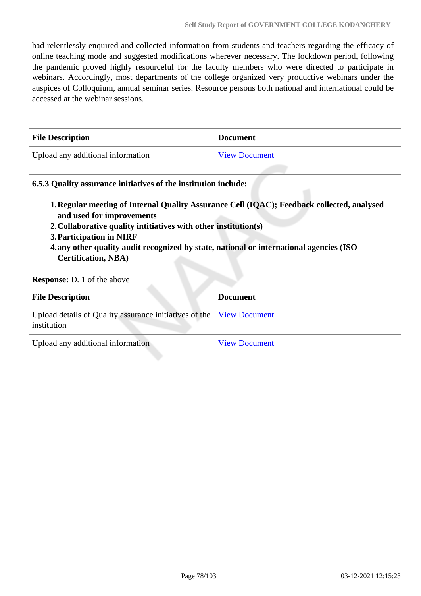had relentlessly enquired and collected information from students and teachers regarding the efficacy of online teaching mode and suggested modifications wherever necessary. The lockdown period, following the pandemic proved highly resourceful for the faculty members who were directed to participate in webinars. Accordingly, most departments of the college organized very productive webinars under the auspices of Colloquium, annual seminar series. Resource persons both national and international could be accessed at the webinar sessions.

| <b>File Description</b>           | <b>Document</b>      |
|-----------------------------------|----------------------|
| Upload any additional information | <b>View Document</b> |

## **6.5.3 Quality assurance initiatives of the institution include: 1.Regular meeting of Internal Quality Assurance Cell (IQAC); Feedback collected, analysed and used for improvements 2.Collaborative quality intitiatives with other institution(s) 3.Participation in NIRF 4.any other quality audit recognized by state, national or international agencies (ISO Certification, NBA) Response:** D. 1 of the above **File Description Document** Upload details of Quality assurance initiatives of the institution [View Document](https://assessmentonline.naac.gov.in/storage/app/hei/SSR/108250/6.5.3_1614669072_5348.xlsx) Upload any additional information [View Document](https://assessmentonline.naac.gov.in/storage/app/hei/SSR/108250/6.5.3_1614774928_5348.pdf)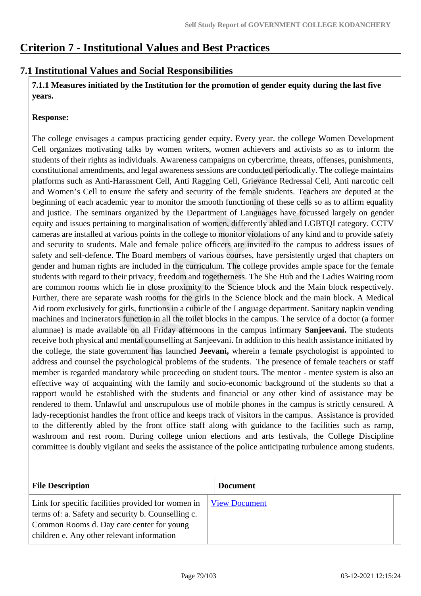## **Criterion 7 - Institutional Values and Best Practices**

## **7.1 Institutional Values and Social Responsibilities**

 **7.1.1 Measures initiated by the Institution for the promotion of gender equity during the last five years.**

#### **Response:**

The college envisages a campus practicing gender equity. Every year. the college Women Development Cell organizes motivating talks by women writers, women achievers and activists so as to inform the students of their rights as individuals. Awareness campaigns on cybercrime, threats, offenses, punishments, constitutional amendments, and legal awareness sessions are conducted periodically. The college maintains platforms such as Anti-Harassment Cell, Anti Ragging Cell, Grievance Redressal Cell, Anti narcotic cell and Women's Cell to ensure the safety and security of the female students. Teachers are deputed at the beginning of each academic year to monitor the smooth functioning of these cells so as to affirm equality and justice. The seminars organized by the Department of Languages have focussed largely on gender equity and issues pertaining to marginalisation of women, differently abled and LGBTQI category. CCTV cameras are installed at various points in the college to monitor violations of any kind and to provide safety and security to students. Male and female police officers are invited to the campus to address issues of safety and self-defence. The Board members of various courses, have persistently urged that chapters on gender and human rights are included in the curriculum. The college provides ample space for the female students with regard to their privacy, freedom and togetherness. The She Hub and the Ladies Waiting room are common rooms which lie in close proximity to the Science block and the Main block respectively. Further, there are separate wash rooms for the girls in the Science block and the main block. A Medical Aid room exclusively for girls, functions in a cubicle of the Language department. Sanitary napkin vending machines and incinerators function in all the toilet blocks in the campus. The service of a doctor (a former alumnae) is made available on all Friday afternoons in the campus infirmary **Sanjeevani.** The students receive both physical and mental counselling at Sanjeevani. In addition to this health assistance initiated by the college, the state government has launched **Jeevani,** wherein a female psychologist is appointed to address and counsel the psychological problems of the students. The presence of female teachers or staff member is regarded mandatory while proceeding on student tours. The mentor - mentee system is also an effective way of acquainting with the family and socio-economic background of the students so that a rapport would be established with the students and financial or any other kind of assistance may be rendered to them. Unlawful and unscrupulous use of mobile phones in the campus is strictly censured. A lady-receptionist handles the front office and keeps track of visitors in the campus. Assistance is provided to the differently abled by the front office staff along with guidance to the facilities such as ramp, washroom and rest room. During college union elections and arts festivals, the College Discipline committee is doubly vigilant and seeks the assistance of the police anticipating turbulence among students.

| <b>File Description</b>                                                                                                                                                                             | <b>Document</b>      |
|-----------------------------------------------------------------------------------------------------------------------------------------------------------------------------------------------------|----------------------|
| Link for specific facilities provided for women in<br>terms of: a. Safety and security b. Counselling c.<br>Common Rooms d. Day care center for young<br>children e. Any other relevant information | <b>View Document</b> |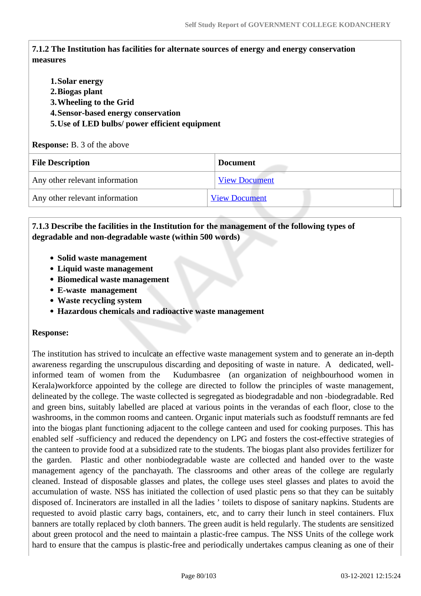## **7.1.2 The Institution has facilities for alternate sources of energy and energy conservation measures**

**1.Solar energy 2.Biogas plant 3.Wheeling to the Grid 4.Sensor-based energy conservation 5.Use of LED bulbs/ power efficient equipment Response:** B. 3 of the above

| R                              |                      |  |
|--------------------------------|----------------------|--|
| <b>File Description</b>        | <b>Document</b>      |  |
| Any other relevant information | <b>View Document</b> |  |
| Any other relevant information | <b>View Document</b> |  |

## **7.1.3 Describe the facilities in the Institution for the management of the following types of degradable and non-degradable waste (within 500 words)**

- **Solid waste management**
- **Liquid waste management**
- **Biomedical waste management**
- **E-waste management**
- **Waste recycling system**
- **Hazardous chemicals and radioactive waste management**

#### **Response:**

The institution has strived to inculcate an effective waste management system and to generate an in-depth awareness regarding the unscrupulous discarding and depositing of waste in nature. A dedicated, wellinformed team of women from the Kudumbasree (an organization of neighbourhood women in Kerala)workforce appointed by the college are directed to follow the principles of waste management, delineated by the college. The waste collected is segregated as biodegradable and non -biodegradable. Red and green bins, suitably labelled are placed at various points in the verandas of each floor, close to the washrooms, in the common rooms and canteen. Organic input materials such as foodstuff remnants are fed into the biogas plant functioning adjacent to the college canteen and used for cooking purposes. This has enabled self -sufficiency and reduced the dependency on LPG and fosters the cost-effective strategies of the canteen to provide food at a subsidized rate to the students. The biogas plant also provides fertilizer for the garden. Plastic and other nonbiodegradable waste are collected and handed over to the waste management agency of the panchayath. The classrooms and other areas of the college are regularly cleaned. Instead of disposable glasses and plates, the college uses steel glasses and plates to avoid the accumulation of waste. NSS has initiated the collection of used plastic pens so that they can be suitably disposed of. Incinerators are installed in all the ladies ' toilets to dispose of sanitary napkins. Students are requested to avoid plastic carry bags, containers, etc, and to carry their lunch in steel containers. Flux banners are totally replaced by cloth banners. The green audit is held regularly. The students are sensitized about green protocol and the need to maintain a plastic-free campus. The NSS Units of the college work hard to ensure that the campus is plastic-free and periodically undertakes campus cleaning as one of their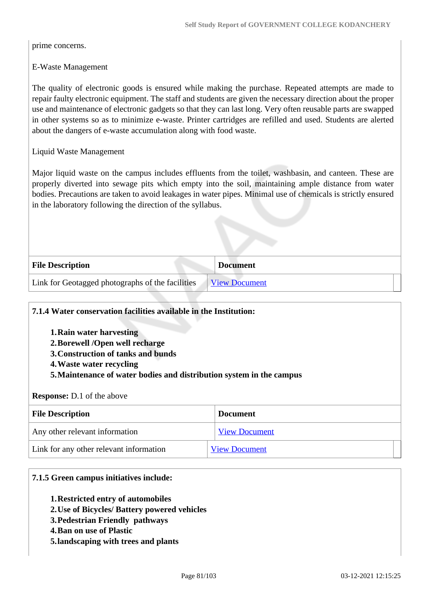prime concerns.

E-Waste Management

The quality of electronic goods is ensured while making the purchase. Repeated attempts are made to repair faulty electronic equipment. The staff and students are given the necessary direction about the proper use and maintenance of electronic gadgets so that they can last long. Very often reusable parts are swapped in other systems so as to minimize e-waste. Printer cartridges are refilled and used. Students are alerted about the dangers of e-waste accumulation along with food waste.

Liquid Waste Management

Major liquid waste on the campus includes effluents from the toilet, washbasin, and canteen. These are properly diverted into sewage pits which empty into the soil, maintaining ample distance from water bodies. Precautions are taken to avoid leakages in water pipes. Minimal use of chemicals is strictly ensured in the laboratory following the direction of the syllabus.

| <b>File Description</b>                          | <b>Document</b>      |
|--------------------------------------------------|----------------------|
| Link for Geotagged photographs of the facilities | <b>View Document</b> |

#### **7.1.4 Water conservation facilities available in the Institution:**

- **1.Rain water harvesting**
- **2.Borewell /Open well recharge**
- **3.Construction of tanks and bunds**
- **4.Waste water recycling**
- **5.Maintenance of water bodies and distribution system in the campus**

#### **Response:** D.1 of the above

| <b>File Description</b>                 | <b>Document</b>      |
|-----------------------------------------|----------------------|
| Any other relevant information          | <b>View Document</b> |
| Link for any other relevant information | <b>View Document</b> |

#### **7.1.5 Green campus initiatives include:**

- **1.Restricted entry of automobiles**
- **2.Use of Bicycles/ Battery powered vehicles**
- **3.Pedestrian Friendly pathways**
- **4.Ban on use of Plastic**
- **5.landscaping with trees and plants**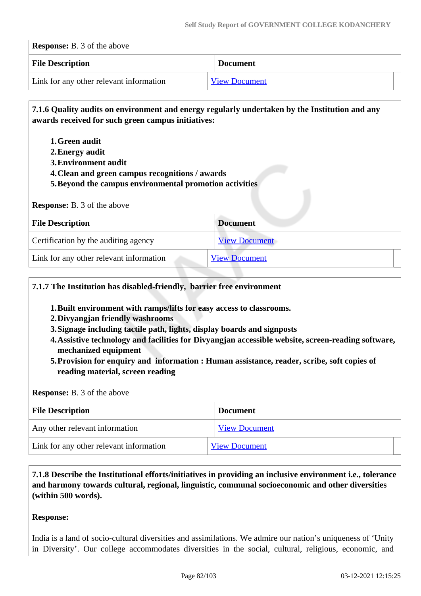| <b>Response:</b> B. 3 of the above      |                      |
|-----------------------------------------|----------------------|
| <b>File Description</b>                 | <b>Document</b>      |
| Link for any other relevant information | <b>View Document</b> |

 **7.1.6 Quality audits on environment and energy regularly undertaken by the Institution and any awards received for such green campus initiatives:**

- **1.Green audit**
- **2.Energy audit**
- **3.Environment audit**
- **4.Clean and green campus recognitions / awards**
- **5.Beyond the campus environmental promotion activities**

| <b>Response:</b> B. 3 of the above      |                      |  |
|-----------------------------------------|----------------------|--|
| <b>File Description</b>                 | <b>Document</b>      |  |
| Certification by the auditing agency    | <b>View Document</b> |  |
| Link for any other relevant information | <b>View Document</b> |  |

#### **7.1.7 The Institution has disabled-friendly, barrier free environment**

- **1.Built environment with ramps/lifts for easy access to classrooms.**
- **2.Divyangjan friendly washrooms**
- **3.Signage including tactile path, lights, display boards and signposts**
- **4.Assistive technology and facilities for Divyangjan accessible website, screen-reading software, mechanized equipment**
- **5.Provision for enquiry and information : Human assistance, reader, scribe, soft copies of reading material, screen reading**

#### **Response:** B. 3 of the above

| <b>File Description</b>                 | <b>Document</b>      |
|-----------------------------------------|----------------------|
| Any other relevant information          | <b>View Document</b> |
| Link for any other relevant information | <b>View Document</b> |

### **7.1.8 Describe the Institutional efforts/initiatives in providing an inclusive environment i.e., tolerance and harmony towards cultural, regional, linguistic, communal socioeconomic and other diversities (within 500 words).**

#### **Response:**

India is a land of socio-cultural diversities and assimilations. We admire our nation's uniqueness of 'Unity in Diversity'. Our college accommodates diversities in the social, cultural, religious, economic, and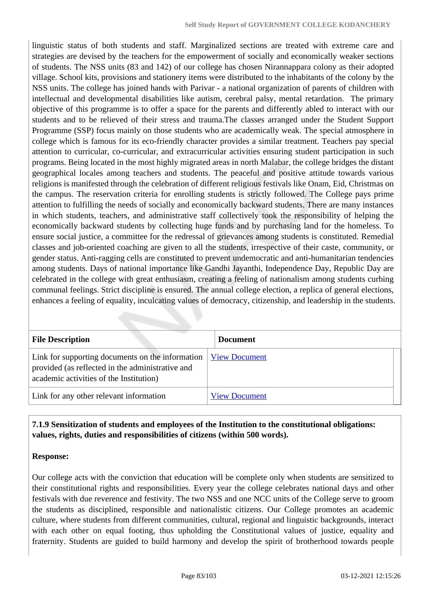linguistic status of both students and staff. Marginalized sections are treated with extreme care and strategies are devised by the teachers for the empowerment of socially and economically weaker sections of students. The NSS units (83 and 142) of our college has chosen Nirannappara colony as their adopted village. School kits, provisions and stationery items were distributed to the inhabitants of the colony by the NSS units. The college has joined hands with Parivar - a national organization of parents of children with intellectual and developmental disabilities like autism, cerebral palsy, mental retardation. The primary objective of this programme is to offer a space for the parents and differently abled to interact with our students and to be relieved of their stress and trauma.The classes arranged under the Student Support Programme (SSP) focus mainly on those students who are academically weak. The special atmosphere in college which is famous for its eco-friendly character provides a similar treatment. Teachers pay special attention to curricular, co-curricular, and extracurricular activities ensuring student participation in such programs. Being located in the most highly migrated areas in north Malabar, the college bridges the distant geographical locales among teachers and students. The peaceful and positive attitude towards various religions is manifested through the celebration of different religious festivals like Onam, Eid, Christmas on the campus. The reservation criteria for enrolling students is strictly followed. The College pays prime attention to fulfilling the needs of socially and economically backward students. There are many instances in which students, teachers, and administrative staff collectively took the responsibility of helping the economically backward students by collecting huge funds and by purchasing land for the homeless. To ensure social justice, a committee for the redressal of grievances among students is constituted. Remedial classes and job-oriented coaching are given to all the students, irrespective of their caste, community, or gender status. Anti-ragging cells are constituted to prevent undemocratic and anti-humanitarian tendencies among students. Days of national importance like Gandhi Jayanthi, Independence Day, Republic Day are celebrated in the college with great enthusiasm, creating a feeling of nationalism among students curbing communal feelings. Strict discipline is ensured. The annual college election, a replica of general elections, enhances a feeling of equality, inculcating values of democracy, citizenship, and leadership in the students.

| <b>File Description</b>                                                                                                                         | <b>Document</b>      |
|-------------------------------------------------------------------------------------------------------------------------------------------------|----------------------|
| Link for supporting documents on the information<br>provided (as reflected in the administrative and<br>academic activities of the Institution) | <b>View Document</b> |
| Link for any other relevant information                                                                                                         | <b>View Document</b> |

### **7.1.9 Sensitization of students and employees of the Institution to the constitutional obligations: values, rights, duties and responsibilities of citizens (within 500 words).**

#### **Response:**

Our college acts with the conviction that education will be complete only when students are sensitized to their constitutional rights and responsibilities. Every year the college celebrates national days and other festivals with due reverence and festivity. The two NSS and one NCC units of the College serve to groom the students as disciplined, responsible and nationalistic citizens. Our College promotes an academic culture, where students from different communities, cultural, regional and linguistic backgrounds, interact with each other on equal footing, thus upholding the Constitutional values of justice, equality and fraternity. Students are guided to build harmony and develop the spirit of brotherhood towards people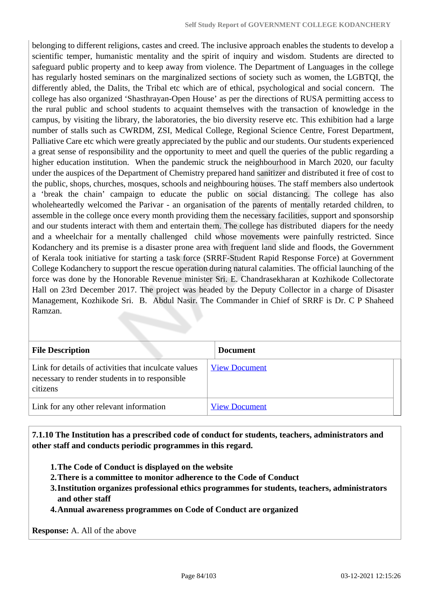belonging to different religions, castes and creed. The inclusive approach enables the students to develop a scientific temper, humanistic mentality and the spirit of inquiry and wisdom. Students are directed to safeguard public property and to keep away from violence. The Department of Languages in the college has regularly hosted seminars on the marginalized sections of society such as women, the LGBTQI, the differently abled, the Dalits, the Tribal etc which are of ethical, psychological and social concern. The college has also organized 'Shasthrayan-Open House' as per the directions of RUSA permitting access to the rural public and school students to acquaint themselves with the transaction of knowledge in the campus, by visiting the library, the laboratories, the bio diversity reserve etc. This exhibition had a large number of stalls such as CWRDM, ZSI, Medical College, Regional Science Centre, Forest Department, Palliative Care etc which were greatly appreciated by the public and our students. Our students experienced a great sense of responsibility and the opportunity to meet and quell the queries of the public regarding a higher education institution. When the pandemic struck the neighbourhood in March 2020, our faculty under the auspices of the Department of Chemistry prepared hand sanitizer and distributed it free of cost to the public, shops, churches, mosques, schools and neighbouring houses. The staff members also undertook a 'break the chain' campaign to educate the public on social distancing. The college has also wholeheartedly welcomed the Parivar - an organisation of the parents of mentally retarded children, to assemble in the college once every month providing them the necessary facilities, support and sponsorship and our students interact with them and entertain them. The college has distributed diapers for the needy and a wheelchair for a mentally challenged child whose movements were painfully restricted. Since Kodanchery and its premise is a disaster prone area with frequent land slide and floods, the Government of Kerala took initiative for starting a task force (SRRF-Student Rapid Response Force) at Government College Kodanchery to support the rescue operation during natural calamities. The official launching of the force was done by the Honorable Revenue minister Sri. E. Chandrasekharan at Kozhikode Collectorate Hall on 23rd December 2017. The project was headed by the Deputy Collector in a charge of Disaster Management, Kozhikode Sri. B. Abdul Nasir. The Commander in Chief of SRRF is Dr. C P Shaheed Ramzan.

| <b>File Description</b>                                                                                            | <b>Document</b>      |
|--------------------------------------------------------------------------------------------------------------------|----------------------|
| Link for details of activities that inculcate values<br>necessary to render students in to responsible<br>citizens | <b>View Document</b> |
| Link for any other relevant information                                                                            | <b>View Document</b> |

 **7.1.10 The Institution has a prescribed code of conduct for students, teachers, administrators and other staff and conducts periodic programmes in this regard.** 

- **1.The Code of Conduct is displayed on the website**
- **2.There is a committee to monitor adherence to the Code of Conduct**
- **3.Institution organizes professional ethics programmes for students, teachers, administrators and other staff**
- **4.Annual awareness programmes on Code of Conduct are organized**

**Response:** A. All of the above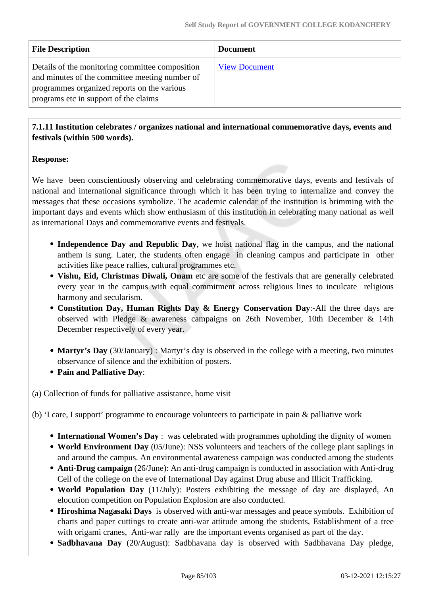| <b>File Description</b>                                                                                                                                                                   | <b>Document</b>      |
|-------------------------------------------------------------------------------------------------------------------------------------------------------------------------------------------|----------------------|
| Details of the monitoring committee composition<br>and minutes of the committee meeting number of<br>programmes organized reports on the various<br>programs etc in support of the claims | <b>View Document</b> |

## **7.1.11 Institution celebrates / organizes national and international commemorative days, events and festivals (within 500 words).**

## **Response:**

We have been conscientiously observing and celebrating commemorative days, events and festivals of national and international significance through which it has been trying to internalize and convey the messages that these occasions symbolize. The academic calendar of the institution is brimming with the important days and events which show enthusiasm of this institution in celebrating many national as well as international Days and commemorative events and festivals.

- **Independence Day and Republic Day**, we hoist national flag in the campus, and the national anthem is sung. Later, the students often engage in cleaning campus and participate in other activities like peace rallies, cultural programmes etc.
- **Vishu, Eid, Christmas Diwali, Onam** etc are some of the festivals that are generally celebrated every year in the campus with equal commitment across religious lines to inculcate religious harmony and secularism.
- **Constitution Day, Human Rights Day & Energy Conservation Day**:-All the three days are observed with Pledge & awareness campaigns on 26th November, 10th December & 14th December respectively of every year.
- Martyr's Day (30/January) : Martyr's day is observed in the college with a meeting, two minutes observance of silence and the exhibition of posters.
- **Pain and Palliative Day**:

(a) Collection of funds for palliative assistance, home visit

(b) 'I care, I support' programme to encourage volunteers to participate in pain & palliative work

- **International Women's Day** : was celebrated with programmes upholding the dignity of women
- **World Environment Day** (05/June): NSS volunteers and teachers of the college plant saplings in and around the campus. An environmental awareness campaign was conducted among the students
- **Anti-Drug campaign** (26/June): An anti-drug campaign is conducted in association with Anti-drug Cell of the college on the eve of International Day against Drug abuse and Illicit Trafficking.
- **World Population Day** (11/July): Posters exhibiting the message of day are displayed, An elocution competition on Population Explosion are also conducted.
- **Hiroshima Nagasaki Days** is observed with anti-war messages and peace symbols. Exhibition of charts and paper cuttings to create anti-war attitude among the students, Establishment of a tree with origami cranes, Anti-war rally are the important events organised as part of the day.
- **Sadbhavana Day** (20/August): Sadbhavana day is observed with Sadbhavana Day pledge,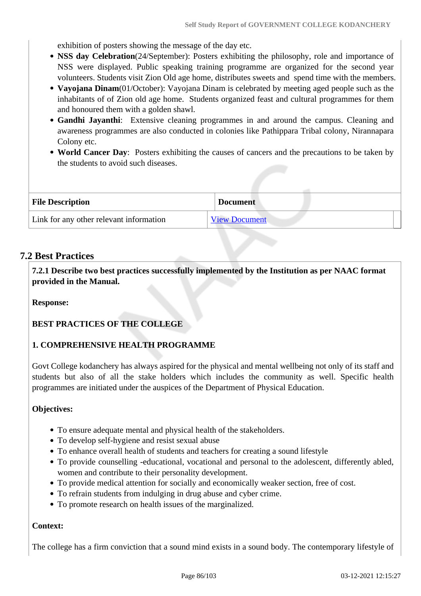exhibition of posters showing the message of the day etc.

- **NSS day Celebration**(24/September): Posters exhibiting the philosophy, role and importance of NSS were displayed. Public speaking training programme are organized for the second year volunteers. Students visit Zion Old age home, distributes sweets and spend time with the members.
- **Vayojana Dinam**(01/October): Vayojana Dinam is celebrated by meeting aged people such as the inhabitants of of Zion old age home. Students organized feast and cultural programmes for them and honoured them with a golden shawl.
- **Gandhi Jayanthi**: Extensive cleaning programmes in and around the campus. Cleaning and awareness programmes are also conducted in colonies like Pathippara Tribal colony, Nirannapara Colony etc.
- **World Cancer Day**: Posters exhibiting the causes of cancers and the precautions to be taken by the students to avoid such diseases.

| <b>File Description</b>                 | <b>Document</b>      |
|-----------------------------------------|----------------------|
| Link for any other relevant information | <b>View Document</b> |

## **7.2 Best Practices**

 **7.2.1 Describe two best practices successfully implemented by the Institution as per NAAC format provided in the Manual.**

**Response:** 

#### **BEST PRACTICES OF THE COLLEGE**

#### **1. COMPREHENSIVE HEALTH PROGRAMME**

Govt College kodanchery has always aspired for the physical and mental wellbeing not only of its staff and students but also of all the stake holders which includes the community as well. Specific health programmes are initiated under the auspices of the Department of Physical Education.

#### **Objectives:**

- To ensure adequate mental and physical health of the stakeholders.
- To develop self-hygiene and resist sexual abuse
- To enhance overall health of students and teachers for creating a sound lifestyle
- To provide counselling -educational, vocational and personal to the adolescent, differently abled, women and contribute to their personality development.
- To provide medical attention for socially and economically weaker section, free of cost.
- To refrain students from indulging in drug abuse and cyber crime.
- To promote research on health issues of the marginalized.

#### **Context:**

The college has a firm conviction that a sound mind exists in a sound body. The contemporary lifestyle of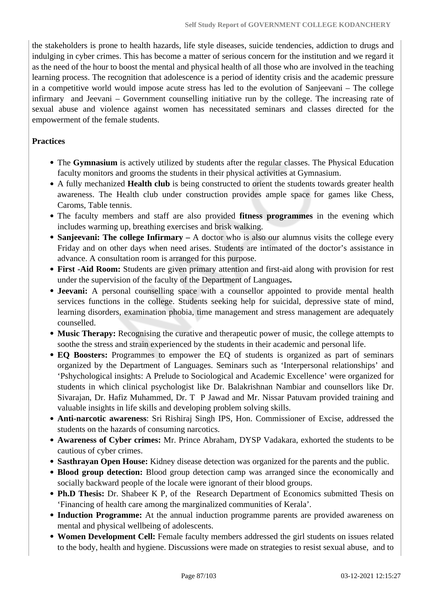the stakeholders is prone to health hazards, life style diseases, suicide tendencies, addiction to drugs and indulging in cyber crimes. This has become a matter of serious concern for the institution and we regard it as the need of the hour to boost the mental and physical health of all those who are involved in the teaching learning process. The recognition that adolescence is a period of identity crisis and the academic pressure in a competitive world would impose acute stress has led to the evolution of Sanjeevani – The college infirmary and Jeevani – Government counselling initiative run by the college. The increasing rate of sexual abuse and violence against women has necessitated seminars and classes directed for the empowerment of the female students.

#### **Practices**

- The **Gymnasium** is actively utilized by students after the regular classes. The Physical Education faculty monitors and grooms the students in their physical activities at Gymnasium.
- A fully mechanized **Health club** is being constructed to orient the students towards greater health awareness. The Health club under construction provides ample space for games like Chess, Caroms, Table tennis.
- The faculty members and staff are also provided **fitness programmes** in the evening which includes warming up, breathing exercises and brisk walking.
- **Sanjeevani: The college Infirmary** A doctor who is also our alumnus visits the college every Friday and on other days when need arises. Students are intimated of the doctor's assistance in advance. A consultation room is arranged for this purpose.
- **First -Aid Room:** Students are given primary attention and first-aid along with provision for rest under the supervision of the faculty of the Department of Languages**.**
- **Jeevani:** A personal counselling space with a counsellor appointed to provide mental health services functions in the college. Students seeking help for suicidal, depressive state of mind, learning disorders, examination phobia, time management and stress management are adequately counselled.
- **Music Therapy:** Recognising the curative and therapeutic power of music, the college attempts to soothe the stress and strain experienced by the students in their academic and personal life.
- **EQ Boosters:** Programmes to empower the EQ of students is organized as part of seminars organized by the Department of Languages. Seminars such as 'Interpersonal relationships' and 'Pshychological insights: A Prelude to Sociological and Academic Excellence' were organized for students in which clinical psychologist like Dr. Balakrishnan Nambiar and counsellors like Dr. Sivarajan, Dr. Hafiz Muhammed, Dr. T P Jawad and Mr. Nissar Patuvam provided training and valuable insights in life skills and developing problem solving skills.
- **Anti-narcotic awareness**: Sri Rishiraj Singh IPS, Hon. Commissioner of Excise, addressed the students on the hazards of consuming narcotics.
- **Awareness of Cyber crimes:** Mr. Prince Abraham, DYSP Vadakara, exhorted the students to be cautious of cyber crimes.
- **Sasthrayan Open House:** Kidney disease detection was organized for the parents and the public.
- **Blood group detection:** Blood group detection camp was arranged since the economically and socially backward people of the locale were ignorant of their blood groups.
- **Ph.D Thesis:** Dr. Shabeer K P, of the Research Department of Economics submitted Thesis on 'Financing of health care among the marginalized communities of Kerala'.
- **Induction Programme:** At the annual induction programme parents are provided awareness on mental and physical wellbeing of adolescents.
- **Women Development Cell:** Female faculty members addressed the girl students on issues related to the body, health and hygiene. Discussions were made on strategies to resist sexual abuse, and to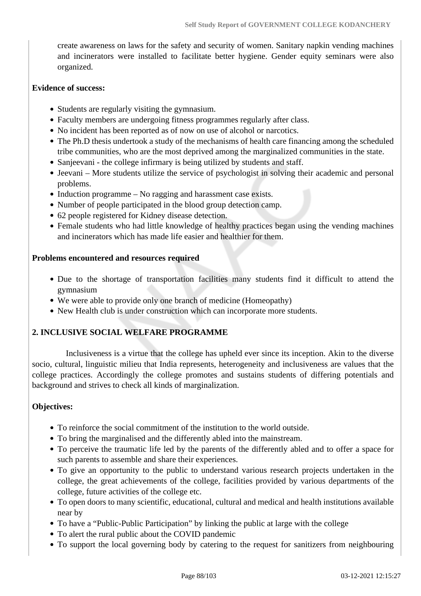create awareness on laws for the safety and security of women. Sanitary napkin vending machines and incinerators were installed to facilitate better hygiene. Gender equity seminars were also organized.

#### **Evidence of success:**

- Students are regularly visiting the gymnasium.
- Faculty members are undergoing fitness programmes regularly after class.
- No incident has been reported as of now on use of alcohol or narcotics.
- The Ph.D thesis undertook a study of the mechanisms of health care financing among the scheduled tribe communities, who are the most deprived among the marginalized communities in the state.
- Sanjeevani the college infirmary is being utilized by students and staff.
- Jeevani More students utilize the service of psychologist in solving their academic and personal problems.
- Induction programme No ragging and harassment case exists.
- Number of people participated in the blood group detection camp.
- 62 people registered for Kidney disease detection.
- Female students who had little knowledge of healthy practices began using the vending machines and incinerators which has made life easier and healthier for them.

### **Problems encountered and resources required**

- Due to the shortage of transportation facilities many students find it difficult to attend the gymnasium
- We were able to provide only one branch of medicine (Homeopathy)
- New Health club is under construction which can incorporate more students.

## **2. INCLUSIVE SOCIAL WELFARE PROGRAMME**

 Inclusiveness is a virtue that the college has upheld ever since its inception. Akin to the diverse socio, cultural, linguistic milieu that India represents, heterogeneity and inclusiveness are values that the college practices. Accordingly the college promotes and sustains students of differing potentials and background and strives to check all kinds of marginalization.

## **Objectives:**

- To reinforce the social commitment of the institution to the world outside.
- To bring the marginalised and the differently abled into the mainstream.
- To perceive the traumatic life led by the parents of the differently abled and to offer a space for such parents to assemble and share their experiences.
- To give an opportunity to the public to understand various research projects undertaken in the college, the great achievements of the college, facilities provided by various departments of the college, future activities of the college etc.
- To open doors to many scientific, educational, cultural and medical and health institutions available near by
- To have a "Public-Public Participation" by linking the public at large with the college
- To alert the rural public about the COVID pandemic
- To support the local governing body by catering to the request for sanitizers from neighbouring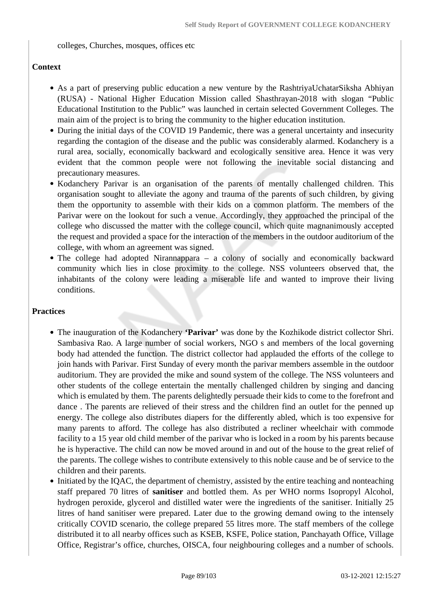colleges, Churches, mosques, offices etc

### **Context**

- As a part of preserving public education a new venture by the RashtriyaUchatarSiksha Abhiyan (RUSA) - National Higher Education Mission called Shasthrayan-2018 with slogan "Public Educational Institution to the Public" was launched in certain selected Government Colleges. The main aim of the project is to bring the community to the higher education institution.
- During the initial days of the COVID 19 Pandemic, there was a general uncertainty and insecurity regarding the contagion of the disease and the public was considerably alarmed. Kodanchery is a rural area, socially, economically backward and ecologically sensitive area. Hence it was very evident that the common people were not following the inevitable social distancing and precautionary measures.
- Kodanchery Parivar is an organisation of the parents of mentally challenged children. This organisation sought to alleviate the agony and trauma of the parents of such children, by giving them the opportunity to assemble with their kids on a common platform. The members of the Parivar were on the lookout for such a venue. Accordingly, they approached the principal of the college who discussed the matter with the college council, which quite magnanimously accepted the request and provided a space for the interaction of the members in the outdoor auditorium of the college, with whom an agreement was signed.
- The college had adopted Nirannappara a colony of socially and economically backward community which lies in close proximity to the college. NSS volunteers observed that, the inhabitants of the colony were leading a miserable life and wanted to improve their living conditions.

#### **Practices**

- The inauguration of the Kodanchery **'Parivar'** was done by the Kozhikode district collector Shri. Sambasiva Rao. A large number of social workers, NGO s and members of the local governing body had attended the function. The district collector had applauded the efforts of the college to join hands with Parivar. First Sunday of every month the parivar members assemble in the outdoor auditorium. They are provided the mike and sound system of the college. The NSS volunteers and other students of the college entertain the mentally challenged children by singing and dancing which is emulated by them. The parents delightedly persuade their kids to come to the forefront and dance . The parents are relieved of their stress and the children find an outlet for the penned up energy. The college also distributes diapers for the differently abled, which is too expensive for many parents to afford. The college has also distributed a recliner wheelchair with commode facility to a 15 year old child member of the parivar who is locked in a room by his parents because he is hyperactive. The child can now be moved around in and out of the house to the great relief of the parents. The college wishes to contribute extensively to this noble cause and be of service to the children and their parents.
- Initiated by the IQAC, the department of chemistry, assisted by the entire teaching and nonteaching staff prepared 70 litres of **sanitiser** and bottled them. As per WHO norms Isopropyl Alcohol, hydrogen peroxide, glycerol and distilled water were the ingredients of the sanitiser. Initially 25 litres of hand sanitiser were prepared. Later due to the growing demand owing to the intensely critically COVID scenario, the college prepared 55 litres more. The staff members of the college distributed it to all nearby offices such as KSEB, KSFE, Police station, Panchayath Office, Village Office, Registrar's office, churches, OISCA, four neighbouring colleges and a number of schools.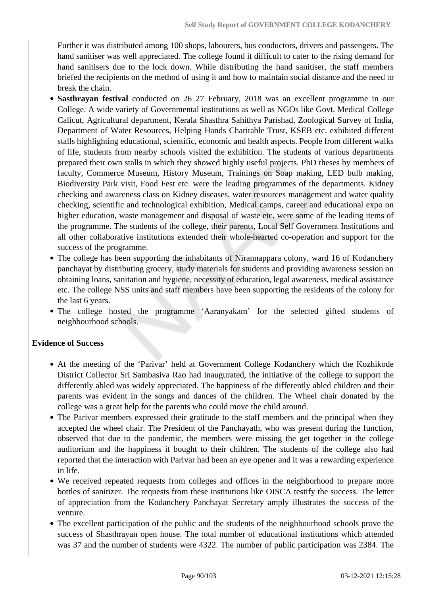Further it was distributed among 100 shops, labourers, bus conductors, drivers and passengers. The hand sanitiser was well appreciated. The college found it difficult to cater to the rising demand for hand sanitisers due to the lock down. While distributing the hand sanitiser, the staff members briefed the recipients on the method of using it and how to maintain social distance and the need to break the chain.

- **Sasthrayan festival** conducted on 26 27 February, 2018 was an excellent programme in our College. A wide variety of Governmental institutions as well as NGOs like Govt. Medical College Calicut, Agricultural department, Kerala Shasthra Sahithya Parishad, Zoological Survey of India, Department of Water Resources, Helping Hands Charitable Trust, KSEB etc. exhibited different stalls highlighting educational, scientific, economic and health aspects. People from different walks of life, students from nearby schools visited the exhibition. The students of various departments prepared their own stalls in which they showed highly useful projects. PhD theses by members of faculty, Commerce Museum, History Museum, Trainings on Soap making, LED bulb making, Biodiversity Park visit, Food Fest etc. were the leading programmes of the departments. Kidney checking and awareness class on Kidney diseases, water resources management and water quality checking, scientific and technological exhibition, Medical camps, career and educational expo on higher education, waste management and disposal of waste etc. were some of the leading items of the programme. The students of the college, their parents, Local Self Government Institutions and all other collaborative institutions extended their whole-hearted co-operation and support for the success of the programme.
- The college has been supporting the inhabitants of Nirannappara colony, ward 16 of Kodanchery panchayat by distributing grocery, study materials for students and providing awareness session on obtaining loans, sanitation and hygiene, necessity of education, legal awareness, medical assistance etc. The college NSS units and staff members have been supporting the residents of the colony for the last 6 years.
- The college hosted the programme 'Aaranyakam' for the selected gifted students of neighbourhood schools.

#### **Evidence of Success**

- At the meeting of the 'Parivar' held at Government College Kodanchery which the Kozhikode District Collector Sri Sambasiva Rao had inaugurated, the initiative of the college to support the differently abled was widely appreciated. The happiness of the differently abled children and their parents was evident in the songs and dances of the children. The Wheel chair donated by the college was a great help for the parents who could move the child around.
- The Parivar members expressed their gratitude to the staff members and the principal when they accepted the wheel chair. The President of the Panchayath, who was present during the function, observed that due to the pandemic, the members were missing the get together in the college auditorium and the happiness it bought to their children. The students of the college also had reported that the interaction with Parivar had been an eye opener and it was a rewarding experience in life.
- We received repeated requests from colleges and offices in the neighborhood to prepare more bottles of sanitizer. The requests from these institutions like OISCA testify the success. The letter of appreciation from the Kodanchery Panchayat Secretary amply illustrates the success of the venture.
- The excellent participation of the public and the students of the neighbourhood schools prove the success of Shasthrayan open house. The total number of educational institutions which attended was 37 and the number of students were 4322. The number of public participation was 2384. The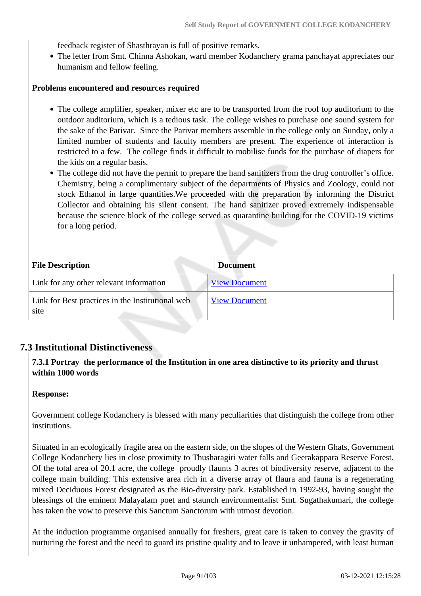feedback register of Shasthrayan is full of positive remarks.

The letter from Smt. Chinna Ashokan, ward member Kodanchery grama panchayat appreciates our humanism and fellow feeling.

#### **Problems encountered and resources required**

- The college amplifier, speaker, mixer etc are to be transported from the roof top auditorium to the outdoor auditorium, which is a tedious task. The college wishes to purchase one sound system for the sake of the Parivar. Since the Parivar members assemble in the college only on Sunday, only a limited number of students and faculty members are present. The experience of interaction is restricted to a few. The college finds it difficult to mobilise funds for the purchase of diapers for the kids on a regular basis.
- The college did not have the permit to prepare the hand sanitizers from the drug controller's office. Chemistry, being a complimentary subject of the departments of Physics and Zoology, could not stock Ethanol in large quantities.We proceeded with the preparation by informing the District Collector and obtaining his silent consent. The hand sanitizer proved extremely indispensable because the science block of the college served as quarantine building for the COVID-19 victims for a long period.

| <b>File Description</b>                                  | <b>Document</b>      |
|----------------------------------------------------------|----------------------|
| Link for any other relevant information                  | <b>View Document</b> |
| Link for Best practices in the Institutional web<br>site | <b>View Document</b> |

#### **7.3 Institutional Distinctiveness**

### **7.3.1 Portray the performance of the Institution in one area distinctive to its priority and thrust within 1000 words**

#### **Response:**

Government college Kodanchery is blessed with many peculiarities that distinguish the college from other institutions.

Situated in an ecologically fragile area on the eastern side, on the slopes of the Western Ghats, Government College Kodanchery lies in close proximity to Thusharagiri water falls and Geerakappara Reserve Forest. Of the total area of 20.1 acre, the college proudly flaunts 3 acres of biodiversity reserve, adjacent to the college main building. This extensive area rich in a diverse array of flaura and fauna is a regenerating mixed Deciduous Forest designated as the Bio-diversity park. Established in 1992-93, having sought the blessings of the eminent Malayalam poet and staunch environmentalist Smt. Sugathakumari, the college has taken the vow to preserve this Sanctum Sanctorum with utmost devotion.

At the induction programme organised annually for freshers, great care is taken to convey the gravity of nurturing the forest and the need to guard its pristine quality and to leave it unhampered, with least human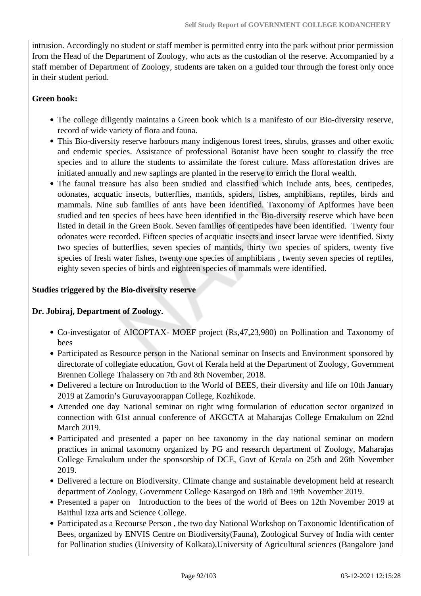intrusion. Accordingly no student or staff member is permitted entry into the park without prior permission from the Head of the Department of Zoology, who acts as the custodian of the reserve. Accompanied by a staff member of Department of Zoology, students are taken on a guided tour through the forest only once in their student period.

### **Green book:**

- The college diligently maintains a Green book which is a manifesto of our Bio-diversity reserve, record of wide variety of flora and fauna.
- This Bio-diversity reserve harbours many indigenous forest trees, shrubs, grasses and other exotic and endemic species. Assistance of professional Botanist have been sought to classify the tree species and to allure the students to assimilate the forest culture. Mass afforestation drives are initiated annually and new saplings are planted in the reserve to enrich the floral wealth.
- The faunal treasure has also been studied and classified which include ants, bees, centipedes, odonates, acquatic insects, butterflies, mantids, spiders, fishes, amphibians, reptiles, birds and mammals. Nine sub families of ants have been identified. Taxonomy of Apiformes have been studied and ten species of bees have been identified in the Bio-diversity reserve which have been listed in detail in the Green Book. Seven families of centipedes have been identified. Twenty four odonates were recorded. Fifteen species of acquatic insects and insect larvae were identified. Sixty two species of butterflies, seven species of mantids, thirty two species of spiders, twenty five species of fresh water fishes, twenty one species of amphibians , twenty seven species of reptiles, eighty seven species of birds and eighteen species of mammals were identified.

#### **Studies triggered by the Bio-diversity reserve**

#### **Dr. Jobiraj, Department of Zoology.**

- Co-investigator of AICOPTAX- MOEF project (Rs,47,23,980) on Pollination and Taxonomy of bees
- Participated as Resource person in the National seminar on Insects and Environment sponsored by directorate of collegiate education, Govt of Kerala held at the Department of Zoology, Government Brennen College Thalassery on 7th and 8th November, 2018.
- Delivered a lecture on Introduction to the World of BEES, their diversity and life on 10th January 2019 at Zamorin's Guruvayoorappan College, Kozhikode.
- Attended one day National seminar on right wing formulation of education sector organized in connection with 61st annual conference of AKGCTA at Maharajas College Ernakulum on 22nd March 2019.
- Participated and presented a paper on bee taxonomy in the day national seminar on modern practices in animal taxonomy organized by PG and research department of Zoology, Maharajas College Ernakulum under the sponsorship of DCE, Govt of Kerala on 25th and 26th November 2019.
- Delivered a lecture on Biodiversity. Climate change and sustainable development held at research department of Zoology, Government College Kasargod on 18th and 19th November 2019.
- Presented a paper on Introduction to the bees of the world of Bees on 12th November 2019 at Baithul Izza arts and Science College.
- Participated as a Recourse Person , the two day National Workshop on Taxonomic Identification of Bees, organized by ENVIS Centre on Biodiversity(Fauna), Zoological Survey of India with center for Pollination studies (University of Kolkata),University of Agricultural sciences (Bangalore )and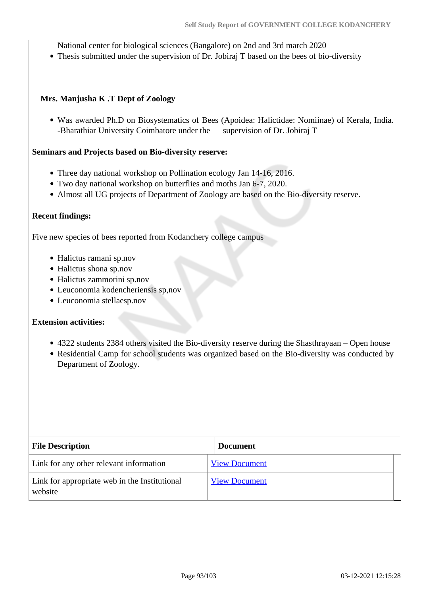National center for biological sciences (Bangalore) on 2nd and 3rd march 2020

Thesis submitted under the supervision of Dr. Jobiraj T based on the bees of bio-diversity

#### **Mrs. Manjusha K .T Dept of Zoology**

Was awarded Ph.D on Biosystematics of Bees (Apoidea: Halictidae: Nomiinae) of Kerala, India. -Bharathiar University Coimbatore under the supervision of Dr. Jobiraj T

#### **Seminars and Projects based on Bio-diversity reserve:**

- Three day national workshop on Pollination ecology Jan 14-16, 2016.
- Two day national workshop on butterflies and moths Jan 6-7, 2020.
- Almost all UG projects of Department of Zoology are based on the Bio-diversity reserve.

#### **Recent findings:**

Five new species of bees reported from Kodanchery college campus

- Halictus ramani sp.nov
- Halictus shona sp.nov
- Halictus zammorini sp.nov
- Leuconomia kodencheriensis sp,nov
- Leuconomia stellaesp.nov

#### **Extension activities:**

- 4322 students 2384 others visited the Bio-diversity reserve during the Shasthrayaan Open house
- Residential Camp for school students was organized based on the Bio-diversity was conducted by Department of Zoology.

| <b>File Description</b>                                  | <b>Document</b>      |
|----------------------------------------------------------|----------------------|
| Link for any other relevant information                  | <b>View Document</b> |
| Link for appropriate web in the Institutional<br>website | <b>View Document</b> |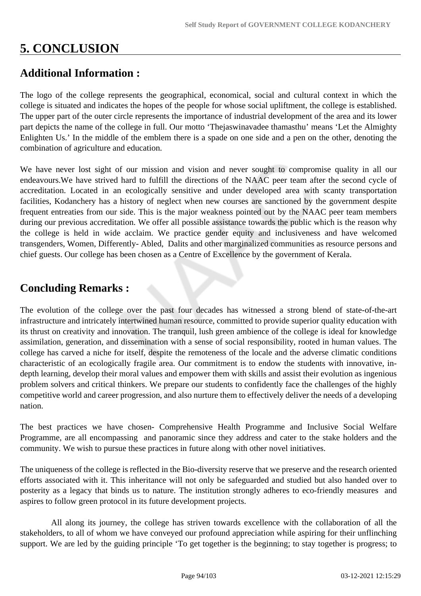# **5. CONCLUSION**

## **Additional Information :**

The logo of the college represents the geographical, economical, social and cultural context in which the college is situated and indicates the hopes of the people for whose social upliftment, the college is established. The upper part of the outer circle represents the importance of industrial development of the area and its lower part depicts the name of the college in full. Our motto 'Thejaswinavadee thamasthu' means 'Let the Almighty Enlighten Us.' In the middle of the emblem there is a spade on one side and a pen on the other, denoting the combination of agriculture and education.

We have never lost sight of our mission and vision and never sought to compromise quality in all our endeavours.We have strived hard to fulfill the directions of the NAAC peer team after the second cycle of accreditation. Located in an ecologically sensitive and under developed area with scanty transportation facilities, Kodanchery has a history of neglect when new courses are sanctioned by the government despite frequent entreaties from our side. This is the major weakness pointed out by the NAAC peer team members during our previous accreditation. We offer all possible assistance towards the public which is the reason why the college is held in wide acclaim. We practice gender equity and inclusiveness and have welcomed transgenders, Women, Differently- Abled, Dalits and other marginalized communities as resource persons and chief guests. Our college has been chosen as a Centre of Excellence by the government of Kerala.

## **Concluding Remarks :**

The evolution of the college over the past four decades has witnessed a strong blend of state-of-the-art infrastructure and intricately intertwined human resource, committed to provide superior quality education with its thrust on creativity and innovation. The tranquil, lush green ambience of the college is ideal for knowledge assimilation, generation, and dissemination with a sense of social responsibility, rooted in human values. The college has carved a niche for itself, despite the remoteness of the locale and the adverse climatic conditions characteristic of an ecologically fragile area. Our commitment is to endow the students with innovative, indepth learning, develop their moral values and empower them with skills and assist their evolution as ingenious problem solvers and critical thinkers. We prepare our students to confidently face the challenges of the highly competitive world and career progression, and also nurture them to effectively deliver the needs of a developing nation.

The best practices we have chosen- Comprehensive Health Programme and Inclusive Social Welfare Programme, are all encompassing and panoramic since they address and cater to the stake holders and the community. We wish to pursue these practices in future along with other novel initiatives.

The uniqueness of the college is reflected in the Bio-diversity reserve that we preserve and the research oriented efforts associated with it. This inheritance will not only be safeguarded and studied but also handed over to posterity as a legacy that binds us to nature. The institution strongly adheres to eco-friendly measures and aspires to follow green protocol in its future development projects.

 All along its journey, the college has striven towards excellence with the collaboration of all the stakeholders, to all of whom we have conveyed our profound appreciation while aspiring for their unflinching support. We are led by the guiding principle 'To get together is the beginning; to stay together is progress; to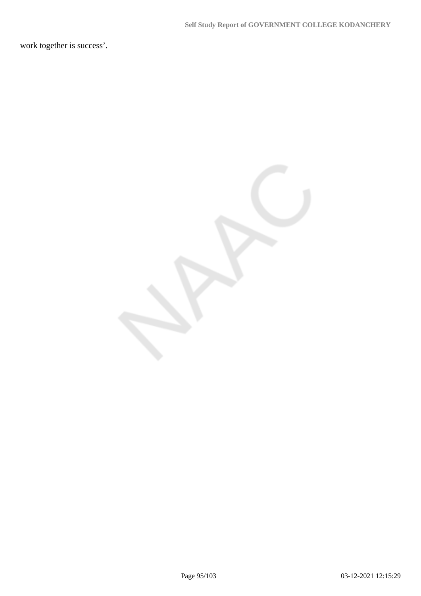work together is success'.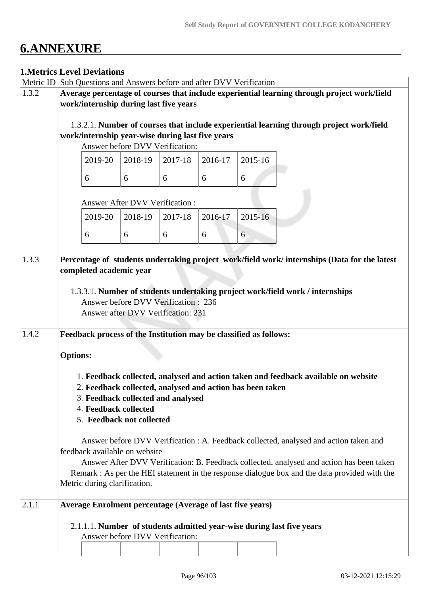# **6.ANNEXURE**

## **1.Metrics Level Deviations**

| Metric ID |                                                                                             | Sub Questions and Answers before and after DVV Verification       |         |         |         |         |                                                                                               |  |  |
|-----------|---------------------------------------------------------------------------------------------|-------------------------------------------------------------------|---------|---------|---------|---------|-----------------------------------------------------------------------------------------------|--|--|
| 1.3.2     | Average percentage of courses that include experiential learning through project work/field |                                                                   |         |         |         |         |                                                                                               |  |  |
|           | work/internship during last five years                                                      |                                                                   |         |         |         |         |                                                                                               |  |  |
|           |                                                                                             |                                                                   |         |         |         |         |                                                                                               |  |  |
|           |                                                                                             |                                                                   |         |         |         |         | 1.3.2.1. Number of courses that include experiential learning through project work/field      |  |  |
|           |                                                                                             | work/internship year-wise during last five years                  |         |         |         |         |                                                                                               |  |  |
|           |                                                                                             | Answer before DVV Verification:                                   |         |         |         |         |                                                                                               |  |  |
|           |                                                                                             | 2019-20                                                           | 2018-19 | 2017-18 | 2016-17 | 2015-16 |                                                                                               |  |  |
|           |                                                                                             | 6                                                                 | 6       | 6       | 6       | 6       |                                                                                               |  |  |
|           |                                                                                             | <b>Answer After DVV Verification:</b>                             |         |         |         |         |                                                                                               |  |  |
|           |                                                                                             | 2019-20                                                           | 2018-19 | 2017-18 | 2016-17 | 2015-16 |                                                                                               |  |  |
|           |                                                                                             | 6                                                                 | 6       | 6       | 6       | 6       |                                                                                               |  |  |
| 1.3.3     |                                                                                             |                                                                   |         |         |         |         | Percentage of students undertaking project work/field work/ internships (Data for the latest  |  |  |
|           |                                                                                             | completed academic year                                           |         |         |         |         |                                                                                               |  |  |
|           |                                                                                             |                                                                   |         |         |         |         |                                                                                               |  |  |
|           |                                                                                             |                                                                   |         |         |         |         | 1.3.3.1. Number of students undertaking project work/field work / internships                 |  |  |
|           |                                                                                             | <b>Answer before DVV Verification: 236</b>                        |         |         |         |         |                                                                                               |  |  |
|           |                                                                                             | Answer after DVV Verification: 231                                |         |         |         |         |                                                                                               |  |  |
|           |                                                                                             |                                                                   |         |         |         |         |                                                                                               |  |  |
| 1.4.2     |                                                                                             | Feedback process of the Institution may be classified as follows: |         |         |         |         |                                                                                               |  |  |
|           | <b>Options:</b>                                                                             |                                                                   |         |         |         |         |                                                                                               |  |  |
|           |                                                                                             |                                                                   |         |         |         |         | 1. Feedback collected, analysed and action taken and feedback available on website            |  |  |
|           |                                                                                             | 2. Feedback collected, analysed and action has been taken         |         |         |         |         |                                                                                               |  |  |
|           |                                                                                             | 3. Feedback collected and analysed                                |         |         |         |         |                                                                                               |  |  |
|           |                                                                                             | 4. Feedback collected                                             |         |         |         |         |                                                                                               |  |  |
|           |                                                                                             | 5. Feedback not collected                                         |         |         |         |         |                                                                                               |  |  |
|           |                                                                                             |                                                                   |         |         |         |         | Answer before DVV Verification : A. Feedback collected, analysed and action taken and         |  |  |
|           |                                                                                             | feedback available on website                                     |         |         |         |         |                                                                                               |  |  |
|           |                                                                                             |                                                                   |         |         |         |         | Answer After DVV Verification: B. Feedback collected, analysed and action has been taken      |  |  |
|           |                                                                                             |                                                                   |         |         |         |         | Remark : As per the HEI statement in the response dialogue box and the data provided with the |  |  |
|           |                                                                                             | Metric during clarification.                                      |         |         |         |         |                                                                                               |  |  |
|           |                                                                                             |                                                                   |         |         |         |         |                                                                                               |  |  |
| 2.1.1     |                                                                                             | <b>Average Enrolment percentage (Average of last five years)</b>  |         |         |         |         |                                                                                               |  |  |
|           |                                                                                             |                                                                   |         |         |         |         | 2.1.1.1. Number of students admitted year-wise during last five years                         |  |  |
|           |                                                                                             | Answer before DVV Verification:                                   |         |         |         |         |                                                                                               |  |  |
|           |                                                                                             |                                                                   |         |         |         |         |                                                                                               |  |  |
|           |                                                                                             |                                                                   |         |         |         |         |                                                                                               |  |  |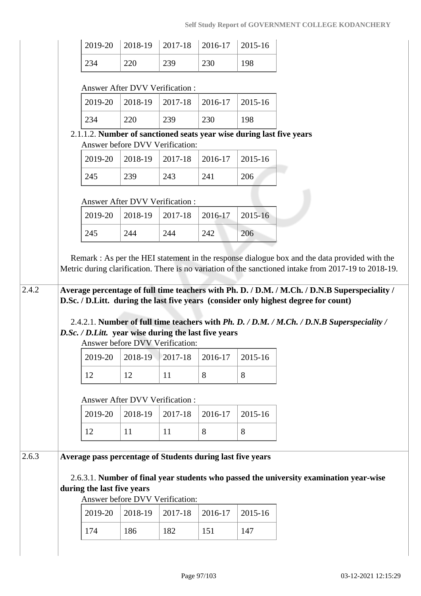| 2019-20                                                                                                                                                                                                                                                                                                                                                                                                                                            | 2018-19                               | 2017-18        | 2016-17        | 2015-16        |
|----------------------------------------------------------------------------------------------------------------------------------------------------------------------------------------------------------------------------------------------------------------------------------------------------------------------------------------------------------------------------------------------------------------------------------------------------|---------------------------------------|----------------|----------------|----------------|
| 234                                                                                                                                                                                                                                                                                                                                                                                                                                                | 220                                   | 239            | 230            | 198            |
|                                                                                                                                                                                                                                                                                                                                                                                                                                                    |                                       |                |                |                |
|                                                                                                                                                                                                                                                                                                                                                                                                                                                    | <b>Answer After DVV Verification:</b> |                |                |                |
| 2019-20                                                                                                                                                                                                                                                                                                                                                                                                                                            | 2018-19                               | 2017-18        | 2016-17        | 2015-16        |
| 234                                                                                                                                                                                                                                                                                                                                                                                                                                                | 220                                   | 239            | 230            | 198            |
| 2.1.1.2. Number of sanctioned seats year wise during last five years                                                                                                                                                                                                                                                                                                                                                                               | Answer before DVV Verification:       |                |                |                |
| 2019-20                                                                                                                                                                                                                                                                                                                                                                                                                                            | 2018-19                               | 2017-18        | 2016-17        | 2015-16        |
| 245                                                                                                                                                                                                                                                                                                                                                                                                                                                | 239                                   | 243            | 241            | 206            |
|                                                                                                                                                                                                                                                                                                                                                                                                                                                    |                                       |                |                |                |
|                                                                                                                                                                                                                                                                                                                                                                                                                                                    | <b>Answer After DVV Verification:</b> |                |                |                |
| 2019-20                                                                                                                                                                                                                                                                                                                                                                                                                                            | 2018-19                               | 2017-18        | 2016-17        | 2015-16        |
| 245                                                                                                                                                                                                                                                                                                                                                                                                                                                | 244                                   | 244            | 242            | 206            |
| Remark : As per the HEI statement in the response dialogue box and the data provided with the                                                                                                                                                                                                                                                                                                                                                      |                                       |                |                |                |
| Metric during clarification. There is no variation of the sanctioned intake from 2017-19 to 2018-19.<br>Average percentage of full time teachers with Ph. D. / D.M. / M.Ch. / D.N.B Superspeciality /<br>D.Sc. / D.Litt. during the last five years (consider only highest degree for count)<br>2.4.2.1. Number of full time teachers with Ph. D. / D.M. / M.Ch. / D.N.B Superspeciality /<br>D.Sc. / D.Litt. year wise during the last five years | Answer before DVV Verification:       |                |                |                |
| 2019-20                                                                                                                                                                                                                                                                                                                                                                                                                                            | 2018-19                               | 2017-18        | 2016-17        | 2015-16        |
| 12                                                                                                                                                                                                                                                                                                                                                                                                                                                 | 12                                    | 11             | 8              | 8              |
|                                                                                                                                                                                                                                                                                                                                                                                                                                                    | Answer After DVV Verification:        |                |                |                |
| 2019-20                                                                                                                                                                                                                                                                                                                                                                                                                                            | 2018-19                               | 2017-18        | 2016-17        | 2015-16        |
| 12                                                                                                                                                                                                                                                                                                                                                                                                                                                 | 11                                    | 11             | 8              | 8              |
|                                                                                                                                                                                                                                                                                                                                                                                                                                                    |                                       |                |                |                |
| Average pass percentage of Students during last five years                                                                                                                                                                                                                                                                                                                                                                                         |                                       |                |                |                |
| 2.6.3.1. Number of final year students who passed the university examination year-wise<br>during the last five years                                                                                                                                                                                                                                                                                                                               |                                       |                |                |                |
|                                                                                                                                                                                                                                                                                                                                                                                                                                                    | Answer before DVV Verification:       |                |                |                |
| 2019-20<br>174                                                                                                                                                                                                                                                                                                                                                                                                                                     | 2018-19<br>186                        | 2017-18<br>182 | 2016-17<br>151 | 2015-16<br>147 |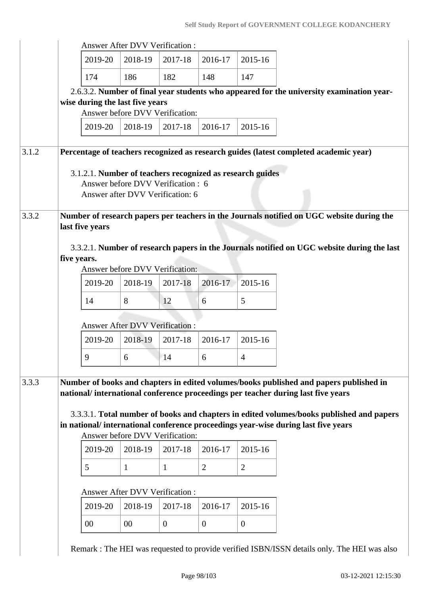|       |                                                                                                           | <b>Answer After DVV Verification:</b>                                  |              |                |                |
|-------|-----------------------------------------------------------------------------------------------------------|------------------------------------------------------------------------|--------------|----------------|----------------|
|       | 2019-20                                                                                                   | 2018-19                                                                | 2017-18      | 2016-17        | 2015-16        |
|       | 174                                                                                                       | 186                                                                    | 182          | 148            | 147            |
|       | 2.6.3.2. Number of final year students who appeared for the university examination year-                  |                                                                        |              |                |                |
|       | wise during the last five years                                                                           | Answer before DVV Verification:                                        |              |                |                |
|       | 2019-20                                                                                                   | 2018-19                                                                | 2017-18      | 2016-17        | 2015-16        |
|       |                                                                                                           |                                                                        |              |                |                |
| 3.1.2 | Percentage of teachers recognized as research guides (latest completed academic year)                     |                                                                        |              |                |                |
|       | 3.1.2.1. Number of teachers recognized as research guides                                                 | Answer before DVV Verification : 6<br>Answer after DVV Verification: 6 |              |                |                |
| 3.3.2 | Number of research papers per teachers in the Journals notified on UGC website during the                 |                                                                        |              |                |                |
|       | last five years                                                                                           |                                                                        |              |                |                |
|       |                                                                                                           |                                                                        |              |                |                |
|       |                                                                                                           |                                                                        |              |                |                |
|       | 3.3.2.1. Number of research papers in the Journals notified on UGC website during the last<br>five years. |                                                                        |              |                |                |
|       |                                                                                                           | Answer before DVV Verification:                                        |              |                |                |
|       | 2019-20                                                                                                   | 2018-19                                                                | 2017-18      | 2016-17        | 2015-16        |
|       | 14                                                                                                        | 8                                                                      | 12           | 6              | 5              |
|       |                                                                                                           |                                                                        |              |                |                |
|       | 2019-20                                                                                                   | Answer After DVV Verification :<br>2018-19                             | 2017-18      | 2016-17        | 2015-16        |
|       |                                                                                                           |                                                                        |              |                |                |
|       | 9                                                                                                         | 6                                                                      | 14           | 6              | $\overline{4}$ |
|       | Number of books and chapters in edited volumes/books published and papers published in                    |                                                                        |              |                |                |
|       | national/international conference proceedings per teacher during last five years                          |                                                                        |              |                |                |
|       | 3.3.3.1. Total number of books and chapters in edited volumes/books published and papers                  |                                                                        |              |                |                |
|       | in national/international conference proceedings year-wise during last five years                         |                                                                        |              |                |                |
| 3.3.3 |                                                                                                           | Answer before DVV Verification:                                        |              |                |                |
|       | 2019-20                                                                                                   | 2018-19                                                                | 2017-18      | 2016-17        | 2015-16        |
|       | 5                                                                                                         | $\mathbf{1}$                                                           | $\mathbf{1}$ | $\overline{2}$ | $\overline{2}$ |
|       |                                                                                                           | <b>Answer After DVV Verification:</b>                                  |              |                |                |
|       | 2019-20                                                                                                   | 2018-19                                                                | 2017-18      | 2016-17        | 2015-16        |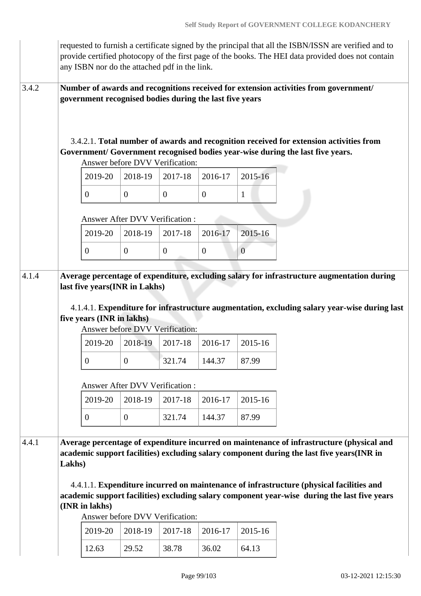|       |        |                                                            |                | any ISBN nor do the attached pdf in the link.           |                  |                | requested to furnish a certificate signed by the principal that all the ISBN/ISSN are verified and to<br>provide certified photocopy of the first page of the books. The HEI data provided does not contain                                                                                                                                                                       |
|-------|--------|------------------------------------------------------------|----------------|---------------------------------------------------------|------------------|----------------|-----------------------------------------------------------------------------------------------------------------------------------------------------------------------------------------------------------------------------------------------------------------------------------------------------------------------------------------------------------------------------------|
| 3.4.2 |        |                                                            |                | government recognised bodies during the last five years |                  |                | Number of awards and recognitions received for extension activities from government/                                                                                                                                                                                                                                                                                              |
|       |        |                                                            |                | Answer before DVV Verification:                         |                  |                | 3.4.2.1. Total number of awards and recognition received for extension activities from<br>Government/ Government recognised bodies year-wise during the last five years.                                                                                                                                                                                                          |
|       |        | 2019-20                                                    | 2018-19        | 2017-18                                                 | 2016-17          | 2015-16        |                                                                                                                                                                                                                                                                                                                                                                                   |
|       |        | $\boldsymbol{0}$                                           | $\overline{0}$ | $\mathbf{0}$                                            | $\boldsymbol{0}$ | $\mathbf{1}$   |                                                                                                                                                                                                                                                                                                                                                                                   |
|       |        |                                                            |                | Answer After DVV Verification:                          |                  |                |                                                                                                                                                                                                                                                                                                                                                                                   |
|       |        | 2019-20                                                    | 2018-19        | 2017-18                                                 | 2016-17          | 2015-16        |                                                                                                                                                                                                                                                                                                                                                                                   |
|       |        | $\overline{0}$                                             | $\mathbf{0}$   | $\mathbf{0}$                                            | $\mathbf{0}$     | $\overline{0}$ |                                                                                                                                                                                                                                                                                                                                                                                   |
|       |        | last five years(INR in Lakhs)<br>five years (INR in lakhs) |                | Answer before DVV Verification:                         |                  |                | Average percentage of expenditure, excluding salary for infrastructure augmentation during<br>4.1.4.1. Expenditure for infrastructure augmentation, excluding salary year-wise during last                                                                                                                                                                                        |
|       |        | 2019-20                                                    | 2018-19        | 2017-18                                                 | 2016-17          | 2015-16        |                                                                                                                                                                                                                                                                                                                                                                                   |
|       |        | $\boldsymbol{0}$                                           | $\mathbf{0}$   | 321.74                                                  | 144.37           | 87.99          |                                                                                                                                                                                                                                                                                                                                                                                   |
|       |        |                                                            |                | Answer After DVV Verification:                          |                  |                |                                                                                                                                                                                                                                                                                                                                                                                   |
|       |        | 2019-20                                                    | 2018-19        | 2017-18                                                 | 2016-17          | 2015-16        |                                                                                                                                                                                                                                                                                                                                                                                   |
|       |        | $\boldsymbol{0}$                                           | $\overline{0}$ | 321.74                                                  | 144.37           | 87.99          |                                                                                                                                                                                                                                                                                                                                                                                   |
| 4.4.1 | Lakhs) | (INR in lakhs)                                             |                |                                                         |                  |                | Average percentage of expenditure incurred on maintenance of infrastructure (physical and<br>academic support facilities) excluding salary component during the last five years(INR in<br>4.4.1.1. Expenditure incurred on maintenance of infrastructure (physical facilities and<br>academic support facilities) excluding salary component year-wise during the last five years |
|       |        |                                                            |                | Answer before DVV Verification:                         |                  |                |                                                                                                                                                                                                                                                                                                                                                                                   |
|       |        | 2019-20                                                    | 2018-19        | 2017-18                                                 | 2016-17          | 2015-16        |                                                                                                                                                                                                                                                                                                                                                                                   |
|       |        | 12.63                                                      | 29.52          | 38.78                                                   | 36.02            | 64.13          |                                                                                                                                                                                                                                                                                                                                                                                   |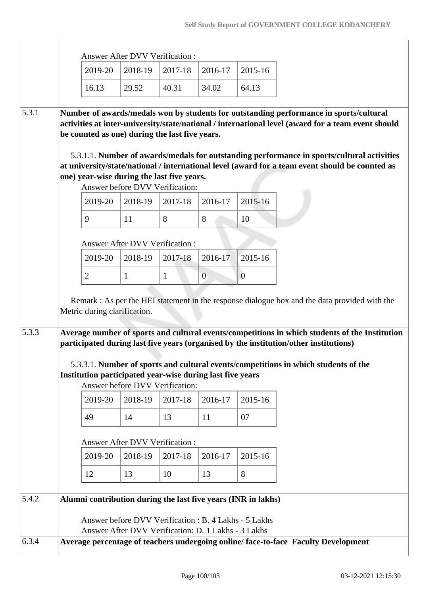|       |                              | <b>Answer After DVV Verification:</b>                                                                                                                                                                                                                                                                                                                                                                                                                                                                                                                                                                 |                         |                         |                          |
|-------|------------------------------|-------------------------------------------------------------------------------------------------------------------------------------------------------------------------------------------------------------------------------------------------------------------------------------------------------------------------------------------------------------------------------------------------------------------------------------------------------------------------------------------------------------------------------------------------------------------------------------------------------|-------------------------|-------------------------|--------------------------|
|       | 2019-20                      | 2018-19                                                                                                                                                                                                                                                                                                                                                                                                                                                                                                                                                                                               | 2017-18                 | 2016-17                 | 2015-16                  |
|       | 16.13                        | 29.52                                                                                                                                                                                                                                                                                                                                                                                                                                                                                                                                                                                                 | 40.31                   | 34.02                   | 64.13                    |
| 5.3.1 | 2019-20<br>9<br>2019-20      | Number of awards/medals won by students for outstanding performance in sports/cultural<br>activities at inter-university/state/national / international level (award for a team event should<br>be counted as one) during the last five years.<br>5.3.1.1. Number of awards/medals for outstanding performance in sports/cultural activities<br>at university/state/national / international level (award for a team event should be counted as<br>one) year-wise during the last five years.<br>Answer before DVV Verification:<br>2018-19<br>11<br><b>Answer After DVV Verification:</b><br>2018-19 | 2017-18<br>8<br>2017-18 | 2016-17<br>8<br>2016-17 | 2015-16<br>10<br>2015-16 |
|       | Metric during clarification. | Remark : As per the HEI statement in the response dialogue box and the data provided with the<br>Average number of sports and cultural events/competitions in which students of the Institution<br>participated during last five years (organised by the institution/other institutions)                                                                                                                                                                                                                                                                                                              |                         |                         |                          |
|       |                              | 5.3.3.1. Number of sports and cultural events/competitions in which students of the<br>Institution participated year-wise during last five years<br>Answer before DVV Verification:                                                                                                                                                                                                                                                                                                                                                                                                                   |                         |                         |                          |
|       | 2019-20                      | 2018-19                                                                                                                                                                                                                                                                                                                                                                                                                                                                                                                                                                                               | 2017-18                 | 2016-17                 | 2015-16                  |
|       | 49                           | 14                                                                                                                                                                                                                                                                                                                                                                                                                                                                                                                                                                                                    | 13                      | 11                      | 07                       |
|       |                              | <b>Answer After DVV Verification:</b>                                                                                                                                                                                                                                                                                                                                                                                                                                                                                                                                                                 |                         |                         |                          |
|       | 2019-20                      | 2018-19                                                                                                                                                                                                                                                                                                                                                                                                                                                                                                                                                                                               | 2017-18                 | 2016-17                 | 2015-16                  |
|       | 12                           | 13                                                                                                                                                                                                                                                                                                                                                                                                                                                                                                                                                                                                    | 10                      | 13                      | 8                        |
|       |                              |                                                                                                                                                                                                                                                                                                                                                                                                                                                                                                                                                                                                       |                         |                         |                          |
| 5.4.2 |                              | Alumni contribution during the last five years (INR in lakhs)<br>Answer before DVV Verification : B. 4 Lakhs - 5 Lakhs<br>Answer After DVV Verification: D. 1 Lakhs - 3 Lakhs                                                                                                                                                                                                                                                                                                                                                                                                                         |                         |                         |                          |
| 6.3.4 |                              | Average percentage of teachers undergoing online/face-to-face Faculty Development                                                                                                                                                                                                                                                                                                                                                                                                                                                                                                                     |                         |                         |                          |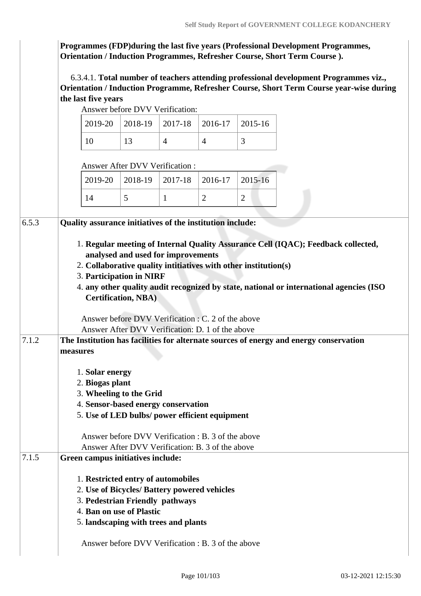**Programmes (FDP)during the last five years (Professional Development Programmes, Orientation / Induction Programmes, Refresher Course, Short Term Course ).**

 6.3.4.1. **Total number of teachers attending professional development Programmes viz., Orientation / Induction Programme, Refresher Course, Short Term Course year-wise during the last five years**

Answer before DVV Verification:

|  | $2019-20$   2018-19   2017-18   2016-17   2015-16 |  |
|--|---------------------------------------------------|--|
|  |                                                   |  |

Answer After DVV Verification :

|  |  | $\vert$ 2019-20 $\vert$ 2018-19 $\vert$ 2017-18 $\vert$ 2016-17 $\vert$ 2015-16 |  |  |
|--|--|---------------------------------------------------------------------------------|--|--|
|  |  |                                                                                 |  |  |

| 6.5.3 | Quality assurance initiatives of the institution include:                                                                                                                                                            |  |  |  |  |  |
|-------|----------------------------------------------------------------------------------------------------------------------------------------------------------------------------------------------------------------------|--|--|--|--|--|
|       | 1. Regular meeting of Internal Quality Assurance Cell (IQAC); Feedback collected,                                                                                                                                    |  |  |  |  |  |
|       | analysed and used for improvements                                                                                                                                                                                   |  |  |  |  |  |
|       | 2. Collaborative quality intitiatives with other institution(s)<br>3. Participation in NIRF<br>4. any other quality audit recognized by state, national or international agencies (ISO<br><b>Certification, NBA)</b> |  |  |  |  |  |
|       |                                                                                                                                                                                                                      |  |  |  |  |  |
|       |                                                                                                                                                                                                                      |  |  |  |  |  |
|       |                                                                                                                                                                                                                      |  |  |  |  |  |
|       | Answer before DVV Verification : C. 2 of the above                                                                                                                                                                   |  |  |  |  |  |
|       | Answer After DVV Verification: D. 1 of the above                                                                                                                                                                     |  |  |  |  |  |
| 7.1.2 | The Institution has facilities for alternate sources of energy and energy conservation                                                                                                                               |  |  |  |  |  |
|       | measures                                                                                                                                                                                                             |  |  |  |  |  |
|       | 1. Solar energy                                                                                                                                                                                                      |  |  |  |  |  |
|       | 2. Biogas plant                                                                                                                                                                                                      |  |  |  |  |  |
|       | 3. Wheeling to the Grid                                                                                                                                                                                              |  |  |  |  |  |
|       | 4. Sensor-based energy conservation                                                                                                                                                                                  |  |  |  |  |  |
|       | 5. Use of LED bulbs/ power efficient equipment                                                                                                                                                                       |  |  |  |  |  |
|       | Answer before DVV Verification : B. 3 of the above                                                                                                                                                                   |  |  |  |  |  |
|       | Answer After DVV Verification: B. 3 of the above                                                                                                                                                                     |  |  |  |  |  |
| 7.1.5 | Green campus initiatives include:                                                                                                                                                                                    |  |  |  |  |  |
|       | 1. Restricted entry of automobiles                                                                                                                                                                                   |  |  |  |  |  |
|       | 2. Use of Bicycles/ Battery powered vehicles                                                                                                                                                                         |  |  |  |  |  |
|       | 3. Pedestrian Friendly pathways                                                                                                                                                                                      |  |  |  |  |  |
|       | 4. Ban on use of Plastic                                                                                                                                                                                             |  |  |  |  |  |
|       | 5. landscaping with trees and plants                                                                                                                                                                                 |  |  |  |  |  |
|       | Answer before DVV Verification : B. 3 of the above                                                                                                                                                                   |  |  |  |  |  |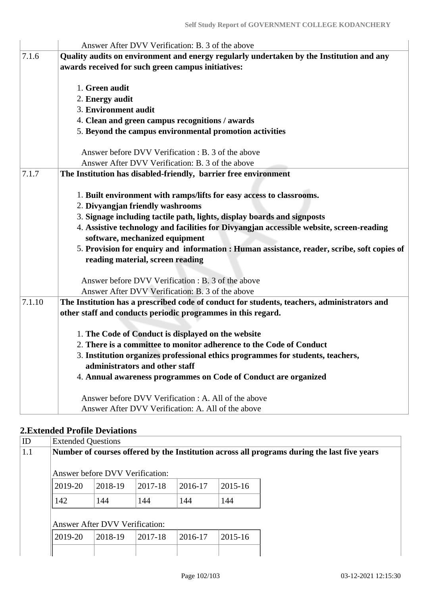|        | Answer After DVV Verification: B. 3 of the above                                                                           |  |  |  |  |  |  |  |
|--------|----------------------------------------------------------------------------------------------------------------------------|--|--|--|--|--|--|--|
| 7.1.6  | Quality audits on environment and energy regularly undertaken by the Institution and any                                   |  |  |  |  |  |  |  |
|        | awards received for such green campus initiatives:                                                                         |  |  |  |  |  |  |  |
|        | 1. Green audit                                                                                                             |  |  |  |  |  |  |  |
|        | 2. Energy audit                                                                                                            |  |  |  |  |  |  |  |
|        | 3. Environment audit                                                                                                       |  |  |  |  |  |  |  |
|        | 4. Clean and green campus recognitions / awards                                                                            |  |  |  |  |  |  |  |
|        | 5. Beyond the campus environmental promotion activities                                                                    |  |  |  |  |  |  |  |
|        | Answer before DVV Verification : B. 3 of the above                                                                         |  |  |  |  |  |  |  |
|        | Answer After DVV Verification: B. 3 of the above                                                                           |  |  |  |  |  |  |  |
| 7.1.7  | The Institution has disabled-friendly, barrier free environment                                                            |  |  |  |  |  |  |  |
|        |                                                                                                                            |  |  |  |  |  |  |  |
|        | 1. Built environment with ramps/lifts for easy access to classrooms.                                                       |  |  |  |  |  |  |  |
|        | 2. Divyangjan friendly washrooms                                                                                           |  |  |  |  |  |  |  |
|        | 3. Signage including tactile path, lights, display boards and signposts                                                    |  |  |  |  |  |  |  |
|        | 4. Assistive technology and facilities for Divyangjan accessible website, screen-reading<br>software, mechanized equipment |  |  |  |  |  |  |  |
|        | 5. Provision for enquiry and information : Human assistance, reader, scribe, soft copies of                                |  |  |  |  |  |  |  |
|        | reading material, screen reading                                                                                           |  |  |  |  |  |  |  |
|        | Answer before DVV Verification : B. 3 of the above                                                                         |  |  |  |  |  |  |  |
|        | Answer After DVV Verification: B. 3 of the above                                                                           |  |  |  |  |  |  |  |
| 7.1.10 | The Institution has a prescribed code of conduct for students, teachers, administrators and                                |  |  |  |  |  |  |  |
|        | other staff and conducts periodic programmes in this regard.                                                               |  |  |  |  |  |  |  |
|        |                                                                                                                            |  |  |  |  |  |  |  |
|        | 1. The Code of Conduct is displayed on the website                                                                         |  |  |  |  |  |  |  |
|        | 2. There is a committee to monitor adherence to the Code of Conduct                                                        |  |  |  |  |  |  |  |
|        | 3. Institution organizes professional ethics programmes for students, teachers,<br>administrators and other staff          |  |  |  |  |  |  |  |
|        |                                                                                                                            |  |  |  |  |  |  |  |
|        | 4. Annual awareness programmes on Code of Conduct are organized                                                            |  |  |  |  |  |  |  |
|        | Answer before DVV Verification : A. All of the above                                                                       |  |  |  |  |  |  |  |
|        | Answer After DVV Verification: A. All of the above                                                                         |  |  |  |  |  |  |  |

## **2.Extended Profile Deviations**

|  | <b>Extended Questions</b>                                                                   |                                |         |         |             |  |  |  |  |
|--|---------------------------------------------------------------------------------------------|--------------------------------|---------|---------|-------------|--|--|--|--|
|  | Number of courses offered by the Institution across all programs during the last five years |                                |         |         |             |  |  |  |  |
|  | Answer before DVV Verification:                                                             |                                |         |         |             |  |  |  |  |
|  | 2019-20                                                                                     | 2018-19                        | 2017-18 | 2016-17 | 2015-16     |  |  |  |  |
|  | 142                                                                                         | 144                            | 144     | 144     | 144         |  |  |  |  |
|  |                                                                                             | Answer After DVV Verification: |         |         |             |  |  |  |  |
|  | 2019-20                                                                                     | 2018-19                        | 2017-18 | 2016-17 | $2015 - 16$ |  |  |  |  |
|  |                                                                                             |                                |         |         |             |  |  |  |  |